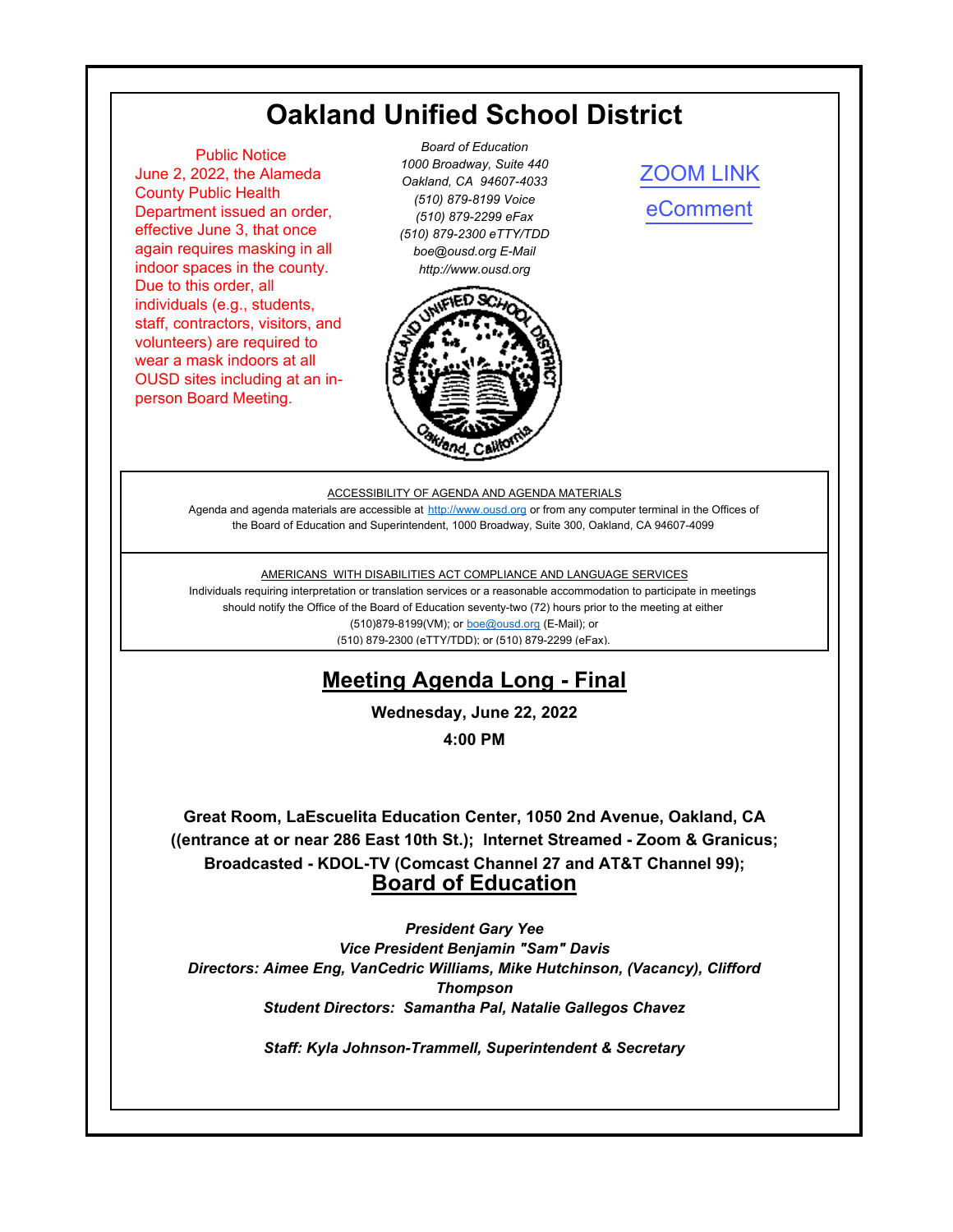# **Oakland Unified School District**

<span id="page-0-0"></span> Public Notice June 2, 2022, the Alameda County Public Health Department issued an order, effective June 3, that once again requires masking in all indoor spaces in the county. Due to this order, all individuals (e.g., students, staff, contractors, visitors, and volunteers) are required to wear a mask indoors at all OUSD sites including at an inperson Board Meeting.

*Board of Education 1000 Broadway, Suite 440 Oakland, CA 94607-4033 (510) 879-8199 Voice (510) 879-2299 eFax (510) 879-2300 eTTY/TDD boe@ousd.org E-Mail http://www.ousd.org*



[ZOOM LINK](https://ousd.zoom.us/j/82934604179) [eComment](https://ousd.granicusideas.com/meetings/2353-board-of-education-on-2022-06-22-4-00-pm)

#### ACCESSIBILITY OF AGENDA AND AGENDA MATERIALS

Agenda and agenda materials are accessible at http://www.ousd.org or from any computer terminal in the Offices of the Board of Education and Superintendent, 1000 Broadway, Suite 300, Oakland, CA 94607-4099

#### AMERICANS WITH DISABILITIES ACT COMPLIANCE AND LANGUAGE SERVICES

Individuals requiring interpretation or translation services or a reasonable accommodation to participate in meetings should notify the Office of the Board of Education seventy-two (72) hours prior to the meeting at either (510)879-8199(VM); or boe@ousd.org (E-Mail); or (510) 879-2300 (eTTY/TDD); or (510) 879-2299 (eFax).

# **Meeting Agenda Long - Final**

**Wednesday, June 22, 2022**

**4:00 PM**

**Great Room, LaEscuelita Education Center, 1050 2nd Avenue, Oakland, CA ((entrance at or near 286 East 10th St.); Internet Streamed - Zoom & Granicus; Broadcasted - KDOL-TV (Comcast Channel 27 and AT&T Channel 99); Board of Education**

*President Gary Yee Vice President Benjamin "Sam" Davis Directors: Aimee Eng, VanCedric Williams, Mike Hutchinson, (Vacancy), Clifford Thompson Student Directors: Samantha Pal, Natalie Gallegos Chavez*

*Staff: Kyla Johnson-Trammell, Superintendent & Secretary*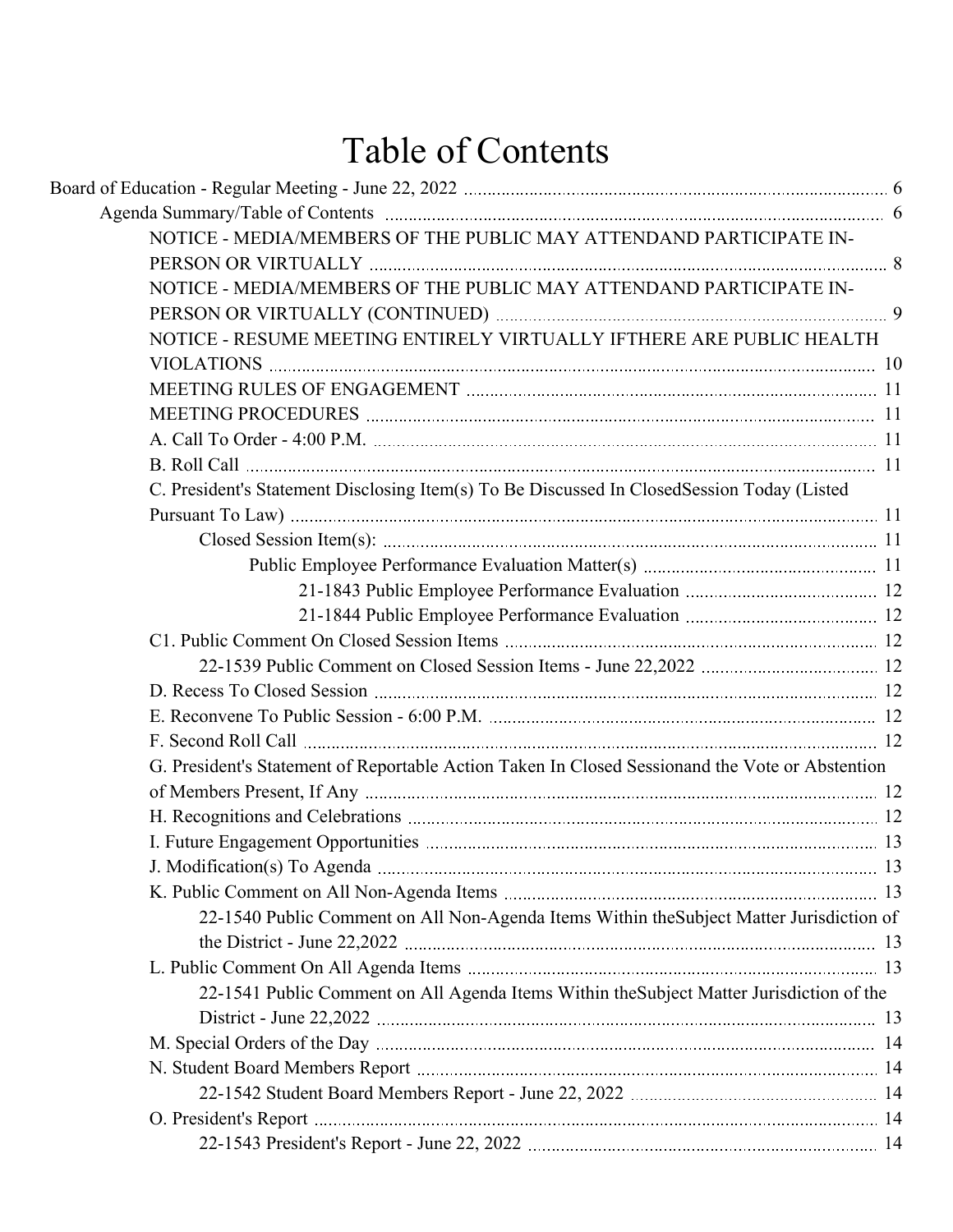# Table of Contents

| NOTICE - MEDIA/MEMBERS OF THE PUBLIC MAY ATTENDAND PARTICIPATE IN-                              |  |
|-------------------------------------------------------------------------------------------------|--|
|                                                                                                 |  |
| NOTICE - MEDIA/MEMBERS OF THE PUBLIC MAY ATTENDAND PARTICIPATE IN-                              |  |
|                                                                                                 |  |
| NOTICE - RESUME MEETING ENTIRELY VIRTUALLY IFTHERE ARE PUBLIC HEALTH                            |  |
|                                                                                                 |  |
|                                                                                                 |  |
|                                                                                                 |  |
|                                                                                                 |  |
|                                                                                                 |  |
| C. President's Statement Disclosing Item(s) To Be Discussed In ClosedSession Today (Listed      |  |
|                                                                                                 |  |
|                                                                                                 |  |
|                                                                                                 |  |
|                                                                                                 |  |
|                                                                                                 |  |
|                                                                                                 |  |
|                                                                                                 |  |
|                                                                                                 |  |
|                                                                                                 |  |
|                                                                                                 |  |
| G. President's Statement of Reportable Action Taken In Closed Sessionand the Vote or Abstention |  |
|                                                                                                 |  |
|                                                                                                 |  |
|                                                                                                 |  |
|                                                                                                 |  |
|                                                                                                 |  |
| 22-1540 Public Comment on All Non-Agenda Items Within the Subject Matter Jurisdiction of        |  |
|                                                                                                 |  |
|                                                                                                 |  |
| 22-1541 Public Comment on All Agenda Items Within the Subject Matter Jurisdiction of the        |  |
|                                                                                                 |  |
|                                                                                                 |  |
|                                                                                                 |  |
|                                                                                                 |  |
|                                                                                                 |  |
|                                                                                                 |  |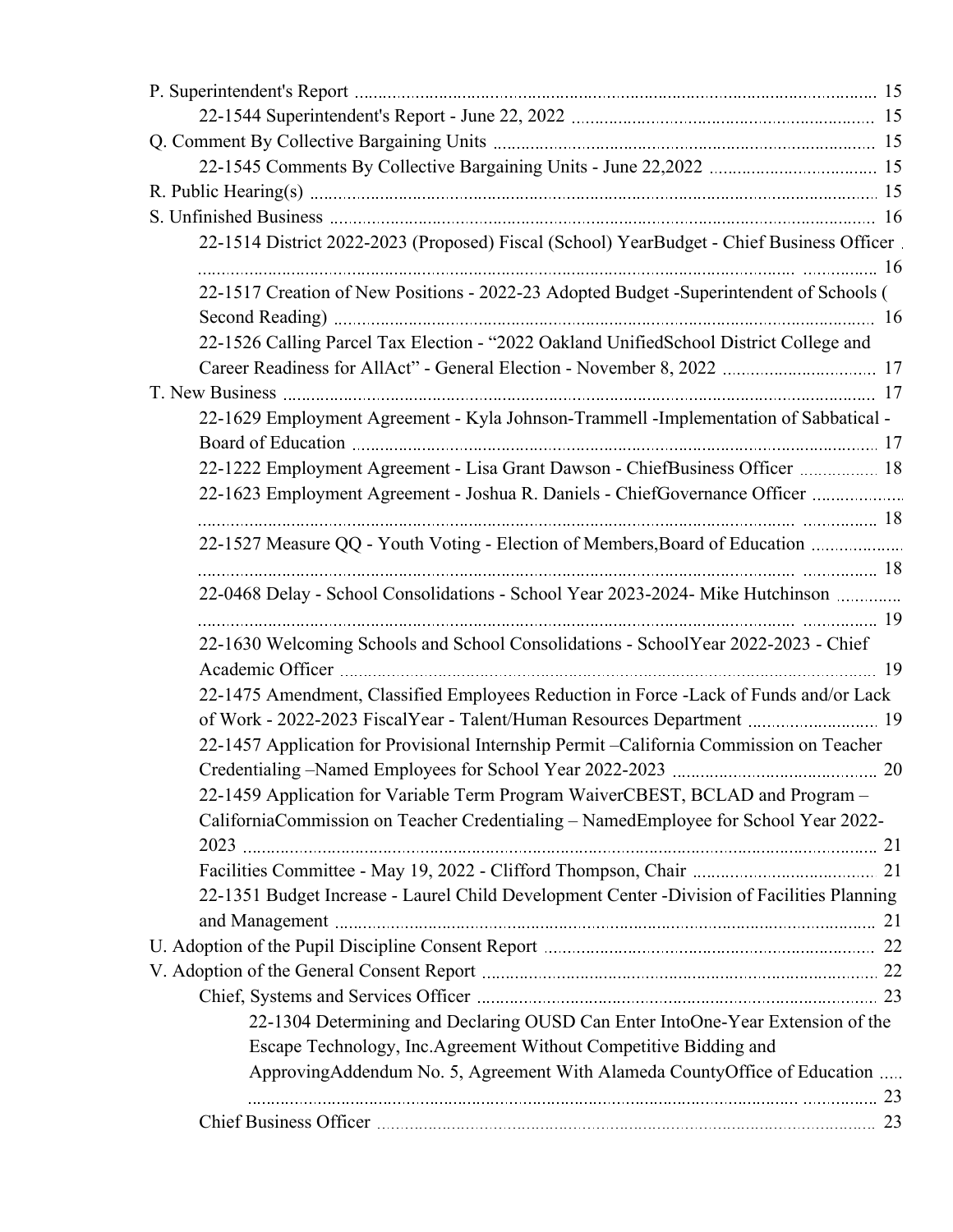| 22-1514 District 2022-2023 (Proposed) Fiscal (School) YearBudget - Chief Business Officer  |  |
|--------------------------------------------------------------------------------------------|--|
|                                                                                            |  |
| 22-1517 Creation of New Positions - 2022-23 Adopted Budget -Superintendent of Schools (    |  |
|                                                                                            |  |
| 22-1526 Calling Parcel Tax Election - "2022 Oakland UnifiedSchool District College and     |  |
|                                                                                            |  |
|                                                                                            |  |
| 22-1629 Employment Agreement - Kyla Johnson-Trammell -Implementation of Sabbatical -       |  |
|                                                                                            |  |
| 22-1222 Employment Agreement - Lisa Grant Dawson - ChiefBusiness Officer  18               |  |
| 22-1623 Employment Agreement - Joshua R. Daniels - ChiefGovernance Officer                 |  |
|                                                                                            |  |
| 22-1527 Measure QQ - Youth Voting - Election of Members, Board of Education                |  |
|                                                                                            |  |
| 22-0468 Delay - School Consolidations - School Year 2023-2024- Mike Hutchinson             |  |
|                                                                                            |  |
| 22-1630 Welcoming Schools and School Consolidations - SchoolYear 2022-2023 - Chief         |  |
|                                                                                            |  |
| 22-1475 Amendment, Classified Employees Reduction in Force -Lack of Funds and/or Lack      |  |
| of Work - 2022-2023 FiscalYear - Talent/Human Resources Department  19                     |  |
| 22-1457 Application for Provisional Internship Permit - California Commission on Teacher   |  |
|                                                                                            |  |
| 22-1459 Application for Variable Term Program WaiverCBEST, BCLAD and Program -             |  |
| CaliforniaCommission on Teacher Credentialing - NamedEmployee for School Year 2022-        |  |
|                                                                                            |  |
|                                                                                            |  |
| 22-1351 Budget Increase - Laurel Child Development Center -Division of Facilities Planning |  |
|                                                                                            |  |
|                                                                                            |  |
|                                                                                            |  |
|                                                                                            |  |
| 22-1304 Determining and Declaring OUSD Can Enter IntoOne-Year Extension of the             |  |
| Escape Technology, Inc.Agreement Without Competitive Bidding and                           |  |
| ApprovingAddendum No. 5, Agreement With Alameda CountyOffice of Education                  |  |
|                                                                                            |  |
|                                                                                            |  |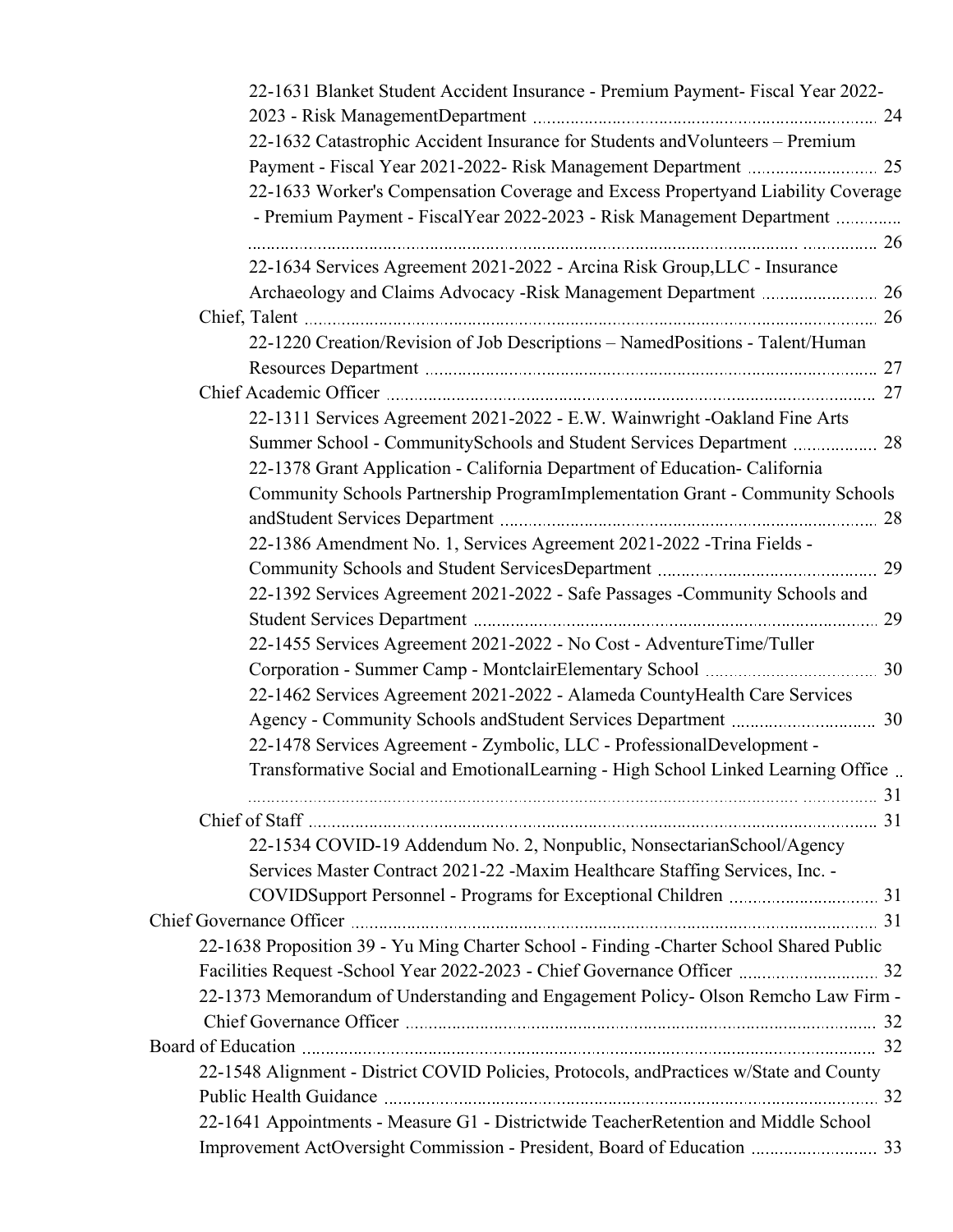| 22-1631 Blanket Student Accident Insurance - Premium Payment- Fiscal Year 2022-         |  |
|-----------------------------------------------------------------------------------------|--|
|                                                                                         |  |
| 22-1632 Catastrophic Accident Insurance for Students and Volunteers - Premium           |  |
|                                                                                         |  |
| 22-1633 Worker's Compensation Coverage and Excess Propertyand Liability Coverage        |  |
| - Premium Payment - FiscalYear 2022-2023 - Risk Management Department                   |  |
|                                                                                         |  |
| 22-1634 Services Agreement 2021-2022 - Arcina Risk Group, LLC - Insurance               |  |
|                                                                                         |  |
|                                                                                         |  |
| 22-1220 Creation/Revision of Job Descriptions - NamedPositions - Talent/Human           |  |
|                                                                                         |  |
|                                                                                         |  |
| 22-1311 Services Agreement 2021-2022 - E.W. Wainwright -Oakland Fine Arts               |  |
| Summer School - CommunitySchools and Student Services Department  28                    |  |
| 22-1378 Grant Application - California Department of Education- California              |  |
| Community Schools Partnership ProgramImplementation Grant - Community Schools           |  |
|                                                                                         |  |
| 22-1386 Amendment No. 1, Services Agreement 2021-2022 - Trina Fields -                  |  |
|                                                                                         |  |
| 22-1392 Services Agreement 2021-2022 - Safe Passages -Community Schools and             |  |
|                                                                                         |  |
| 22-1455 Services Agreement 2021-2022 - No Cost - AdventureTime/Tuller                   |  |
|                                                                                         |  |
| 22-1462 Services Agreement 2021-2022 - Alameda CountyHealth Care Services               |  |
|                                                                                         |  |
| 22-1478 Services Agreement - Zymbolic, LLC - ProfessionalDevelopment -                  |  |
| Transformative Social and EmotionalLearning - High School Linked Learning Office        |  |
|                                                                                         |  |
|                                                                                         |  |
| 22-1534 COVID-19 Addendum No. 2, Nonpublic, NonsectarianSchool/Agency                   |  |
| Services Master Contract 2021-22 -Maxim Healthcare Staffing Services, Inc. -            |  |
|                                                                                         |  |
|                                                                                         |  |
| 22-1638 Proposition 39 - Yu Ming Charter School - Finding -Charter School Shared Public |  |
|                                                                                         |  |
| 22-1373 Memorandum of Understanding and Engagement Policy- Olson Remcho Law Firm -      |  |
|                                                                                         |  |
|                                                                                         |  |
| 22-1548 Alignment - District COVID Policies, Protocols, andPractices w/State and County |  |
|                                                                                         |  |
| 22-1641 Appointments - Measure G1 - Districtwide TeacherRetention and Middle School     |  |
| Improvement ActOversight Commission - President, Board of Education  33                 |  |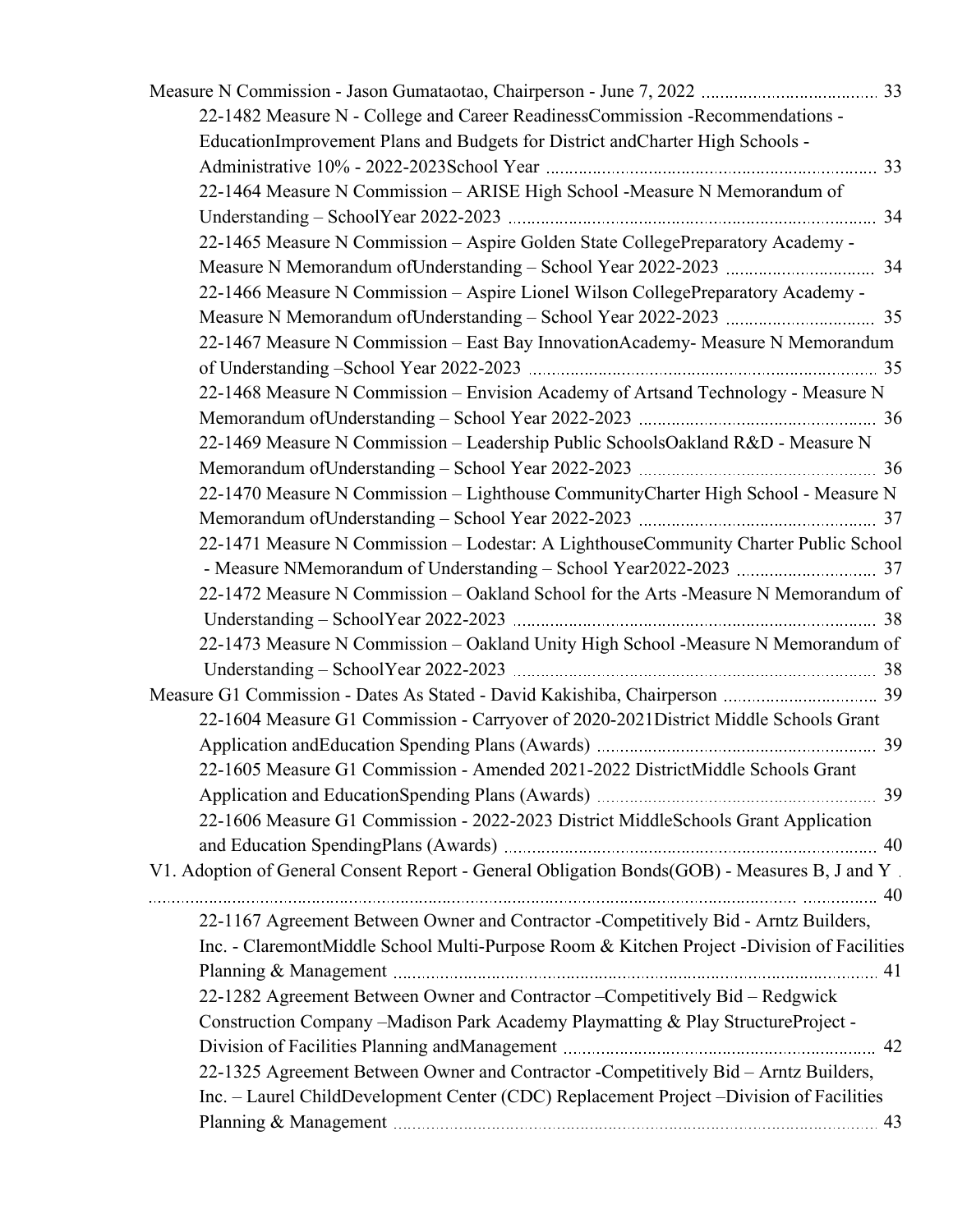| 22-1482 Measure N - College and Career ReadinessCommission -Recommendations -                 |  |
|-----------------------------------------------------------------------------------------------|--|
| EducationImprovement Plans and Budgets for District andCharter High Schools -                 |  |
|                                                                                               |  |
| 22-1464 Measure N Commission - ARISE High School - Measure N Memorandum of                    |  |
|                                                                                               |  |
| 22-1465 Measure N Commission - Aspire Golden State CollegePreparatory Academy -               |  |
|                                                                                               |  |
| 22-1466 Measure N Commission - Aspire Lionel Wilson CollegePreparatory Academy -              |  |
|                                                                                               |  |
| 22-1467 Measure N Commission - East Bay Innovation Academy- Measure N Memorandum              |  |
|                                                                                               |  |
| 22-1468 Measure N Commission - Envision Academy of Artsand Technology - Measure N             |  |
|                                                                                               |  |
| 22-1469 Measure N Commission - Leadership Public SchoolsOakland R&D - Measure N               |  |
|                                                                                               |  |
| 22-1470 Measure N Commission - Lighthouse CommunityCharter High School - Measure N            |  |
|                                                                                               |  |
| 22-1471 Measure N Commission - Lodestar: A LighthouseCommunity Charter Public School          |  |
|                                                                                               |  |
| 22-1472 Measure N Commission - Oakland School for the Arts - Measure N Memorandum of          |  |
|                                                                                               |  |
| 22-1473 Measure N Commission - Oakland Unity High School -Measure N Memorandum of             |  |
|                                                                                               |  |
|                                                                                               |  |
| 22-1604 Measure G1 Commission - Carryover of 2020-2021District Middle Schools Grant           |  |
|                                                                                               |  |
| 22-1605 Measure G1 Commission - Amended 2021-2022 DistrictMiddle Schools Grant                |  |
|                                                                                               |  |
| 22-1606 Measure G1 Commission - 2022-2023 District MiddleSchools Grant Application            |  |
|                                                                                               |  |
| V1. Adoption of General Consent Report - General Obligation Bonds(GOB) - Measures B, J and Y. |  |
|                                                                                               |  |
| 22-1167 Agreement Between Owner and Contractor -Competitively Bid - Arntz Builders,           |  |
| Inc. - ClaremontMiddle School Multi-Purpose Room & Kitchen Project -Division of Facilities    |  |
|                                                                                               |  |
| 22-1282 Agreement Between Owner and Contractor - Competitively Bid - Redgwick                 |  |
| Construction Company -Madison Park Academy Playmatting & Play StructureProject -              |  |
|                                                                                               |  |
| 22-1325 Agreement Between Owner and Contractor -Competitively Bid - Arntz Builders,           |  |
| Inc. – Laurel ChildDevelopment Center (CDC) Replacement Project –Division of Facilities       |  |
|                                                                                               |  |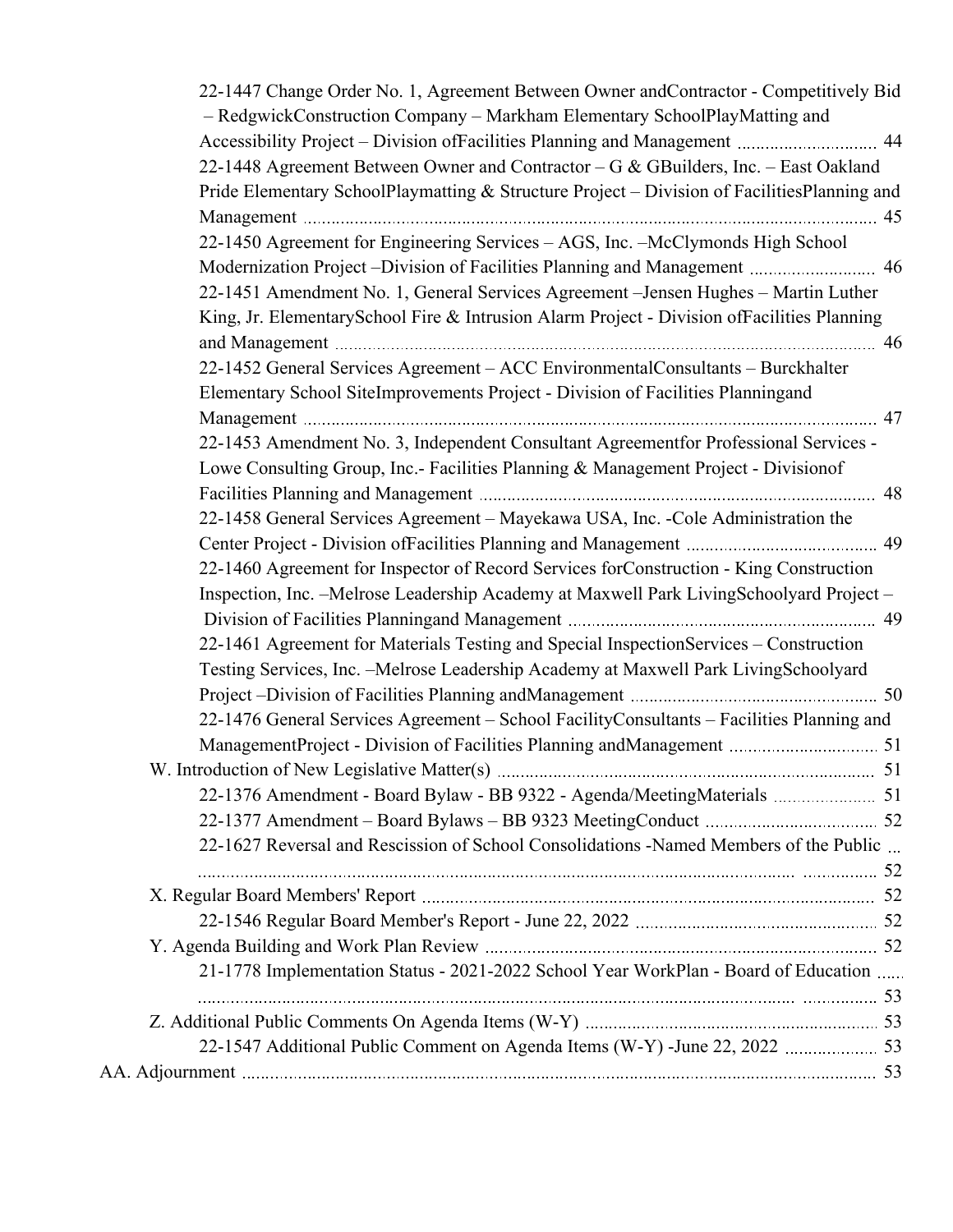| 22-1447 Change Order No. 1, Agreement Between Owner and Contractor - Competitively Bid                                                                                            |    |
|-----------------------------------------------------------------------------------------------------------------------------------------------------------------------------------|----|
| - RedgwickConstruction Company - Markham Elementary SchoolPlayMatting and                                                                                                         |    |
| Accessibility Project – Division of Facilities Planning and Management  44                                                                                                        |    |
| 22-1448 Agreement Between Owner and Contractor - G & GBuilders, Inc. - East Oakland                                                                                               |    |
| Pride Elementary SchoolPlaymatting & Structure Project - Division of FacilitiesPlanning and                                                                                       |    |
|                                                                                                                                                                                   |    |
| 22-1450 Agreement for Engineering Services - AGS, Inc. -McClymonds High School                                                                                                    |    |
|                                                                                                                                                                                   |    |
| 22-1451 Amendment No. 1, General Services Agreement - Jensen Hughes - Martin Luther<br>King, Jr. ElementarySchool Fire & Intrusion Alarm Project - Division ofFacilities Planning |    |
|                                                                                                                                                                                   |    |
| 22-1452 General Services Agreement – ACC Environmental Consultants – Burckhalter                                                                                                  |    |
| Elementary School SiteImprovements Project - Division of Facilities Planningand                                                                                                   |    |
|                                                                                                                                                                                   |    |
| 22-1453 Amendment No. 3, Independent Consultant Agreementfor Professional Services -                                                                                              |    |
| Lowe Consulting Group, Inc.- Facilities Planning & Management Project - Division of                                                                                               |    |
|                                                                                                                                                                                   |    |
|                                                                                                                                                                                   |    |
| 22-1458 General Services Agreement - Mayekawa USA, Inc. - Cole Administration the                                                                                                 |    |
| 22-1460 Agreement for Inspector of Record Services forConstruction - King Construction                                                                                            |    |
| Inspection, Inc. - Melrose Leadership Academy at Maxwell Park LivingSchoolyard Project -                                                                                          |    |
|                                                                                                                                                                                   |    |
| 22-1461 Agreement for Materials Testing and Special InspectionServices - Construction                                                                                             |    |
| Testing Services, Inc. - Melrose Leadership Academy at Maxwell Park LivingSchoolyard                                                                                              |    |
|                                                                                                                                                                                   |    |
| 22-1476 General Services Agreement - School FacilityConsultants - Facilities Planning and                                                                                         |    |
|                                                                                                                                                                                   |    |
|                                                                                                                                                                                   |    |
|                                                                                                                                                                                   | 51 |
|                                                                                                                                                                                   |    |
|                                                                                                                                                                                   |    |
| 22-1627 Reversal and Rescission of School Consolidations -Named Members of the Public                                                                                             |    |
|                                                                                                                                                                                   |    |
|                                                                                                                                                                                   |    |
|                                                                                                                                                                                   |    |
|                                                                                                                                                                                   |    |
| 21-1778 Implementation Status - 2021-2022 School Year WorkPlan - Board of Education                                                                                               |    |
|                                                                                                                                                                                   |    |
|                                                                                                                                                                                   |    |
|                                                                                                                                                                                   |    |
|                                                                                                                                                                                   |    |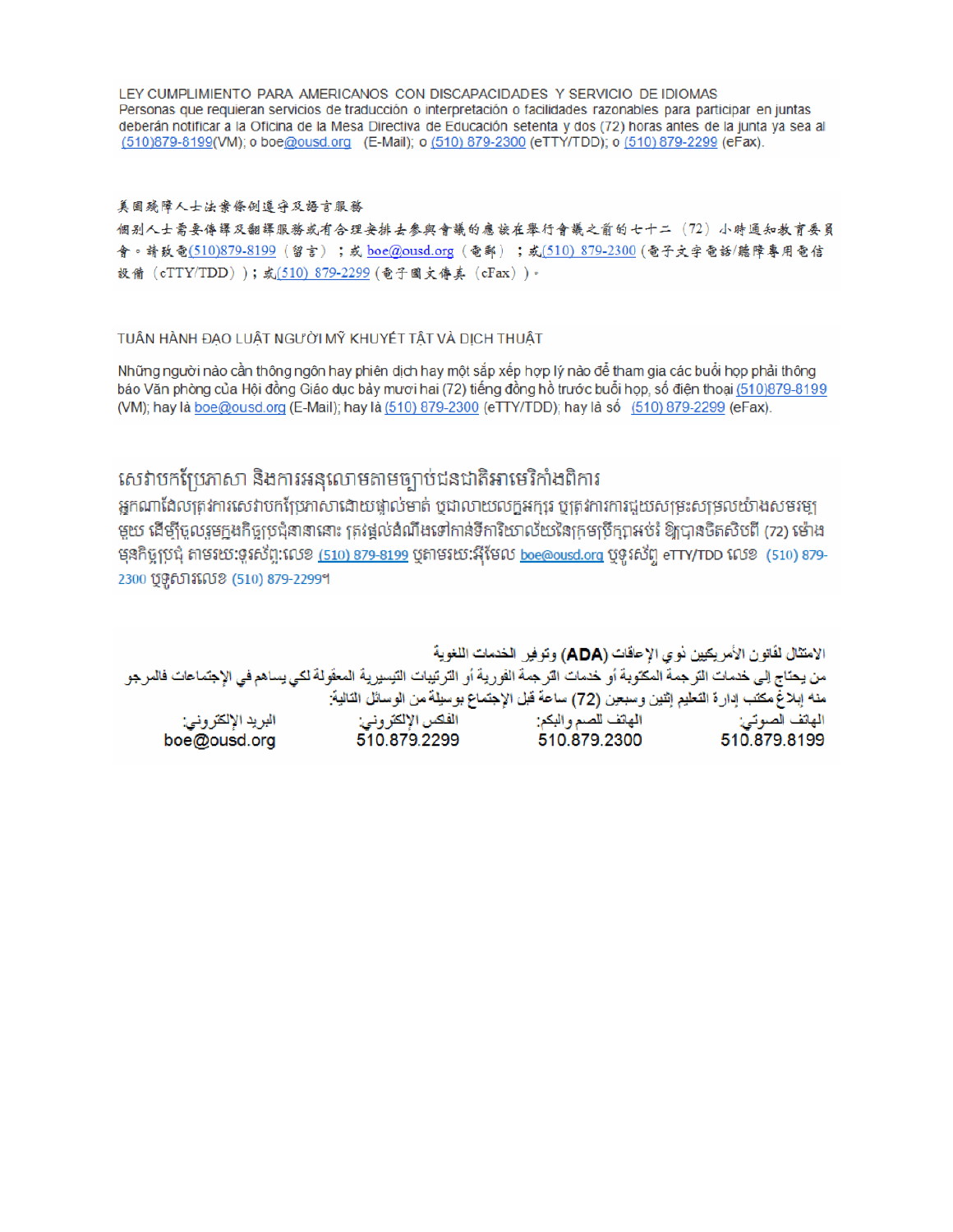LEY CUMPLIMIENTO PARA AMERICANOS CON DISCAPACIDADES Y SERVICIO DE IDIOMAS Personas que requieran servicios de traducción o interpretación o facilidades razonables para participar en juntas deberán notificar a la Oficina de la Mesa Directiva de Educación setenta y dos (72) horas antes de la junta ya sea al (510)879-8199(VM); o boe@ousd.org (E-Mail); o (510) 879-2300 (eTTY/TDD); o (510) 879-2299 (eFax).

### 美国残障人士法案條例遵守及語言服務

個别人士需要傳譯及翻譯服務或有合理安排去參與會議的應該在舉行會議之前的七十二(72)小時通知教育委員 會。請致電(510)879-8199(留言);或 boe@ousd.org (電郵) ;或(510) 879-2300 (電子文字電話/聽障專用電信 設備 (eTTY/TDD));或(510) 879-2299 (電子圖文傳真 (eFax))。

### TUẦN HÀNH ĐẠO LUẬT NGƯỜI MỸ KHUYẾT TẤT VÀ DỊCH THUẬT

Những người nào cần thông ngôn hay phiên dịch hay một sắp xếp hợp lý nào để tham gia các buổi họp phải thông báo Văn phòng của Hội đồng Giáo dục bảy mươi hai (72) tiếng đồng hồ trước buổi họp, số điện thoại (510)879-8199 (VM); hay là boe@ousd.org (E-Mail); hay là (510) 879-2300 (eTTY/TDD); hay là số (510) 879-2299 (eFax).

# សេវាបកប្រែភាសា និងការអនុលោមតាមច្បាប់ជនជាតិអាមេរិកាំងពិការ

អកណាដែលត្រូវការសេវាបកប្រែភាសាដោយផ្ទាល់មាត់ ឬជាលាយលក្ខអក្សរ ឬត្រូវការការជួយសម្រះសម្រលយ៉ាងសមរម្យ មួយ ដើម្បីចូលរួមក្នុងកិច្ចប្រជុំនានានោះ ត្រវង្គល់ដំណឹងទៅកាន់ទីការិយាល័យនៃក្រមប្រឹក្សាអប់រំ ឱ្យបានចិតសិបពី (72) ម៉ោង មុនកិច្ចប្រជុំ តាមរយៈទូរស័ព្ទ:លេខ <u>(510) 879-8199</u> បុតាមរយៈអ៊ីមែល <u>boe@ousd.org</u> បុទូរស័ព្ទ eTTY/TDD លេខ (510) 879-2300 ប៊ូទូសារលេខ (510) 879-2299។

الامتثال لقانون الأمريكيين نو ي الإحاقات (ADA) وتوفير الخدمات اللغوية من يحتاج إلى خدمات الترجمة المكتوبة أو خدمات الترجمة الفورية أو الترتيبات التيسيرية المعفّولة لكي يساهم في الإجتماعات فالمرجو منه إبلاغ مكتب إدارة التعليم إثنين وسبعين (72) ساعة قبل الإجتماع بوسيلة من الوسائل التالية: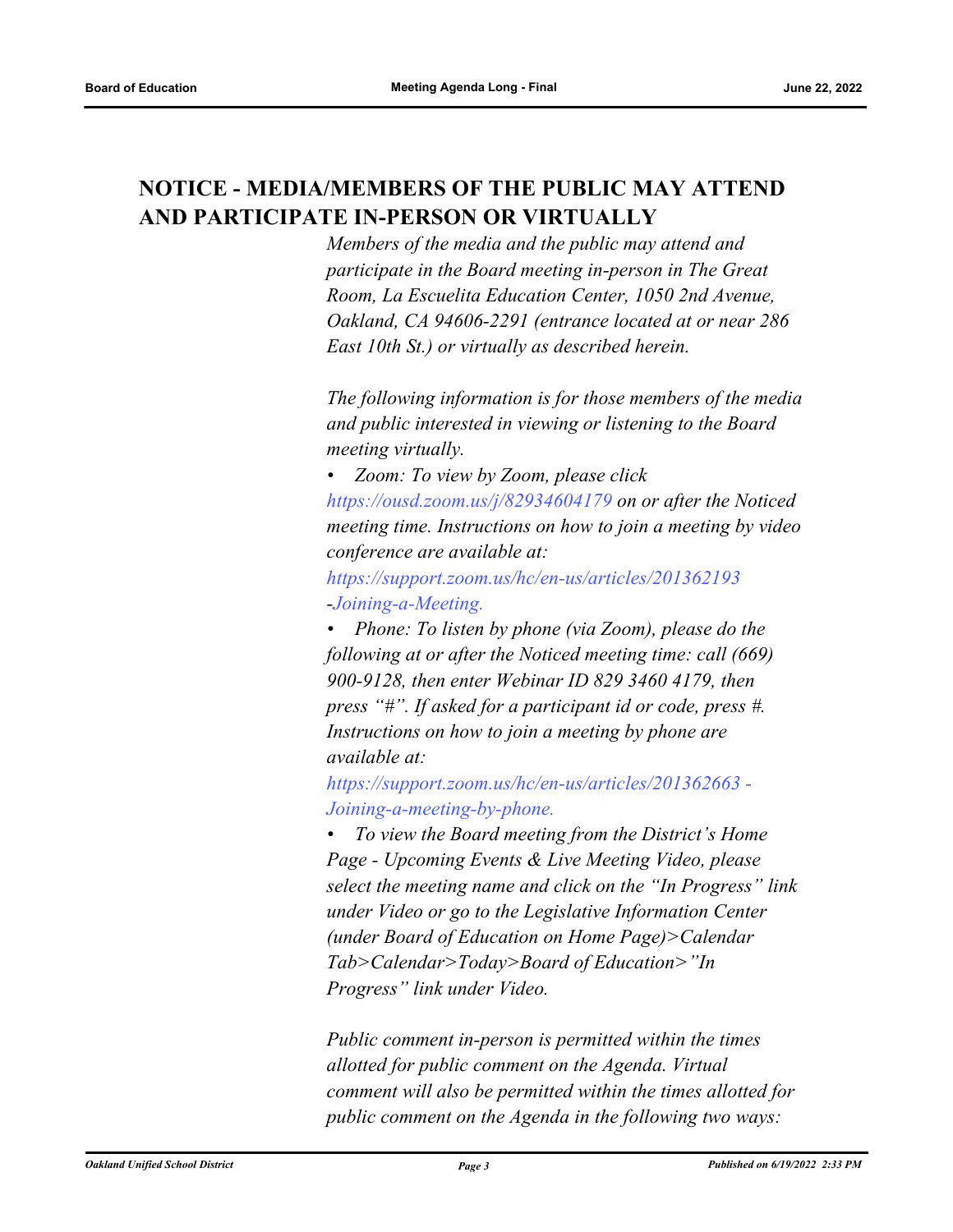# <span id="page-7-0"></span>**NOTICE - MEDIA/MEMBERS OF THE PUBLIC MAY ATTEND AND PARTICIPATE IN-PERSON OR VIRTUALLY**

*Members of the media and the public may attend and participate in the Board meeting in-person in The Great Room, La Escuelita Education Center, 1050 2nd Avenue, Oakland, CA 94606-2291 (entrance located at or near 286 East 10th St.) or virtually as described herein.*

*The following information is for those members of the media and public interested in viewing or listening to the Board meeting virtually.*

*• Zoom: To view by Zoom, please click https://ousd.zoom.us/j/82934604179 on or after the Noticed meeting time. Instructions on how to join a meeting by video conference are available at:*

*https://support.zoom.us/hc/en-us/articles/201362193 -Joining-a-Meeting.*

*• Phone: To listen by phone (via Zoom), please do the following at or after the Noticed meeting time: call (669) 900-9128, then enter Webinar ID 829 3460 4179, then press "#". If asked for a participant id or code, press #. Instructions on how to join a meeting by phone are available at:*

*https://support.zoom.us/hc/en-us/articles/201362663 - Joining-a-meeting-by-phone.*

*• To view the Board meeting from the District's Home Page - Upcoming Events & Live Meeting Video, please select the meeting name and click on the "In Progress" link under Video or go to the Legislative Information Center (under Board of Education on Home Page)>Calendar Tab>Calendar>Today>Board of Education>"In Progress" link under Video.*

*Public comment in-person is permitted within the times allotted for public comment on the Agenda. Virtual comment will also be permitted within the times allotted for public comment on the Agenda in the following two ways:*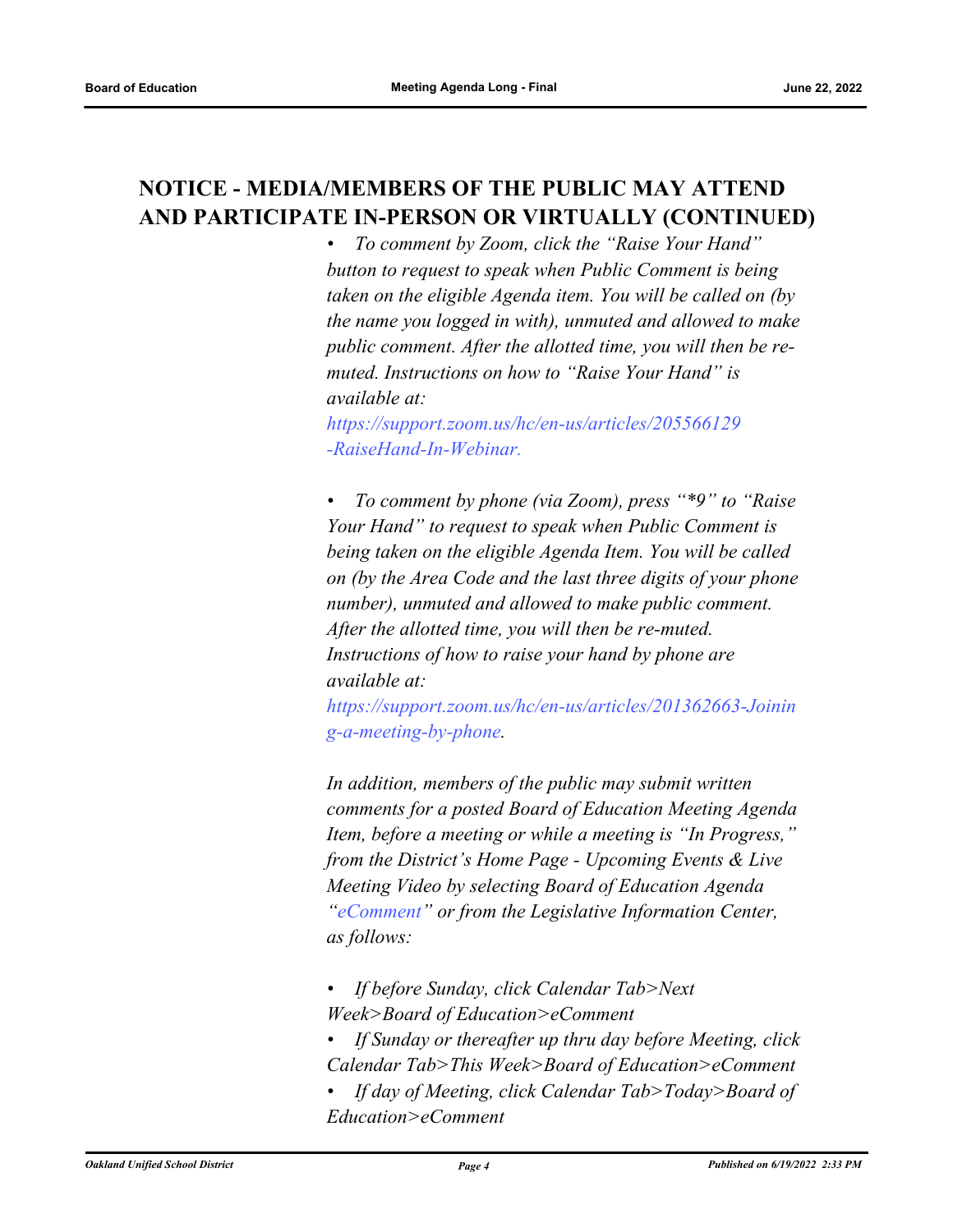# <span id="page-8-0"></span>**NOTICE - MEDIA/MEMBERS OF THE PUBLIC MAY ATTEND AND PARTICIPATE IN-PERSON OR VIRTUALLY (CONTINUED)**

*• To comment by Zoom, click the "Raise Your Hand" button to request to speak when Public Comment is being taken on the eligible Agenda item. You will be called on (by the name you logged in with), unmuted and allowed to make public comment. After the allotted time, you will then be remuted. Instructions on how to "Raise Your Hand" is available at:*

*https://support.zoom.us/hc/en-us/articles/205566129 -RaiseHand-In-Webinar.*

*• To comment by phone (via Zoom), press "\*9" to "Raise Your Hand" to request to speak when Public Comment is being taken on the eligible Agenda Item. You will be called on (by the Area Code and the last three digits of your phone number), unmuted and allowed to make public comment. After the allotted time, you will then be re-muted. Instructions of how to raise your hand by phone are available at:*

*https://support.zoom.us/hc/en-us/articles/201362663-Joinin g-a-meeting-by-phone.*

*In addition, members of the public may submit written comments for a posted Board of Education Meeting Agenda Item, before a meeting or while a meeting is "In Progress," from the District's Home Page - Upcoming Events & Live Meeting Video by selecting Board of Education Agenda "eComment" or from the Legislative Information Center, as follows:*

- *If before Sunday, click Calendar Tab>Next Week>Board of Education>eComment*
- *If Sunday or thereafter up thru day before Meeting, click Calendar Tab>This Week>Board of Education>eComment*
- *If day of Meeting, click Calendar Tab>Today>Board of Education>eComment*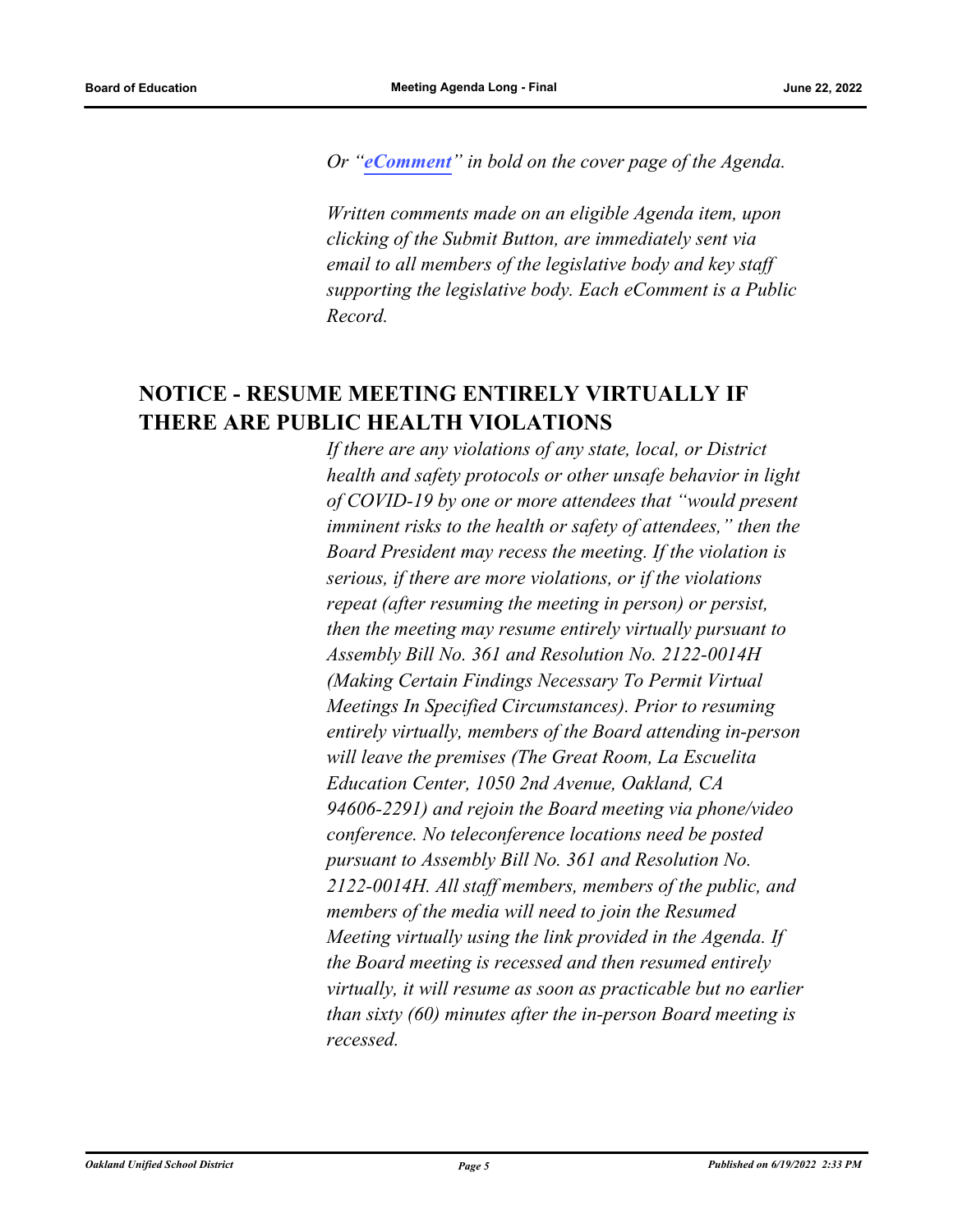<span id="page-9-0"></span>*Or "[eComment](https://ousd.granicusideas.com/meetings/2353-board-of-education-on-2022-06-22-4-00-pm)" in bold on the cover page of the Agenda.* 

*Written comments made on an eligible Agenda item, upon clicking of the Submit Button, are immediately sent via email to all members of the legislative body and key staff supporting the legislative body. Each eComment is a Public Record.*

# **NOTICE - RESUME MEETING ENTIRELY VIRTUALLY IF THERE ARE PUBLIC HEALTH VIOLATIONS**

*If there are any violations of any state, local, or District health and safety protocols or other unsafe behavior in light of COVID-19 by one or more attendees that "would present imminent risks to the health or safety of attendees," then the Board President may recess the meeting. If the violation is serious, if there are more violations, or if the violations repeat (after resuming the meeting in person) or persist, then the meeting may resume entirely virtually pursuant to Assembly Bill No. 361 and Resolution No. 2122-0014H (Making Certain Findings Necessary To Permit Virtual Meetings In Specified Circumstances). Prior to resuming entirely virtually, members of the Board attending in-person will leave the premises (The Great Room, La Escuelita Education Center, 1050 2nd Avenue, Oakland, CA 94606-2291) and rejoin the Board meeting via phone/video conference. No teleconference locations need be posted pursuant to Assembly Bill No. 361 and Resolution No. 2122-0014H. All staff members, members of the public, and members of the media will need to join the Resumed Meeting virtually using the link provided in the Agenda. If the Board meeting is recessed and then resumed entirely virtually, it will resume as soon as practicable but no earlier than sixty (60) minutes after the in-person Board meeting is recessed.*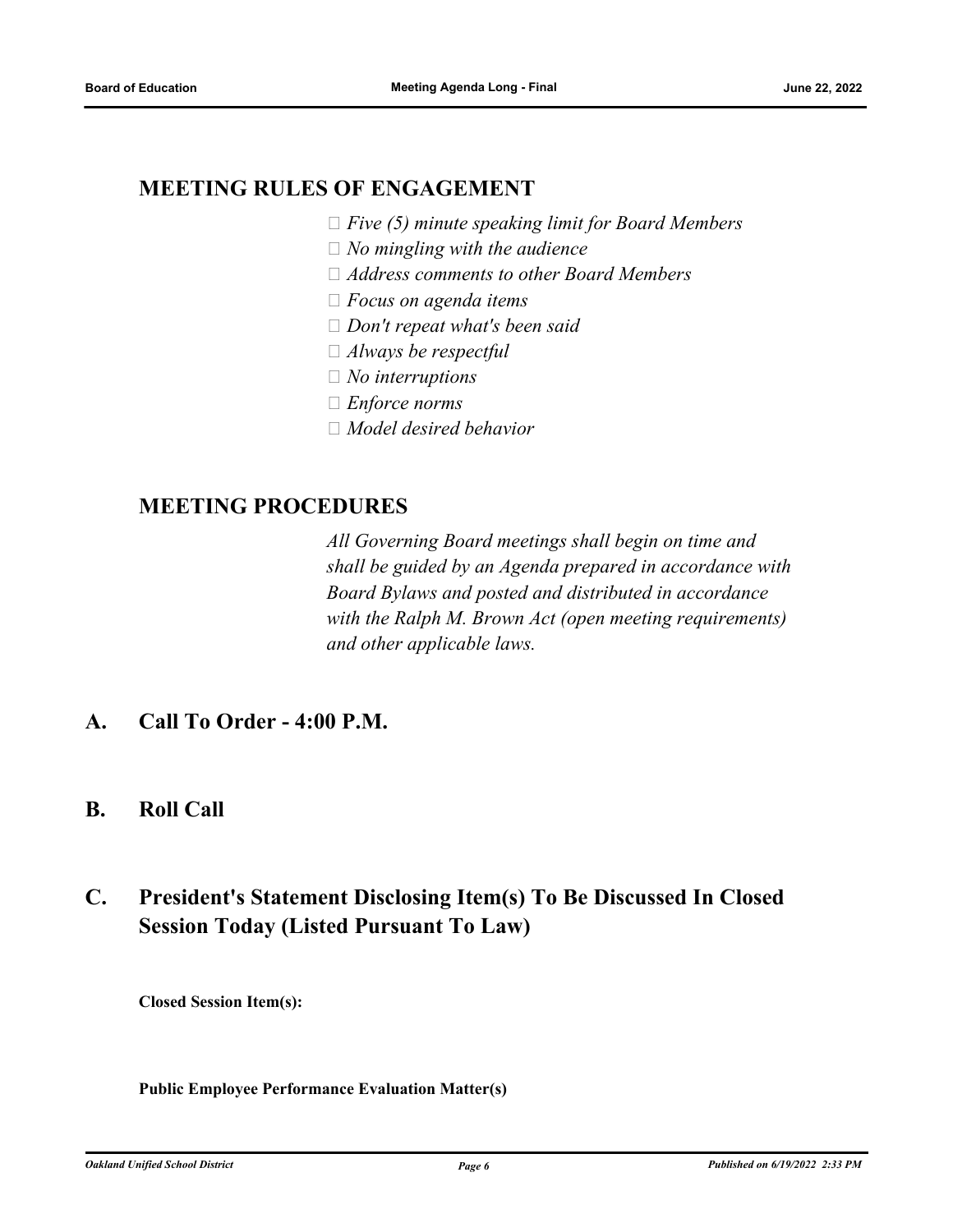# <span id="page-10-1"></span><span id="page-10-0"></span>**MEETING RULES OF ENGAGEMENT**

- *Five (5) minute speaking limit for Board Members*
- *No mingling with the audience*
- *Address comments to other Board Members*
- *Focus on agenda items*
- *Don't repeat what's been said*
- *Always be respectful*
- *No interruptions*
- *Enforce norms*
- *Model desired behavior*

## <span id="page-10-3"></span><span id="page-10-2"></span>**MEETING PROCEDURES**

*All Governing Board meetings shall begin on time and shall be guided by an Agenda prepared in accordance with Board Bylaws and posted and distributed in accordance with the Ralph M. Brown Act (open meeting requirements) and other applicable laws.*

- **A. Call To Order 4:00 P.M.**
- **B. Roll Call**

# **C. President's Statement Disclosing Item(s) To Be Discussed In Closed Session Today (Listed Pursuant To Law)**

**Closed Session Item(s):**

**Public Employee Performance Evaluation Matter(s)**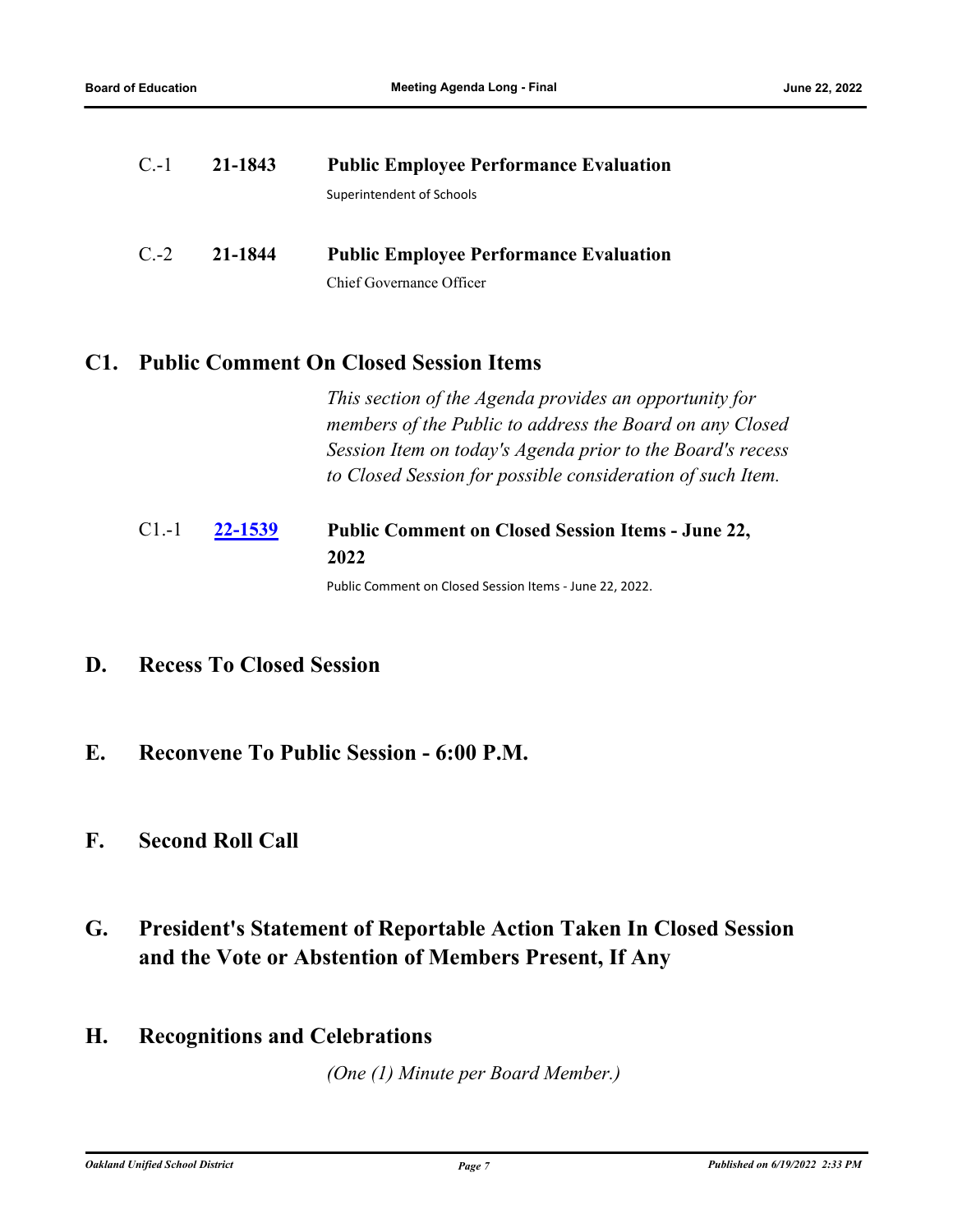<span id="page-11-1"></span><span id="page-11-0"></span>

| $C.-1$ | 21-1843 | <b>Public Employee Performance Evaluation</b> |  |
|--------|---------|-----------------------------------------------|--|
|        |         | Superintendent of Schools                     |  |
|        |         |                                               |  |
| $C.-2$ | 21-1844 | <b>Public Employee Performance Evaluation</b> |  |

Chief Governance Officer

### <span id="page-11-2"></span>**C1. Public Comment On Closed Session Items**

*This section of the Agenda provides an opportunity for members of the Public to address the Board on any Closed Session Item on today's Agenda prior to the Board's recess to Closed Session for possible consideration of such Item.*

#### <span id="page-11-3"></span>**[22-1539](http://ousd.legistar.com/gateway.aspx?m=l&id=/matter.aspx?key=55833) Public Comment on Closed Session Items - June 22, 2022** C1.-1

Public Comment on Closed Session Items - June 22, 2022.

- **D. Recess To Closed Session**
- **E. Reconvene To Public Session 6:00 P.M.**

# **F. Second Roll Call**

- **G. President's Statement of Reportable Action Taken In Closed Session and the Vote or Abstention of Members Present, If Any**
- **H. Recognitions and Celebrations**

*(One (1) Minute per Board Member.)*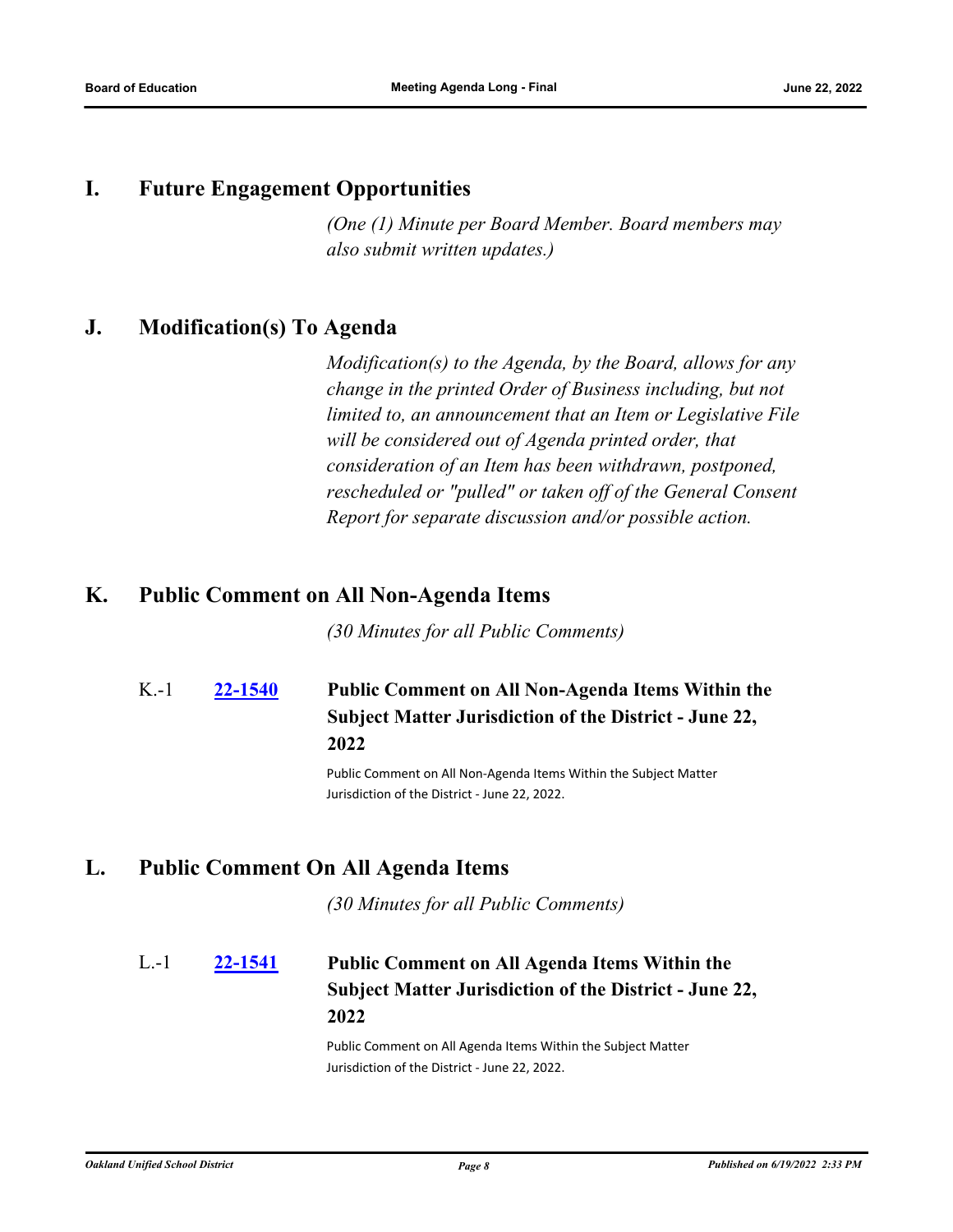### <span id="page-12-1"></span><span id="page-12-0"></span>**I. Future Engagement Opportunities**

*(One (1) Minute per Board Member. Board members may also submit written updates.)*

### <span id="page-12-2"></span>**J. Modification(s) To Agenda**

*Modification(s) to the Agenda, by the Board, allows for any change in the printed Order of Business including, but not limited to, an announcement that an Item or Legislative File will be considered out of Agenda printed order, that consideration of an Item has been withdrawn, postponed, rescheduled or "pulled" or taken off of the General Consent Report for separate discussion and/or possible action.*

### **K. Public Comment on All Non-Agenda Items**

*(30 Minutes for all Public Comments)*

**[22-1540](http://ousd.legistar.com/gateway.aspx?m=l&id=/matter.aspx?key=55834) Public Comment on All Non-Agenda Items Within the Subject Matter Jurisdiction of the District - June 22, 2022** K.-1

> Public Comment on All Non-Agenda Items Within the Subject Matter Jurisdiction of the District - June 22, 2022.

### **L. Public Comment On All Agenda Items**

*(30 Minutes for all Public Comments)*

### **[22-1541](http://ousd.legistar.com/gateway.aspx?m=l&id=/matter.aspx?key=55835) Public Comment on All Agenda Items Within the Subject Matter Jurisdiction of the District - June 22, 2022** L.-1

Public Comment on All Agenda Items Within the Subject Matter Jurisdiction of the District - June 22, 2022.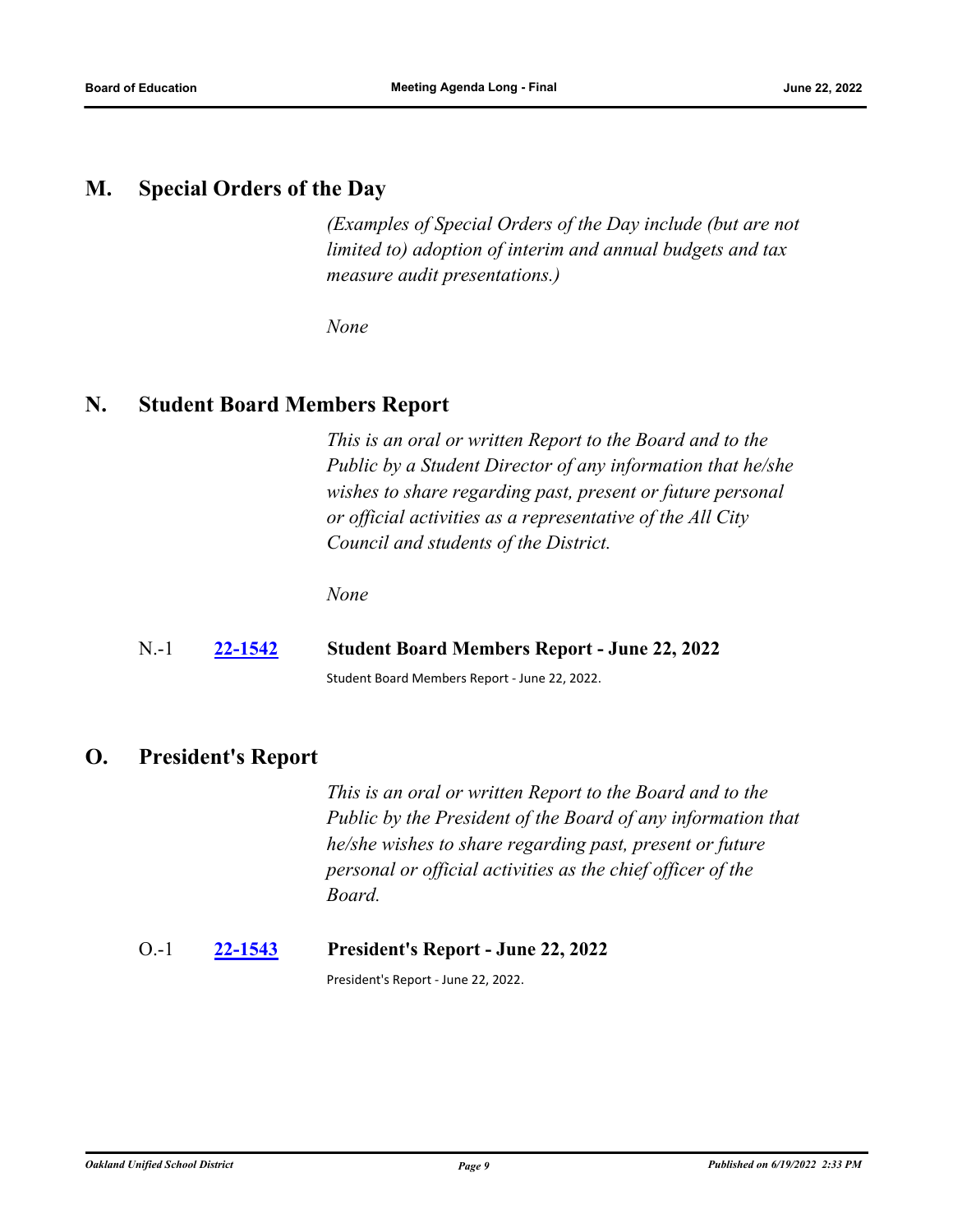### <span id="page-13-1"></span><span id="page-13-0"></span>**M. Special Orders of the Day**

*(Examples of Special Orders of the Day include (but are not limited to) adoption of interim and annual budgets and tax measure audit presentations.)*

*None*

### <span id="page-13-3"></span><span id="page-13-2"></span>**N. Student Board Members Report**

*This is an oral or written Report to the Board and to the Public by a Student Director of any information that he/she wishes to share regarding past, present or future personal or official activities as a representative of the All City Council and students of the District.*

*None*

### N.-1 **[22-1542](http://ousd.legistar.com/gateway.aspx?m=l&id=/matter.aspx?key=55836) Student Board Members Report - June 22, 2022**

Student Board Members Report - June 22, 2022.

## **O. President's Report**

*This is an oral or written Report to the Board and to the Public by the President of the Board of any information that he/she wishes to share regarding past, present or future personal or official activities as the chief officer of the Board.*

### O.-1 **[22-1543](http://ousd.legistar.com/gateway.aspx?m=l&id=/matter.aspx?key=55837) President's Report - June 22, 2022**

President's Report - June 22, 2022.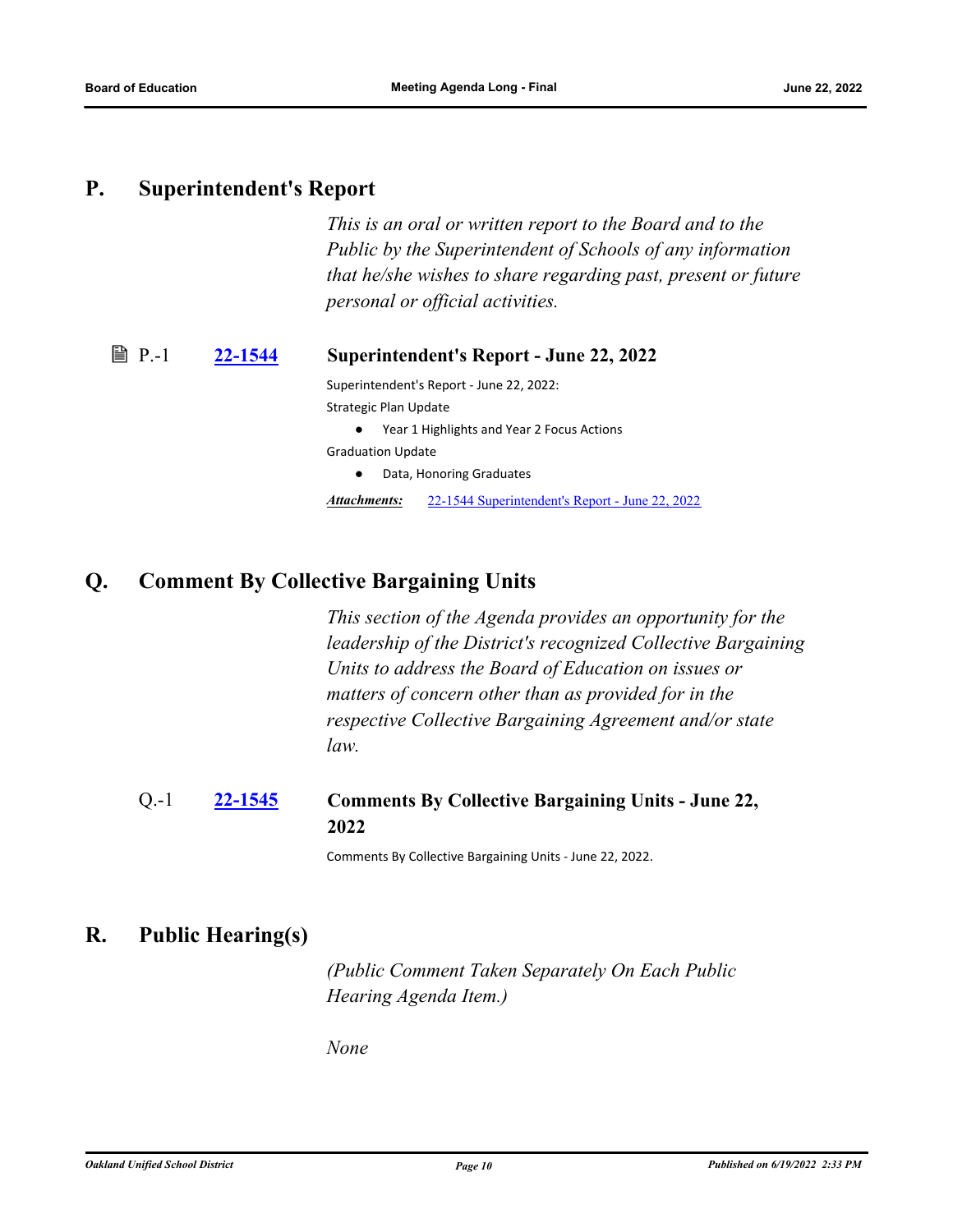### <span id="page-14-1"></span><span id="page-14-0"></span>**P. Superintendent's Report**

*This is an oral or written report to the Board and to the Public by the Superintendent of Schools of any information that he/she wishes to share regarding past, present or future personal or official activities.*

### <span id="page-14-2"></span>P.-1 **[22-1544](http://ousd.legistar.com/gateway.aspx?m=l&id=/matter.aspx?key=55838) Superintendent's Report - June 22, 2022**

Superintendent's Report - June 22, 2022: Strategic Plan Update

● Year 1 Highlights and Year 2 Focus Actions

Graduation Update

● Data, Honoring Graduates

*Attachments:* [22-1544 Superintendent's Report - June 22, 2022](http://ousd.legistar.com/gateway.aspx?M=F&ID=104806.pptx)

## **Q. Comment By Collective Bargaining Units**

*This section of the Agenda provides an opportunity for the leadership of the District's recognized Collective Bargaining Units to address the Board of Education on issues or matters of concern other than as provided for in the respective Collective Bargaining Agreement and/or state law.*

#### **[22-1545](http://ousd.legistar.com/gateway.aspx?m=l&id=/matter.aspx?key=55839) Comments By Collective Bargaining Units - June 22, 2022** Q.-1

Comments By Collective Bargaining Units - June 22, 2022.

# **R. Public Hearing(s)**

*(Public Comment Taken Separately On Each Public Hearing Agenda Item.)*

*None*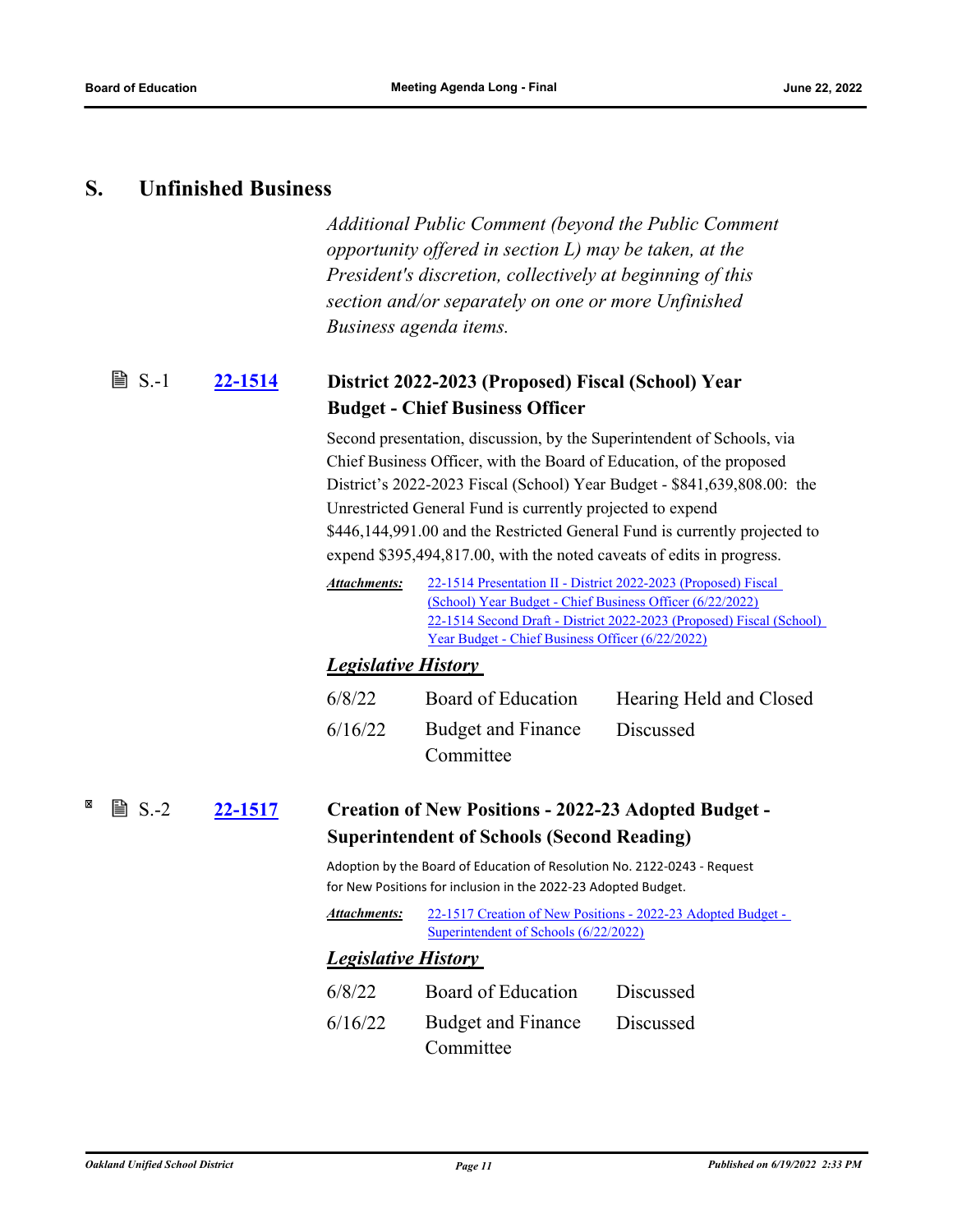### <span id="page-15-0"></span>**S. Unfinished Business**

*Additional Public Comment (beyond the Public Comment opportunity offered in section L) may be taken, at the President's discretion, collectively at beginning of this section and/or separately on one or more Unfinished Business agenda items.*

#### <span id="page-15-1"></span>**[22-1514](http://ousd.legistar.com/gateway.aspx?m=l&id=/matter.aspx?key=55808) District 2022-2023 (Proposed) Fiscal (School) Year Budget - Chief Business Officer ■ S.-1**

Second presentation, discussion, by the Superintendent of Schools, via Chief Business Officer, with the Board of Education, of the proposed District's 2022-2023 Fiscal (School) Year Budget - \$841,639,808.00: the Unrestricted General Fund is currently projected to expend \$446,144,991.00 and the Restricted General Fund is currently projected to expend \$395,494,817.00, with the noted caveats of edits in progress.

[22-1514 Presentation II - District 2022-2023 \(Proposed\) Fiscal](http://ousd.legistar.com/gateway.aspx?M=F&ID=104831.pptx)  (School) Year Budget - Chief Business Officer (6/22/2022) [22-1514 Second Draft - District 2022-2023 \(Proposed\) Fiscal \(School\)](http://ousd.legistar.com/gateway.aspx?M=F&ID=104832.pdf)  Year Budget - Chief Business Officer (6/22/2022) *Attachments:*

### *Legislative History*

| Budget and Finance<br>6/16/22<br>Discussed<br>Committee | 6/8/22 | Board of Education | Hearing Held and Closed |
|---------------------------------------------------------|--------|--------------------|-------------------------|
|                                                         |        |                    |                         |

#### ×  $\mathbb{B}$  S.-2 **[22-1517](http://ousd.legistar.com/gateway.aspx?m=l&id=/matter.aspx?key=55811) Creation of New Positions - 2022-23 Adopted Budget - Superintendent of Schools (Second Reading)**

Adoption by the Board of Education of Resolution No. 2122-0243 - Request for New Positions for inclusion in the 2022-23 Adopted Budget.

| Attachments: | 22-1517 Creation of New Positions - 2022-23 Adopted Budget - |
|--------------|--------------------------------------------------------------|
|              | Superintendent of Schools (6/22/2022)                        |

### *Legislative History*

6/8/22 Board of Education Discussed 6/16/22 Budget and Finance **Committee** Discussed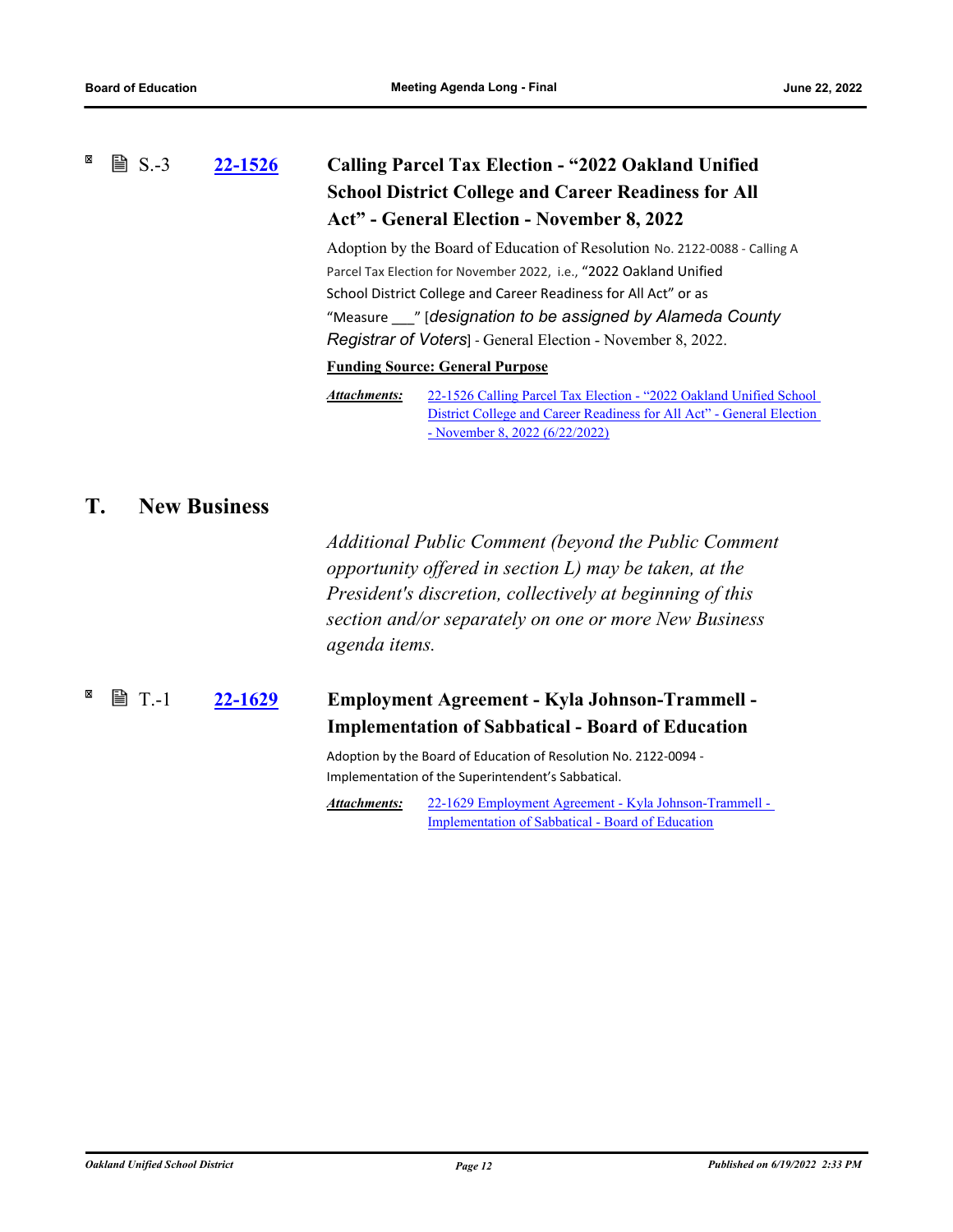#### <span id="page-16-1"></span><span id="page-16-0"></span>×  $\mathbb{B}$  S.-3 **[22-1526](http://ousd.legistar.com/gateway.aspx?m=l&id=/matter.aspx?key=55820) Calling Parcel Tax Election - "2022 Oakland Unified School District College and Career Readiness for All Act" - General Election - November 8, 2022**

Adoption by the Board of Education of Resolution No. 2122-0088 - Calling A Parcel Tax Election for November 2022, i.e., "2022 Oakland Unified School District College and Career Readiness for All Act" or as "Measure \_\_\_" [*designation to be assigned by Alameda County Registrar of Voters*] - General Election - November 8, 2022.

#### **Funding Source: General Purpose**

22-1526 Calling Parcel Tax Election - "2022 Oakland Unified School [District College and Career Readiness for All Act" - General Election](http://ousd.legistar.com/gateway.aspx?M=F&ID=104837.pdf)  - November 8, 2022 (6/22/2022) *Attachments:*

## **T. New Business**

*Additional Public Comment (beyond the Public Comment opportunity offered in section L) may be taken, at the President's discretion, collectively at beginning of this section and/or separately on one or more New Business agenda items.*

#### **[22-1629](http://ousd.legistar.com/gateway.aspx?m=l&id=/matter.aspx?key=55921) Employment Agreement - Kyla Johnson-Trammell - Implementation of Sabbatical - Board of Education**  $\mathbb{B}$  T.-1

Adoption by the Board of Education of Resolution No. 2122-0094 - Implementation of the Superintendent's Sabbatical.

[22-1629 Employment Agreement - Kyla Johnson-Trammell -](http://ousd.legistar.com/gateway.aspx?M=F&ID=104827.pdf)  Implementation of Sabbatical - Board of Education *Attachments:*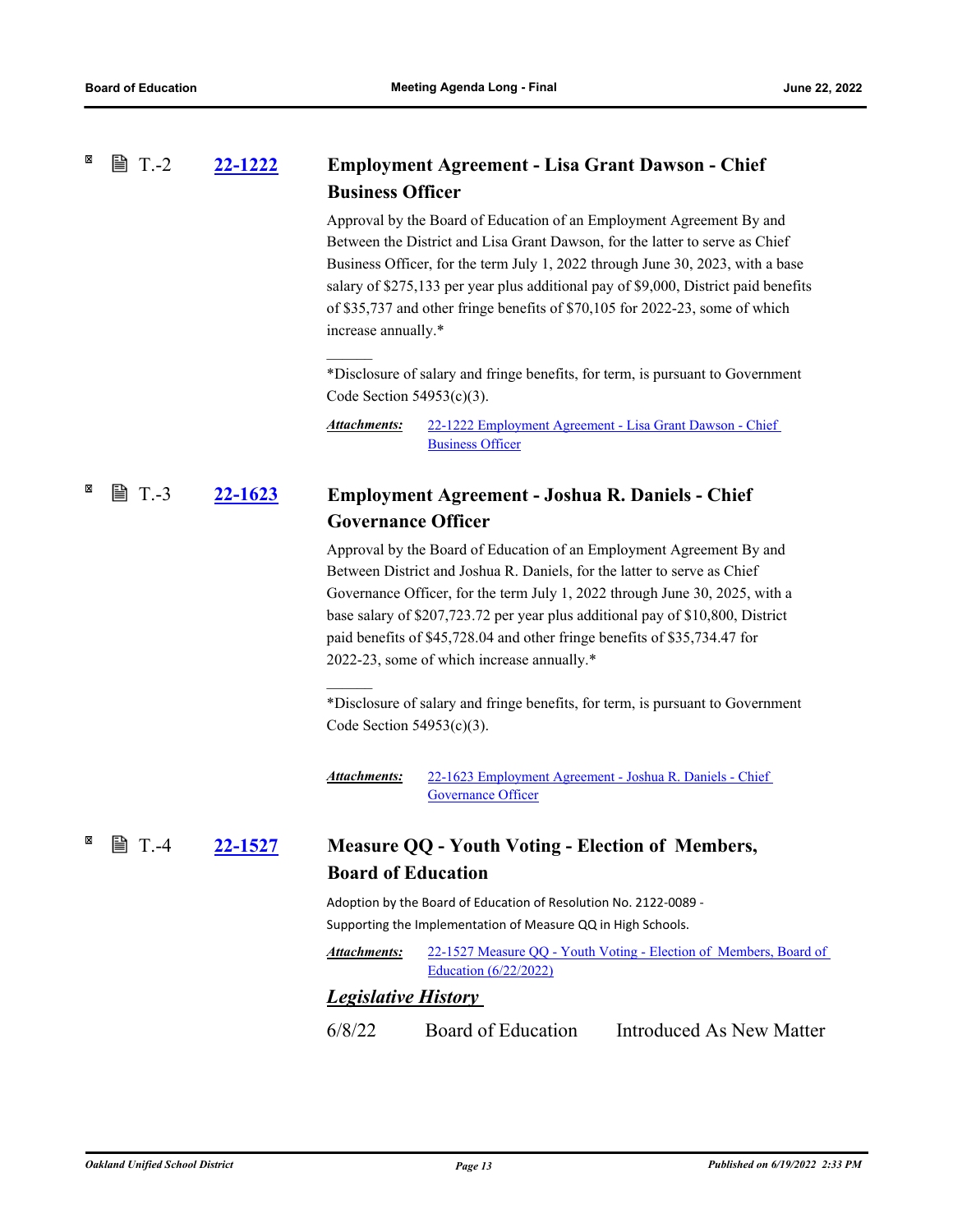#### <span id="page-17-1"></span><span id="page-17-0"></span>×  $\mathbb{B}$  T.-2 **[22-1222](http://ousd.legistar.com/gateway.aspx?m=l&id=/matter.aspx?key=55516) Employment Agreement - Lisa Grant Dawson - Chief Business Officer**

Approval by the Board of Education of an Employment Agreement By and Between the District and Lisa Grant Dawson, for the latter to serve as Chief Business Officer, for the term July 1, 2022 through June 30, 2023, with a base salary of \$275,133 per year plus additional pay of \$9,000, District paid benefits of \$35,737 and other fringe benefits of \$70,105 for 2022-23, some of which increase annually.\*

\*Disclosure of salary and fringe benefits, for term, is pursuant to Government Code Section 54953(c)(3).

[22-1222 Employment Agreement - Lisa Grant Dawson - Chief](http://ousd.legistar.com/gateway.aspx?M=F&ID=104842.pdf)  Business Officer *Attachments:*

#### <span id="page-17-2"></span>**[22-1623](http://ousd.legistar.com/gateway.aspx?m=l&id=/matter.aspx?key=55915) Employment Agreement - Joshua R. Daniels - Chief Governance Officer ■ T.-3**

 $\mathcal{L}=\mathcal{L}$ 

Approval by the Board of Education of an Employment Agreement By and Between District and Joshua R. Daniels, for the latter to serve as Chief Governance Officer, for the term July 1, 2022 through June 30, 2025, with a base salary of \$207,723.72 per year plus additional pay of \$10,800, District paid benefits of \$45,728.04 and other fringe benefits of \$35,734.47 for 2022-23, some of which increase annually.\*

\*Disclosure of salary and fringe benefits, for term, is pursuant to Government Code Section 54953(c)(3).

[22-1623 Employment Agreement - Joshua R. Daniels - Chief](http://ousd.legistar.com/gateway.aspx?M=F&ID=104843.pdf)  Governance Officer *Attachments:*

#### **[22-1527](http://ousd.legistar.com/gateway.aspx?m=l&id=/matter.aspx?key=55821) Measure QQ - Youth Voting - Election of Members, Board of Education ■ T.-4**

Adoption by the Board of Education of Resolution No. 2122-0089 - Supporting the Implementation of Measure QQ in High Schools.

[22-1527 Measure QQ - Youth Voting - Election of Members, Board of](http://ousd.legistar.com/gateway.aspx?M=F&ID=104838.pdf)  Education (6/22/2022) *Attachments:*

### *Legislative History*

6/8/22 Board of Education Introduced As New Matter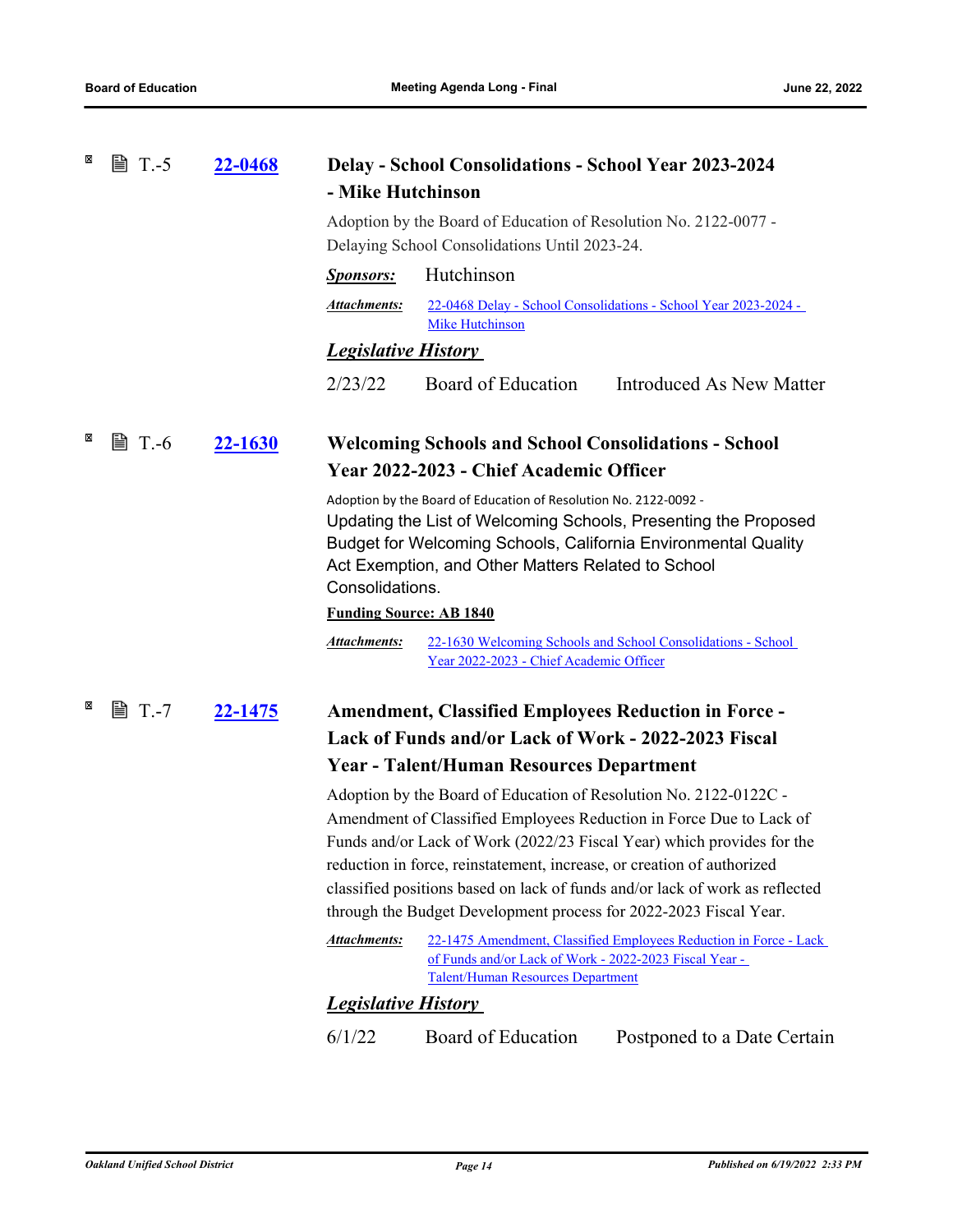<span id="page-18-2"></span><span id="page-18-1"></span><span id="page-18-0"></span>

| × | <b>■ T.-5</b> | <u>22-0468</u> | <b>Delay - School Consolidations - School Year 2023-2024</b><br>- Mike Hutchinson                      |                                                                                                                                             |                                                                                                                                                                                                                                                                                                    |
|---|---------------|----------------|--------------------------------------------------------------------------------------------------------|---------------------------------------------------------------------------------------------------------------------------------------------|----------------------------------------------------------------------------------------------------------------------------------------------------------------------------------------------------------------------------------------------------------------------------------------------------|
|   |               |                |                                                                                                        | Adoption by the Board of Education of Resolution No. 2122-0077 -<br>Delaying School Consolidations Until 2023-24.                           |                                                                                                                                                                                                                                                                                                    |
|   |               |                | <u>Sponsors:</u>                                                                                       | Hutchinson                                                                                                                                  |                                                                                                                                                                                                                                                                                                    |
|   |               |                | <b>Attachments:</b>                                                                                    | <b>Mike Hutchinson</b>                                                                                                                      | 22-0468 Delay - School Consolidations - School Year 2023-2024 -                                                                                                                                                                                                                                    |
|   |               |                | <b>Legislative History</b>                                                                             |                                                                                                                                             |                                                                                                                                                                                                                                                                                                    |
|   |               |                | 2/23/22                                                                                                | Board of Education                                                                                                                          | Introduced As New Matter                                                                                                                                                                                                                                                                           |
| × | $\equiv$ T.-6 | 22-1630        | <b>Welcoming Schools and School Consolidations - School</b><br>Year 2022-2023 - Chief Academic Officer |                                                                                                                                             |                                                                                                                                                                                                                                                                                                    |
|   |               |                | Consolidations.                                                                                        | Adoption by the Board of Education of Resolution No. 2122-0092 -<br>Act Exemption, and Other Matters Related to School                      | Updating the List of Welcoming Schools, Presenting the Proposed<br>Budget for Welcoming Schools, California Environmental Quality                                                                                                                                                                  |
|   |               |                | <b>Funding Source: AB 1840</b>                                                                         |                                                                                                                                             |                                                                                                                                                                                                                                                                                                    |
|   |               |                | <b>Attachments:</b>                                                                                    | Year 2022-2023 - Chief Academic Officer                                                                                                     | 22-1630 Welcoming Schools and School Consolidations - School                                                                                                                                                                                                                                       |
| × | 圖 T.-7        | 22-1475        |                                                                                                        | <b>Amendment, Classified Employees Reduction in Force -</b>                                                                                 |                                                                                                                                                                                                                                                                                                    |
|   |               |                |                                                                                                        | Lack of Funds and/or Lack of Work - 2022-2023 Fiscal                                                                                        |                                                                                                                                                                                                                                                                                                    |
|   |               |                |                                                                                                        | <b>Year - Talent/Human Resources Department</b>                                                                                             |                                                                                                                                                                                                                                                                                                    |
|   |               |                |                                                                                                        | reduction in force, reinstatement, increase, or creation of authorized<br>through the Budget Development process for 2022-2023 Fiscal Year. | Adoption by the Board of Education of Resolution No. 2122-0122C -<br>Amendment of Classified Employees Reduction in Force Due to Lack of<br>Funds and/or Lack of Work (2022/23 Fiscal Year) which provides for the<br>classified positions based on lack of funds and/or lack of work as reflected |
|   |               |                | <b>Attachments:</b>                                                                                    | of Funds and/or Lack of Work - 2022-2023 Fiscal Year -<br><b>Talent/Human Resources Department</b>                                          | 22-1475 Amendment, Classified Employees Reduction in Force - Lack                                                                                                                                                                                                                                  |
|   |               |                | <b>Legislative History</b>                                                                             |                                                                                                                                             |                                                                                                                                                                                                                                                                                                    |
|   |               |                | 6/1/22                                                                                                 | Board of Education                                                                                                                          | Postponed to a Date Certain                                                                                                                                                                                                                                                                        |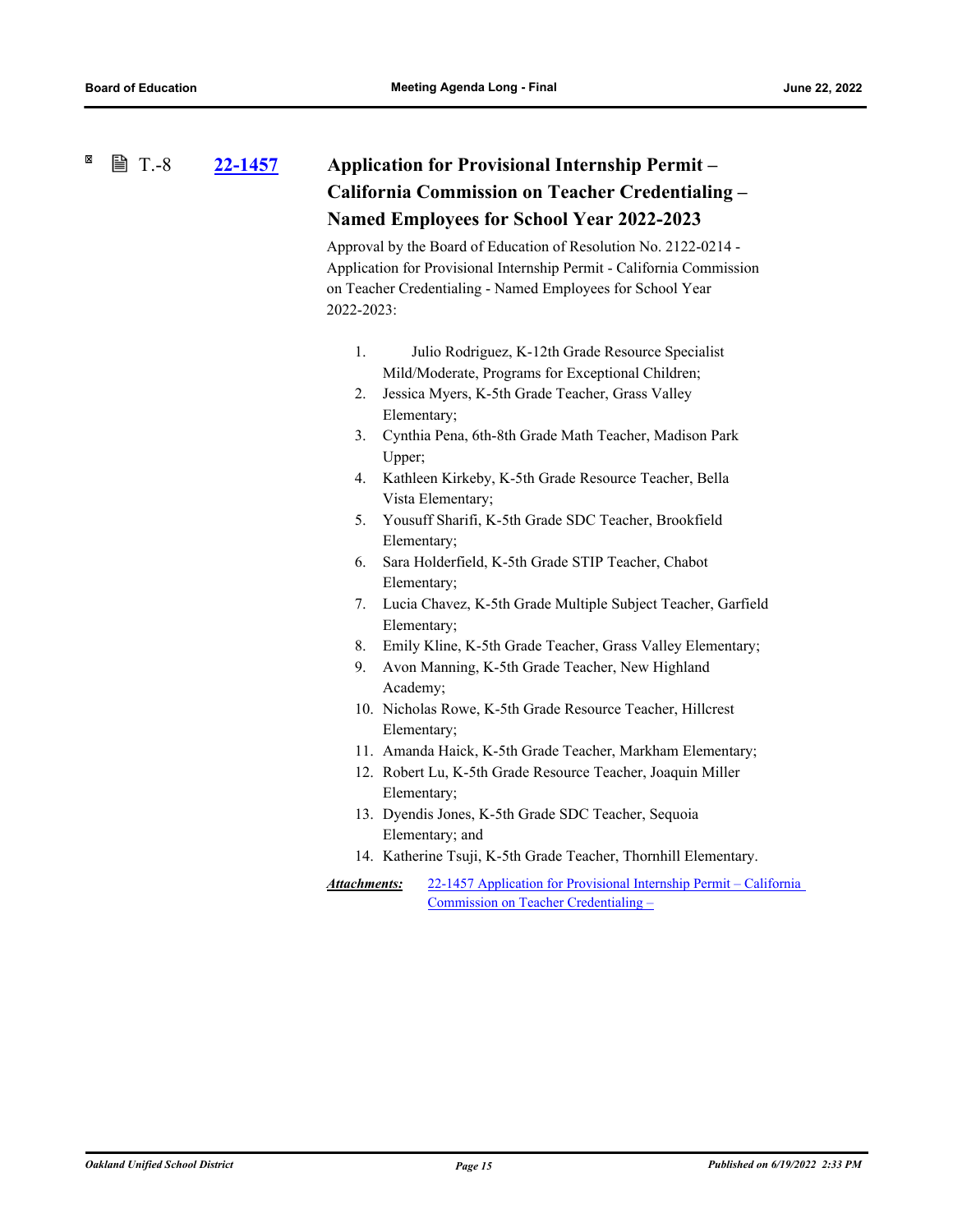### <span id="page-19-0"></span>**[22-1457](http://ousd.legistar.com/gateway.aspx?m=l&id=/matter.aspx?key=55751) Application for Provisional Internship Permit – California Commission on Teacher Credentialing – Named Employees for School Year 2022-2023 ■ T.-8**

Approval by the Board of Education of Resolution No. 2122-0214 - Application for Provisional Internship Permit - California Commission on Teacher Credentialing - Named Employees for School Year 2022-2023:

- 1. Julio Rodriguez, K-12th Grade Resource Specialist Mild/Moderate, Programs for Exceptional Children;
- 2. Jessica Myers, K-5th Grade Teacher, Grass Valley Elementary;
- 3. Cynthia Pena, 6th-8th Grade Math Teacher, Madison Park Upper;
- 4. Kathleen Kirkeby, K-5th Grade Resource Teacher, Bella Vista Elementary;
- 5. Yousuff Sharifi, K-5th Grade SDC Teacher, Brookfield Elementary;
- 6. Sara Holderfield, K-5th Grade STIP Teacher, Chabot Elementary;
- 7. Lucia Chavez, K-5th Grade Multiple Subject Teacher, Garfield Elementary;
- 8. Emily Kline, K-5th Grade Teacher, Grass Valley Elementary;
- 9. Avon Manning, K-5th Grade Teacher, New Highland Academy;
- 10. Nicholas Rowe, K-5th Grade Resource Teacher, Hillcrest Elementary;
- 11. Amanda Haick, K-5th Grade Teacher, Markham Elementary;
- 12. Robert Lu, K-5th Grade Resource Teacher, Joaquin Miller Elementary;
- 13. Dyendis Jones, K-5th Grade SDC Teacher, Sequoia Elementary; and
- 14. Katherine Tsuji, K-5th Grade Teacher, Thornhill Elementary.
- [22-1457 Application for Provisional Internship Permit California](http://ousd.legistar.com/gateway.aspx?M=F&ID=104724.pdf)  Commission on Teacher Credentialing – *Attachments:*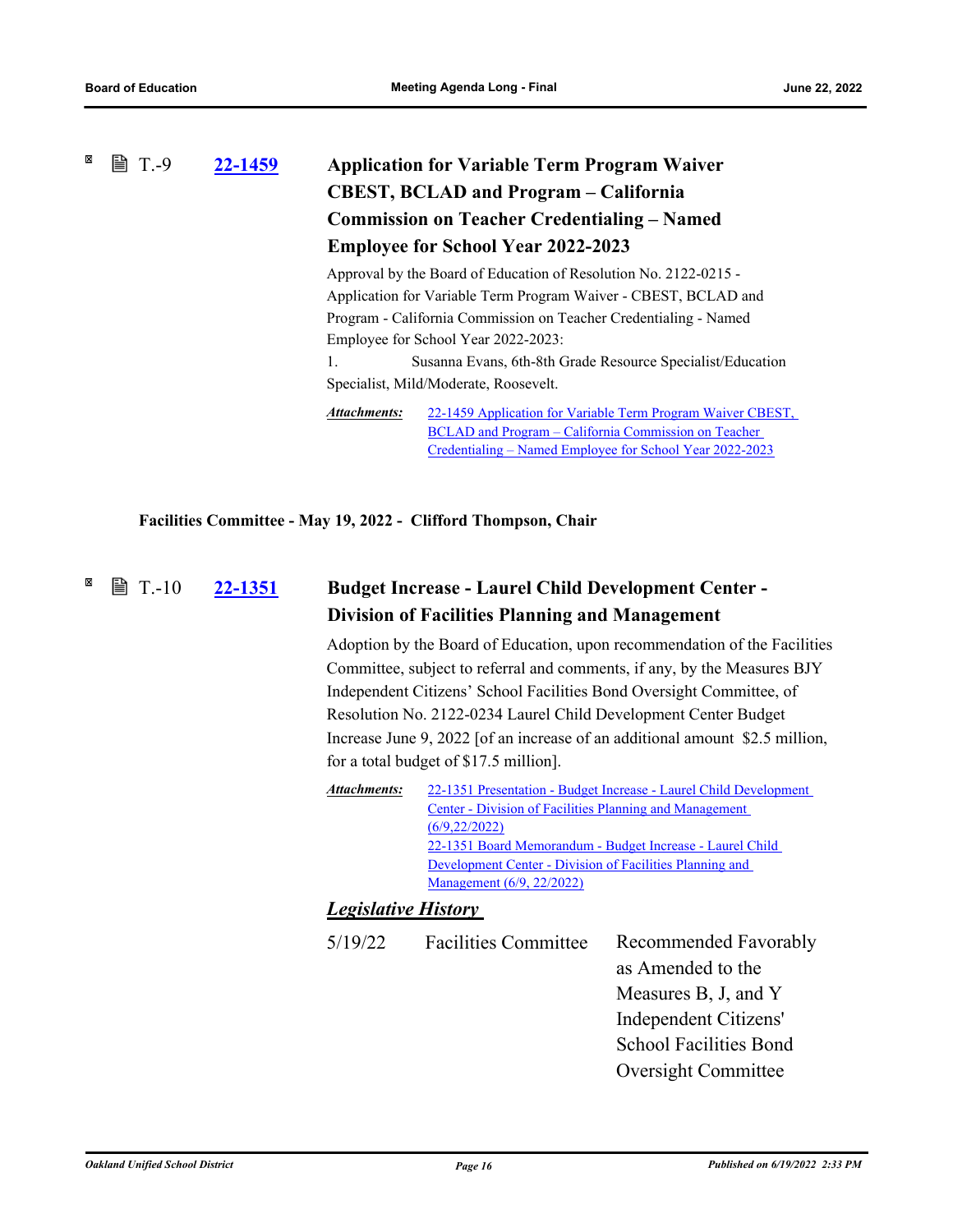### <span id="page-20-1"></span><span id="page-20-0"></span>×  $\mathbb{B}$  T.-9 **[22-1459](http://ousd.legistar.com/gateway.aspx?m=l&id=/matter.aspx?key=55753) Application for Variable Term Program Waiver CBEST, BCLAD and Program – California Commission on Teacher Credentialing – Named Employee for School Year 2022-2023** Approval by the Board of Education of Resolution No. 2122-0215 -

Application for Variable Term Program Waiver - CBEST, BCLAD and Program - California Commission on Teacher Credentialing - Named Employee for School Year 2022-2023:

1. Susanna Evans, 6th-8th Grade Resource Specialist/Education Specialist, Mild/Moderate, Roosevelt.

[22-1459 Application for Variable Term Program Waiver CBEST,](http://ousd.legistar.com/gateway.aspx?M=F&ID=104725.pdf)  BCLAD and Program – California Commission on Teacher Credentialing – Named Employee for School Year 2022-2023 *Attachments:*

**Facilities Committee - May 19, 2022 - Clifford Thompson, Chair**

#### **[22-1351](http://ousd.legistar.com/gateway.aspx?m=l&id=/matter.aspx?key=55645) Budget Increase - Laurel Child Development Center - Division of Facilities Planning and Management**  $\mathbb{B}$  T.-10

Adoption by the Board of Education, upon recommendation of the Facilities Committee, subject to referral and comments, if any, by the Measures BJY Independent Citizens' School Facilities Bond Oversight Committee, of Resolution No. 2122-0234 Laurel Child Development Center Budget Increase June 9, 2022 [of an increase of an additional amount \$2.5 million, for a total budget of \$17.5 million].

| Attachments:<br>22-1351 Presentation - Budget Increase - Laurel Child Development |  |  |  |
|-----------------------------------------------------------------------------------|--|--|--|
| Center - Division of Facilities Planning and Management                           |  |  |  |
| (6/9, 22/2022)                                                                    |  |  |  |
| 22-1351 Board Memorandum - Budget Increase - Laurel Child                         |  |  |  |
| Development Center - Division of Facilities Planning and                          |  |  |  |
| Management (6/9, 22/2022)                                                         |  |  |  |
|                                                                                   |  |  |  |

### *Legislative History*

| <b>Facilities Committee</b> | Recommended Favorably         |
|-----------------------------|-------------------------------|
|                             | as Amended to the             |
|                             | Measures B, J, and Y          |
|                             | Independent Citizens'         |
|                             | <b>School Facilities Bond</b> |
|                             | <b>Oversight Committee</b>    |
|                             |                               |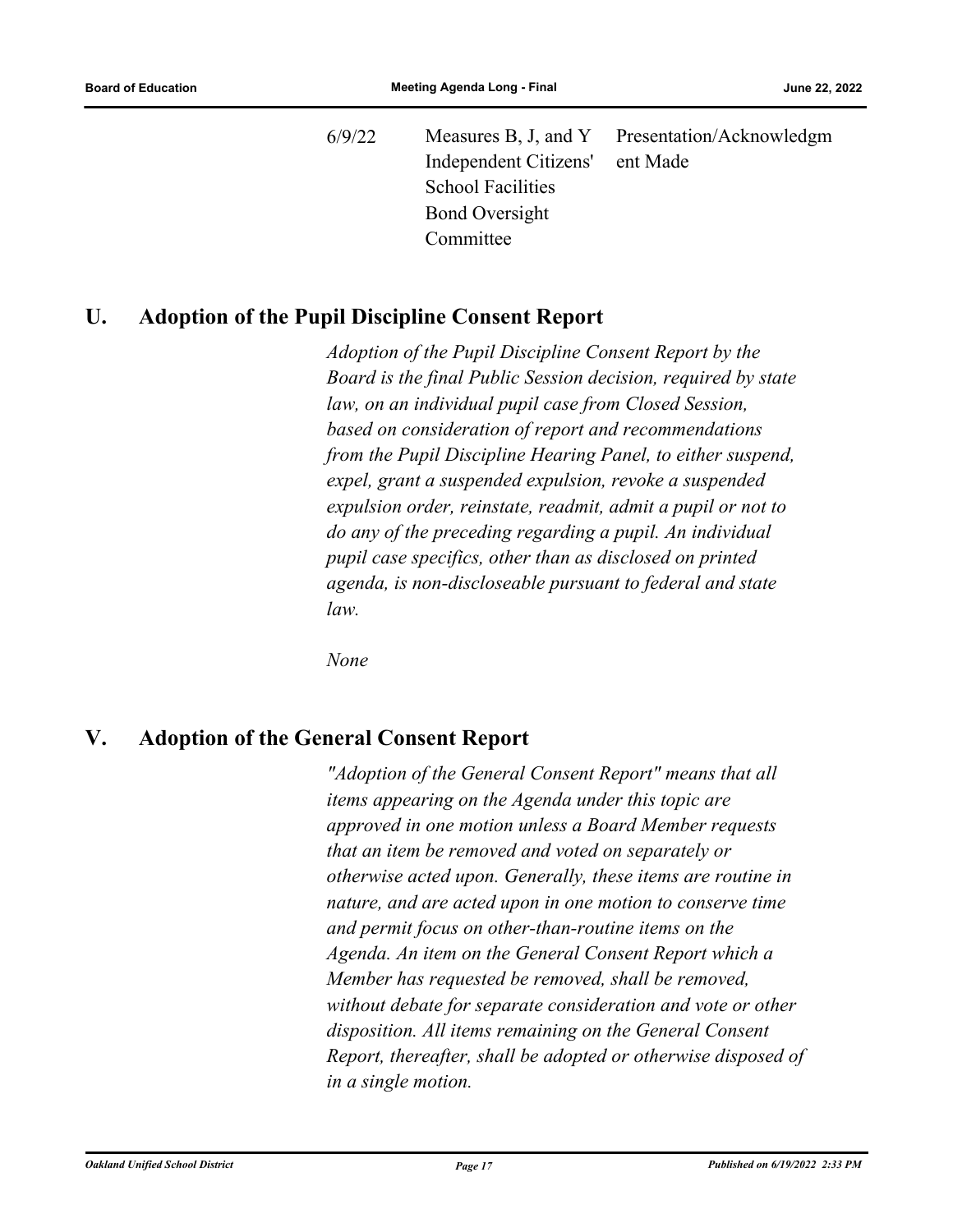6/9/22 Measures B, J, and Y Independent Citizens' School Facilities Bond Oversight Committee Presentation/Acknowledgm ent Made

### <span id="page-21-1"></span><span id="page-21-0"></span>**U. Adoption of the Pupil Discipline Consent Report**

*Adoption of the Pupil Discipline Consent Report by the Board is the final Public Session decision, required by state law, on an individual pupil case from Closed Session, based on consideration of report and recommendations from the Pupil Discipline Hearing Panel, to either suspend, expel, grant a suspended expulsion, revoke a suspended expulsion order, reinstate, readmit, admit a pupil or not to do any of the preceding regarding a pupil. An individual pupil case specifics, other than as disclosed on printed agenda, is non-discloseable pursuant to federal and state law.*

*None*

# **V. Adoption of the General Consent Report**

*"Adoption of the General Consent Report" means that all items appearing on the Agenda under this topic are approved in one motion unless a Board Member requests that an item be removed and voted on separately or otherwise acted upon. Generally, these items are routine in nature, and are acted upon in one motion to conserve time and permit focus on other‑than‑routine items on the Agenda. An item on the General Consent Report which a Member has requested be removed, shall be removed, without debate for separate consideration and vote or other disposition. All items remaining on the General Consent Report, thereafter, shall be adopted or otherwise disposed of in a single motion.*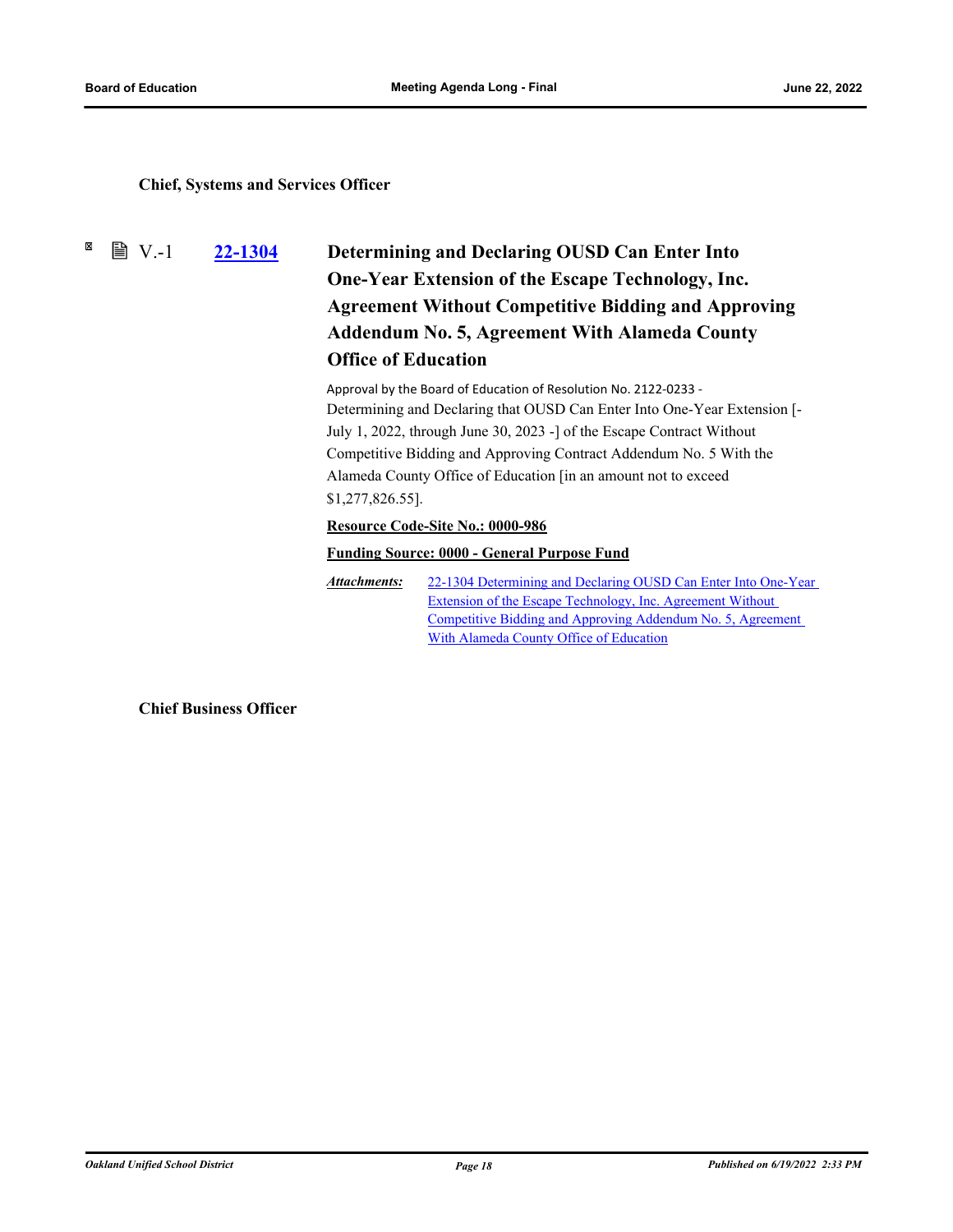### <span id="page-22-0"></span>**Chief, Systems and Services Officer**

<span id="page-22-1"></span> $\boxtimes$  $\mathbb{B}$  V.-1

# **[22-1304](http://ousd.legistar.com/gateway.aspx?m=l&id=/matter.aspx?key=55598) Determining and Declaring OUSD Can Enter Into One-Year Extension of the Escape Technology, Inc. Agreement Without Competitive Bidding and Approving Addendum No. 5, Agreement With Alameda County Office of Education**

Approval by the Board of Education of Resolution No. 2122-0233 - Determining and Declaring that OUSD Can Enter Into One-Year Extension [- July 1, 2022, through June 30, 2023 -] of the Escape Contract Without Competitive Bidding and Approving Contract Addendum No. 5 With the Alameda County Office of Education [in an amount not to exceed \$1,277,826.55].

### **Resource Code-Site No.: 0000-986**

### **Funding Source: 0000 - General Purpose Fund**

[22-1304 Determining and Declaring OUSD Can Enter Into One-Year](http://ousd.legistar.com/gateway.aspx?M=F&ID=104726.pdf)  Extension of the Escape Technology, Inc. Agreement Without Competitive Bidding and Approving Addendum No. 5, Agreement With Alameda County Office of Education *Attachments:*

**Chief Business Officer**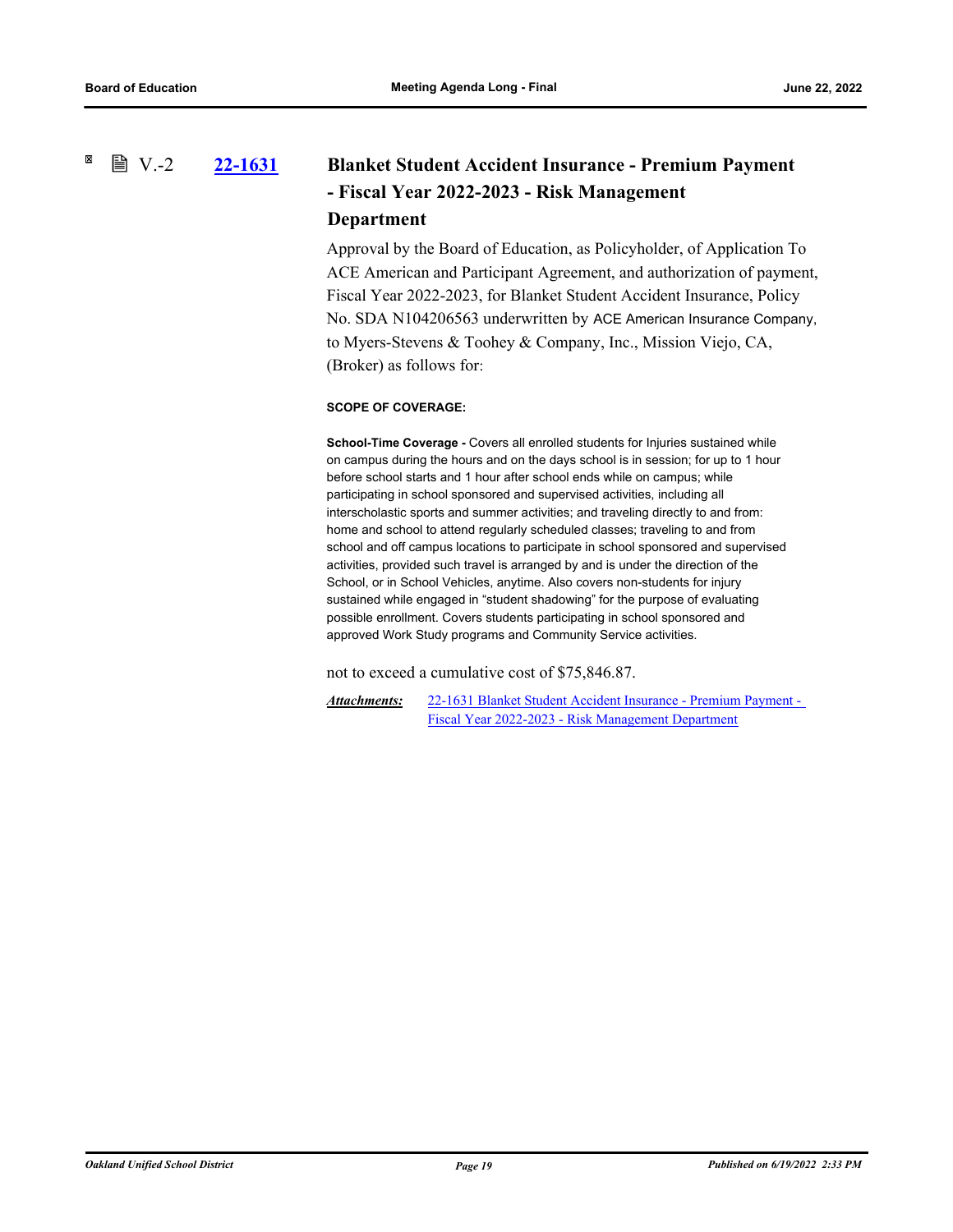### <span id="page-23-0"></span>**[22-1631](http://ousd.legistar.com/gateway.aspx?m=l&id=/matter.aspx?key=55923) Blanket Student Accident Insurance - Premium Payment - Fiscal Year 2022-2023 - Risk Management Department**  $\mathbb{B}$  V.-2

Approval by the Board of Education, as Policyholder, of Application To ACE American and Participant Agreement, and authorization of payment, Fiscal Year 2022-2023, for Blanket Student Accident Insurance, Policy No. SDA N104206563 underwritten by ACE American Insurance Company, to Myers-Stevens & Toohey & Company, Inc., Mission Viejo, CA, (Broker) as follows for:

### **SCOPE OF COVERAGE:**

**School-Time Coverage -** Covers all enrolled students for Injuries sustained while on campus during the hours and on the days school is in session; for up to 1 hour before school starts and 1 hour after school ends while on campus; while participating in school sponsored and supervised activities, including all interscholastic sports and summer activities; and traveling directly to and from: home and school to attend regularly scheduled classes; traveling to and from school and off campus locations to participate in school sponsored and supervised activities, provided such travel is arranged by and is under the direction of the School, or in School Vehicles, anytime. Also covers non-students for injury sustained while engaged in "student shadowing" for the purpose of evaluating possible enrollment. Covers students participating in school sponsored and approved Work Study programs and Community Service activities.

not to exceed a cumulative cost of \$75,846.87.

[22-1631 Blanket Student Accident Insurance - Premium Payment -](http://ousd.legistar.com/gateway.aspx?M=F&ID=104834.pdf)  Fiscal Year 2022-2023 - Risk Management Department *Attachments:*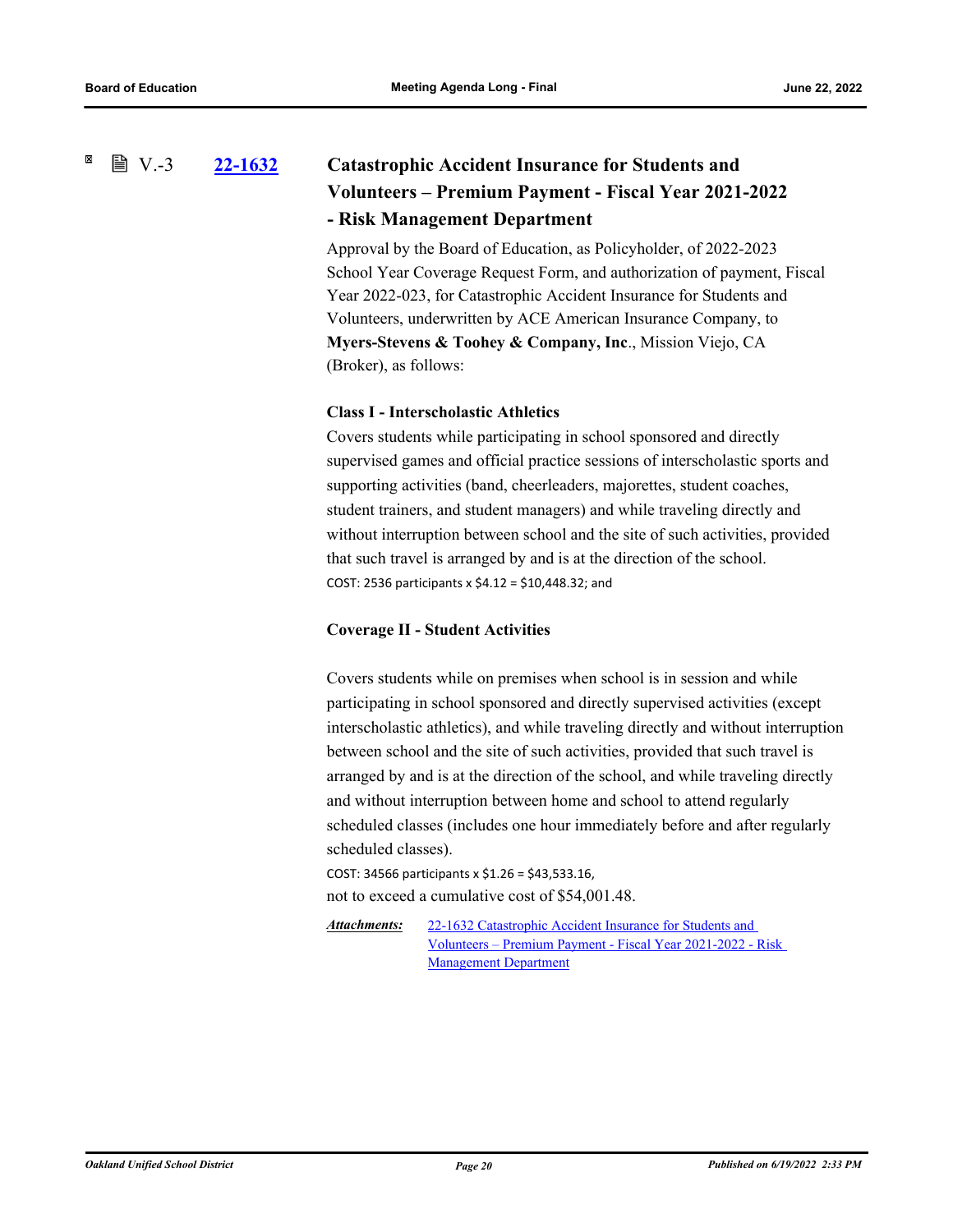#### <span id="page-24-0"></span>× **■ V.-3 [22-1632](http://ousd.legistar.com/gateway.aspx?m=l&id=/matter.aspx?key=55924) Catastrophic Accident Insurance for Students and Volunteers – Premium Payment - Fiscal Year 2021-2022 - Risk Management Department**

Approval by the Board of Education, as Policyholder, of 2022-2023 School Year Coverage Request Form, and authorization of payment, Fiscal Year 2022-023, for Catastrophic Accident Insurance for Students and Volunteers, underwritten by ACE American Insurance Company, to **Myers-Stevens & Toohey & Company, Inc**., Mission Viejo, CA (Broker), as follows:

### **Class I - Interscholastic Athletics**

Covers students while participating in school sponsored and directly supervised games and official practice sessions of interscholastic sports and supporting activities (band, cheerleaders, majorettes, student coaches, student trainers, and student managers) and while traveling directly and without interruption between school and the site of such activities, provided that such travel is arranged by and is at the direction of the school. COST: 2536 participants x \$4.12 = \$10,448.32; and

#### **Coverage II - Student Activities**

Covers students while on premises when school is in session and while participating in school sponsored and directly supervised activities (except interscholastic athletics), and while traveling directly and without interruption between school and the site of such activities, provided that such travel is arranged by and is at the direction of the school, and while traveling directly and without interruption between home and school to attend regularly scheduled classes (includes one hour immediately before and after regularly scheduled classes).

COST: 34566 participants x \$1.26 = \$43,533.16, not to exceed a cumulative cost of \$54,001.48.

22-1632 Catastrophic Accident Insurance for Students and [Volunteers – Premium Payment - Fiscal Year 2021-2022 - Risk](http://ousd.legistar.com/gateway.aspx?M=F&ID=104835.pdf)  Management Department *Attachments:*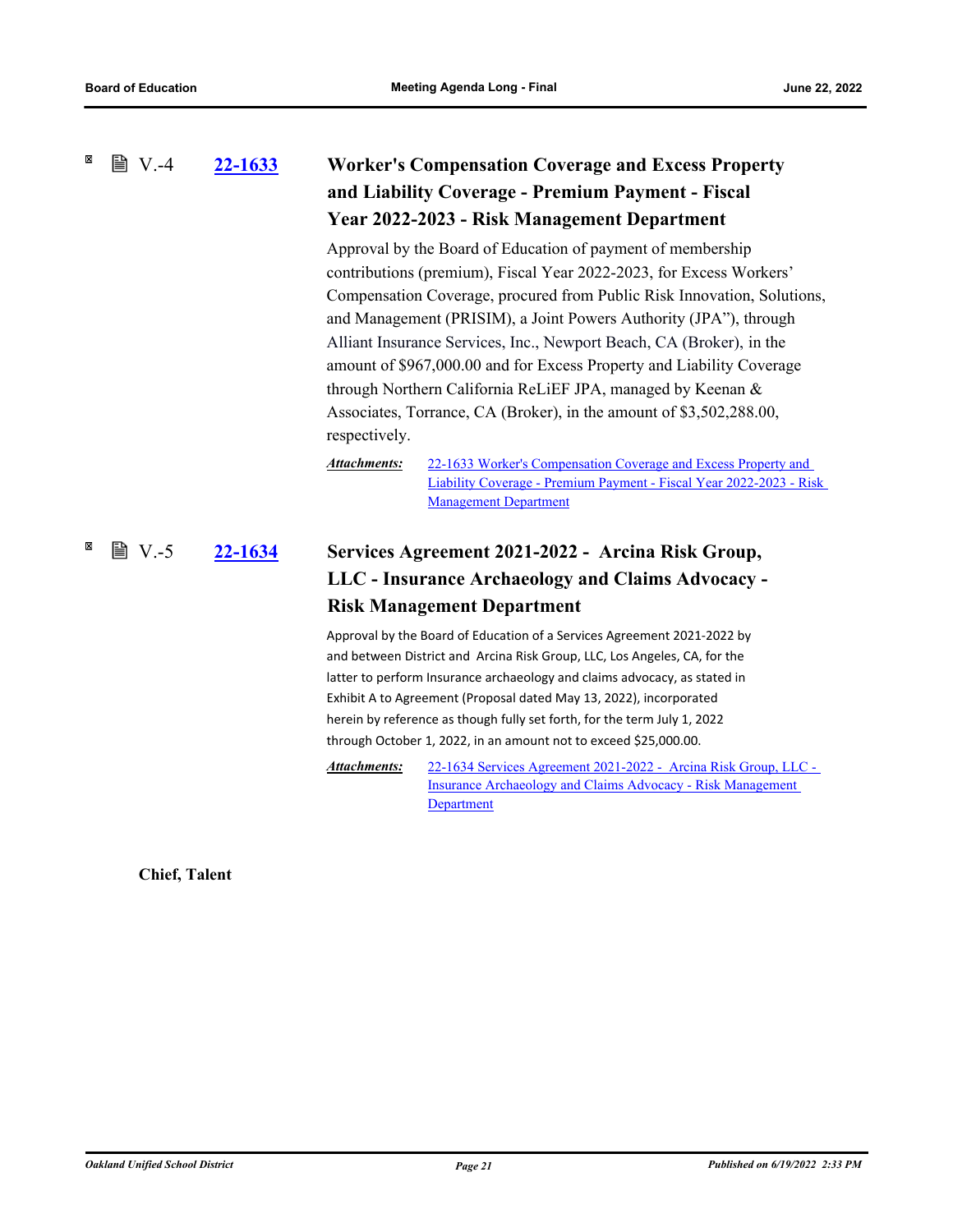#### <span id="page-25-2"></span><span id="page-25-1"></span><span id="page-25-0"></span>× **■ V.-4 [22-1633](http://ousd.legistar.com/gateway.aspx?m=l&id=/matter.aspx?key=55925) Worker's Compensation Coverage and Excess Property and Liability Coverage - Premium Payment - Fiscal Year 2022-2023 - Risk Management Department**

Approval by the Board of Education of payment of membership contributions (premium), Fiscal Year 2022-2023, for Excess Workers' Compensation Coverage, procured from Public Risk Innovation, Solutions, and Management (PRISIM), a Joint Powers Authority (JPA"), through Alliant Insurance Services, Inc., Newport Beach, CA (Broker), in the amount of \$967,000.00 and for Excess Property and Liability Coverage through Northern California ReLiEF JPA, managed by Keenan & Associates, Torrance, CA (Broker), in the amount of \$3,502,288.00, respectively.

*Attachments:*

22-1633 Worker's Compensation Coverage and Excess Property and [Liability Coverage - Premium Payment - Fiscal Year 2022-2023 - Risk](http://ousd.legistar.com/gateway.aspx?M=F&ID=104836.pdf)  Management Department

### **[22-1634](http://ousd.legistar.com/gateway.aspx?m=l&id=/matter.aspx?key=55926) Services Agreement 2021-2022 - Arcina Risk Group, LLC - Insurance Archaeology and Claims Advocacy - Risk Management Department ■ V.-5**

Approval by the Board of Education of a Services Agreement 2021-2022 by and between District and Arcina Risk Group, LLC, Los Angeles, CA, for the latter to perform Insurance archaeology and claims advocacy, as stated in Exhibit A to Agreement (Proposal dated May 13, 2022), incorporated herein by reference as though fully set forth, for the term July 1, 2022 through October 1, 2022, in an amount not to exceed \$25,000.00.

[22-1634 Services Agreement 2021-2022 - Arcina Risk Group, LLC -](http://ousd.legistar.com/gateway.aspx?M=F&ID=104821.pdf)  Insurance Archaeology and Claims Advocacy - Risk Management Department *Attachments:*

**Chief, Talent**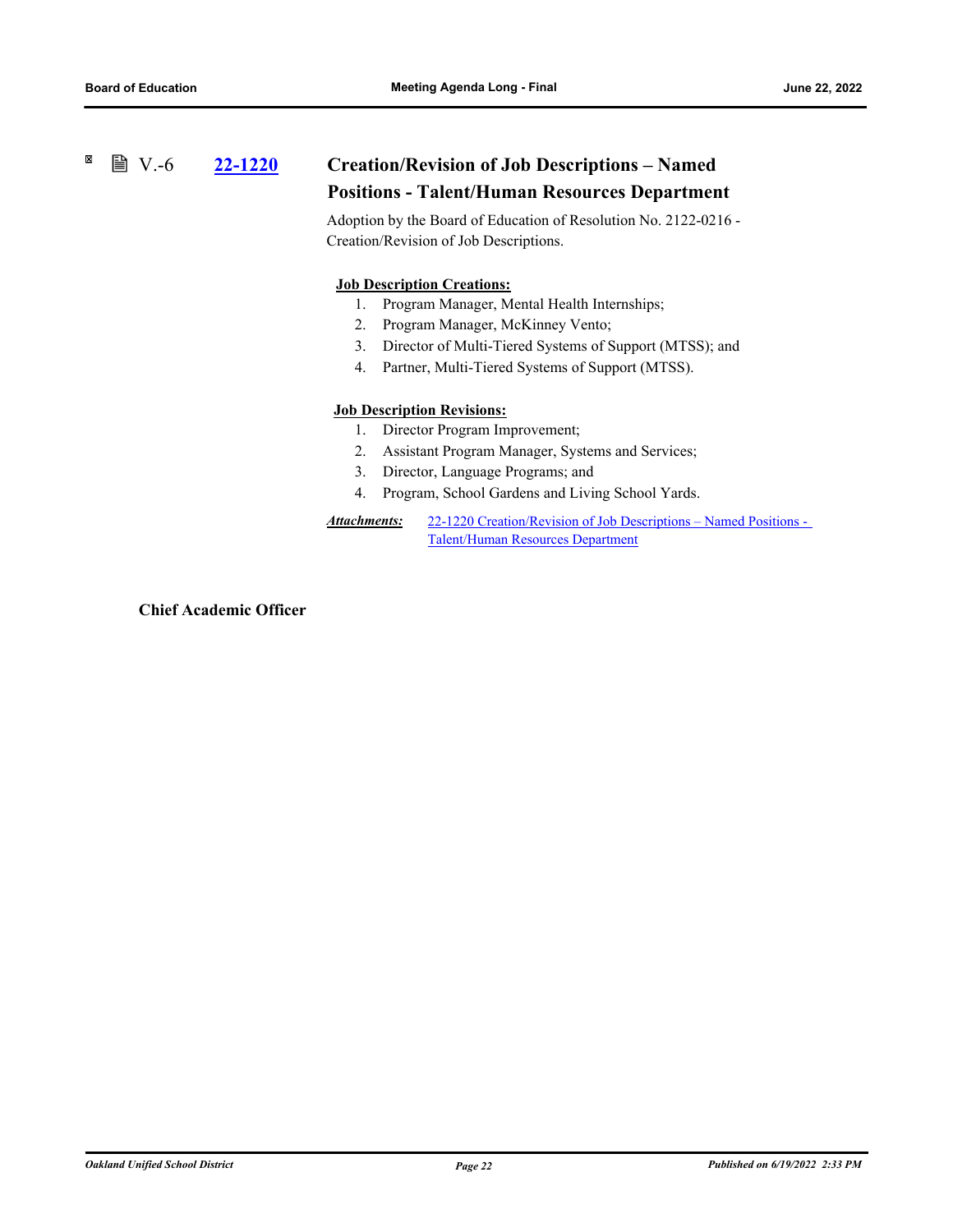#### <span id="page-26-1"></span><span id="page-26-0"></span>⊠ **■ V.-6**

# **[22-1220](http://ousd.legistar.com/gateway.aspx?m=l&id=/matter.aspx?key=55514) Creation/Revision of Job Descriptions – Named Positions - Talent/Human Resources Department**

Adoption by the Board of Education of Resolution No. 2122-0216 - Creation/Revision of Job Descriptions.

### **Job Description Creations:**

- 1. Program Manager, Mental Health Internships;
- 2. Program Manager, McKinney Vento;
- 3. Director of Multi-Tiered Systems of Support (MTSS); and
- 4. Partner, Multi-Tiered Systems of Support (MTSS).

### **Job Description Revisions:**

- 1. Director Program Improvement;
- 2. Assistant Program Manager, Systems and Services;
- 3. Director, Language Programs; and
- 4. Program, School Gardens and Living School Yards.
- [22-1220 Creation/Revision of Job Descriptions Named Positions](http://ousd.legistar.com/gateway.aspx?M=F&ID=104841.pdf)  Talent/Human Resources Department *Attachments:*

**Chief Academic Officer**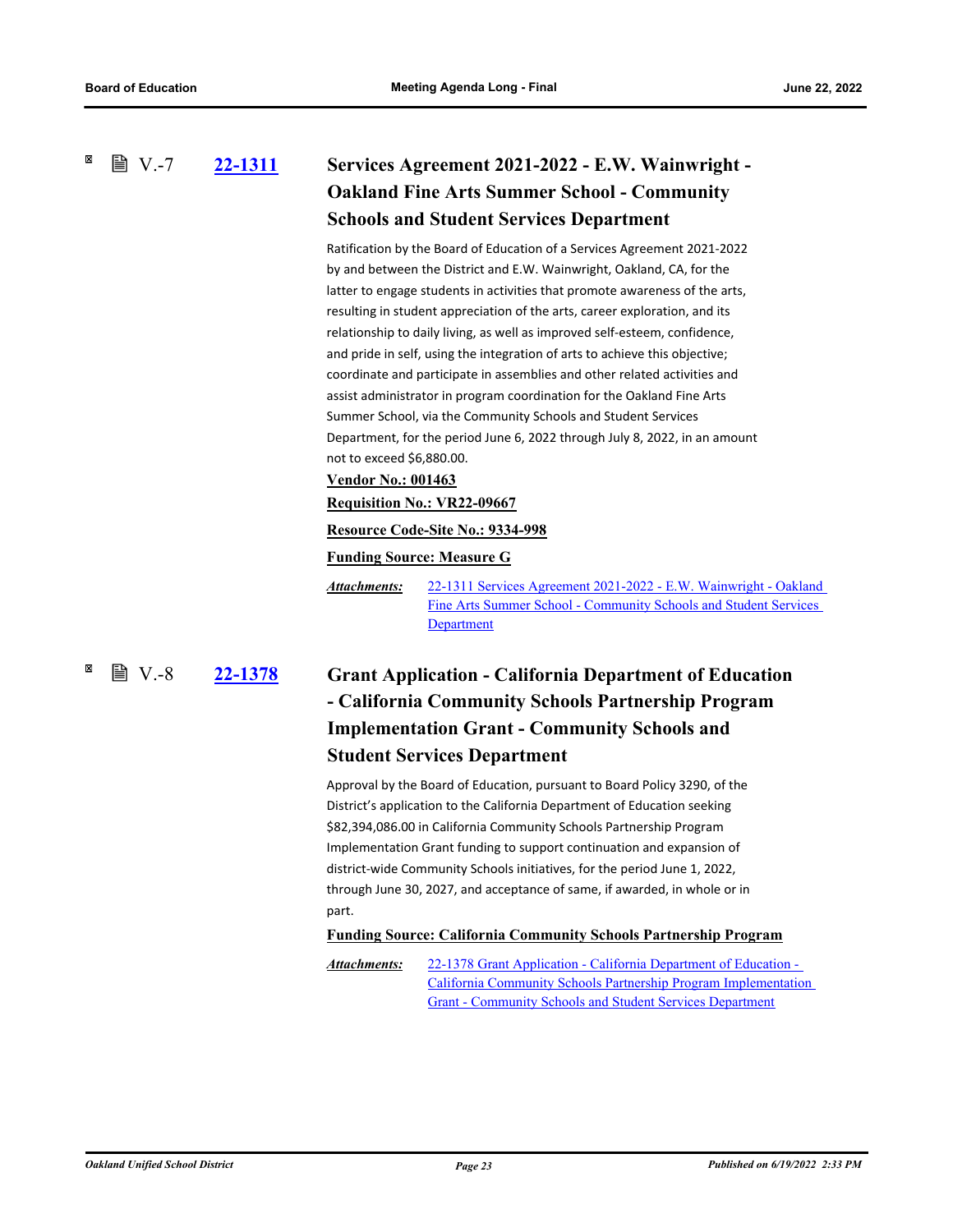<span id="page-27-1"></span><span id="page-27-0"></span>**[22-1311](http://ousd.legistar.com/gateway.aspx?m=l&id=/matter.aspx?key=55605) Services Agreement 2021-2022 - E.W. Wainwright - Oakland Fine Arts Summer School - Community Schools and Student Services Department ■ V.-7** 

> Ratification by the Board of Education of a Services Agreement 2021-2022 by and between the District and E.W. Wainwright, Oakland, CA, for the latter to engage students in activities that promote awareness of the arts, resulting in student appreciation of the arts, career exploration, and its relationship to daily living, as well as improved self-esteem, confidence, and pride in self, using the integration of arts to achieve this objective; coordinate and participate in assemblies and other related activities and assist administrator in program coordination for the Oakland Fine Arts Summer School, via the Community Schools and Student Services Department, for the period June 6, 2022 through July 8, 2022, in an amount not to exceed \$6,880.00.

**Vendor No.: 001463**

#### **Requisition No.: VR22-09667**

#### **Resource Code-Site No.: 9334-998**

**Funding Source: Measure G**

[22-1311 Services Agreement 2021-2022 - E.W. Wainwright - Oakland](http://ousd.legistar.com/gateway.aspx?M=F&ID=104713.pdf)  Fine Arts Summer School - Community Schools and Student Services Department *Attachments:*

# $\mathbb{B}$  V.-8

# **[22-1378](http://ousd.legistar.com/gateway.aspx?m=l&id=/matter.aspx?key=55672) Grant Application - California Department of Education - California Community Schools Partnership Program Implementation Grant - Community Schools and Student Services Department**

Approval by the Board of Education, pursuant to Board Policy 3290, of the District's application to the California Department of Education seeking \$82,394,086.00 in California Community Schools Partnership Program Implementation Grant funding to support continuation and expansion of district-wide Community Schools initiatives, for the period June 1, 2022, through June 30, 2027, and acceptance of same, if awarded, in whole or in part.

#### **Funding Source: California Community Schools Partnership Program**

22-1378 Grant Application - California Department of Education - [California Community Schools Partnership Program Implementation](http://ousd.legistar.com/gateway.aspx?M=F&ID=104714.pdf)  Grant - Community Schools and Student Services Department *Attachments:*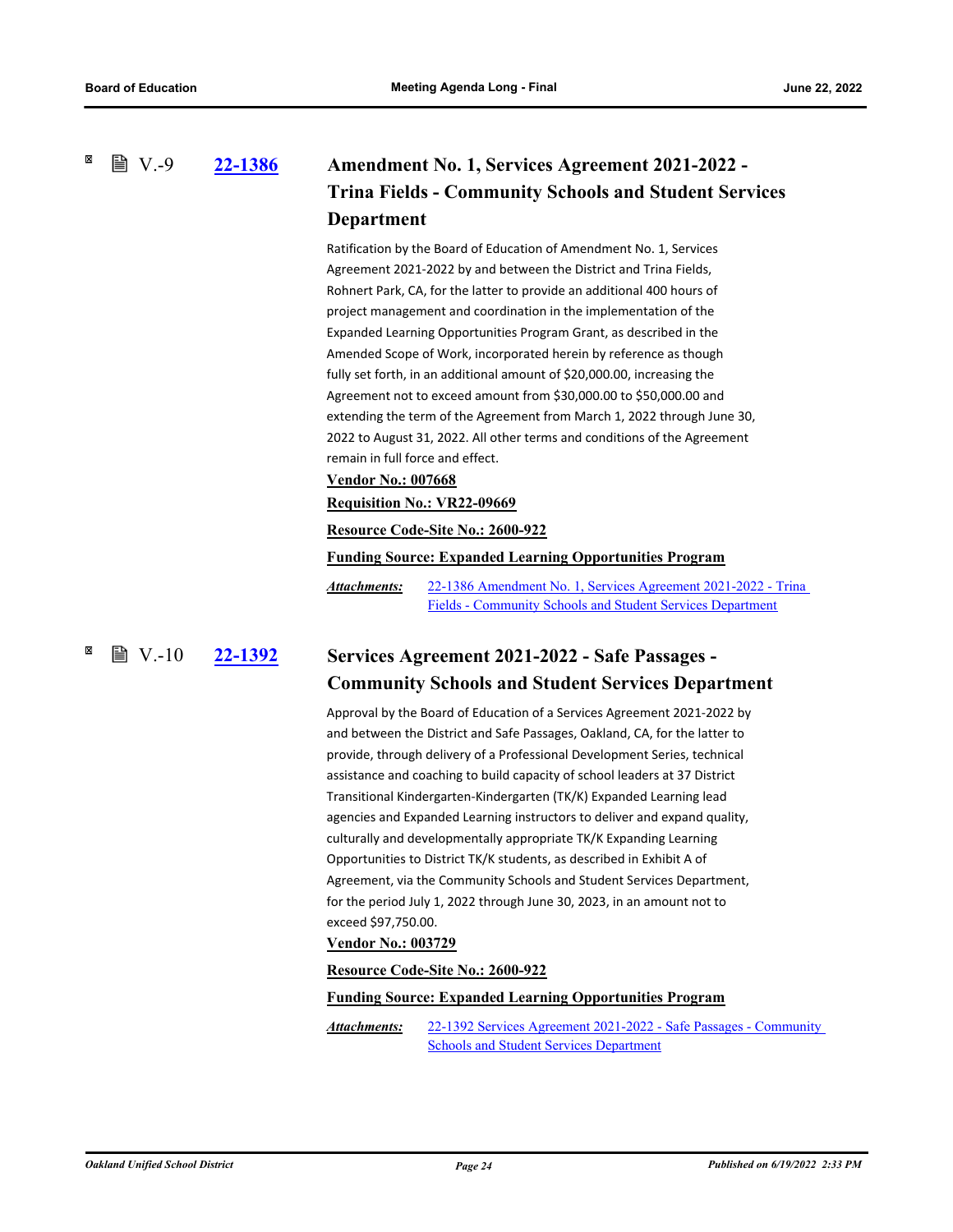<span id="page-28-0"></span> $\mathbb{B}$  V.-9

# **[22-1386](http://ousd.legistar.com/gateway.aspx?m=l&id=/matter.aspx?key=55680) Amendment No. 1, Services Agreement 2021-2022 - Trina Fields - Community Schools and Student Services Department**

Ratification by the Board of Education of Amendment No. 1, Services Agreement 2021-2022 by and between the District and Trina Fields, Rohnert Park, CA, for the latter to provide an additional 400 hours of project management and coordination in the implementation of the Expanded Learning Opportunities Program Grant, as described in the Amended Scope of Work, incorporated herein by reference as though fully set forth, in an additional amount of \$20,000.00, increasing the Agreement not to exceed amount from \$30,000.00 to \$50,000.00 and extending the term of the Agreement from March 1, 2022 through June 30, 2022 to August 31, 2022. All other terms and conditions of the Agreement remain in full force and effect.

### **Vendor No.: 007668**

#### **Requisition No.: VR22-09669**

#### **Resource Code-Site No.: 2600-922**

#### **Funding Source: Expanded Learning Opportunities Program**

[22-1386 Amendment No. 1, Services Agreement 2021-2022 - Trina](http://ousd.legistar.com/gateway.aspx?M=F&ID=104715.pdf)  Fields - Community Schools and Student Services Department *Attachments:*

#### <span id="page-28-1"></span>**[22-1392](http://ousd.legistar.com/gateway.aspx?m=l&id=/matter.aspx?key=55686) Services Agreement 2021-2022 - Safe Passages - Community Schools and Student Services Department ■ V.-10**

Approval by the Board of Education of a Services Agreement 2021-2022 by and between the District and Safe Passages, Oakland, CA, for the latter to provide, through delivery of a Professional Development Series, technical assistance and coaching to build capacity of school leaders at 37 District Transitional Kindergarten-Kindergarten (TK/K) Expanded Learning lead agencies and Expanded Learning instructors to deliver and expand quality, culturally and developmentally appropriate TK/K Expanding Learning Opportunities to District TK/K students, as described in Exhibit A of Agreement, via the Community Schools and Student Services Department, for the period July 1, 2022 through June 30, 2023, in an amount not to exceed \$97,750.00.

### **Vendor No.: 003729**

#### **Resource Code-Site No.: 2600-922**

#### **Funding Source: Expanded Learning Opportunities Program**

[22-1392 Services Agreement 2021-2022 - Safe Passages - Community](http://ousd.legistar.com/gateway.aspx?M=F&ID=104716.pdf)  Schools and Student Services Department *Attachments:*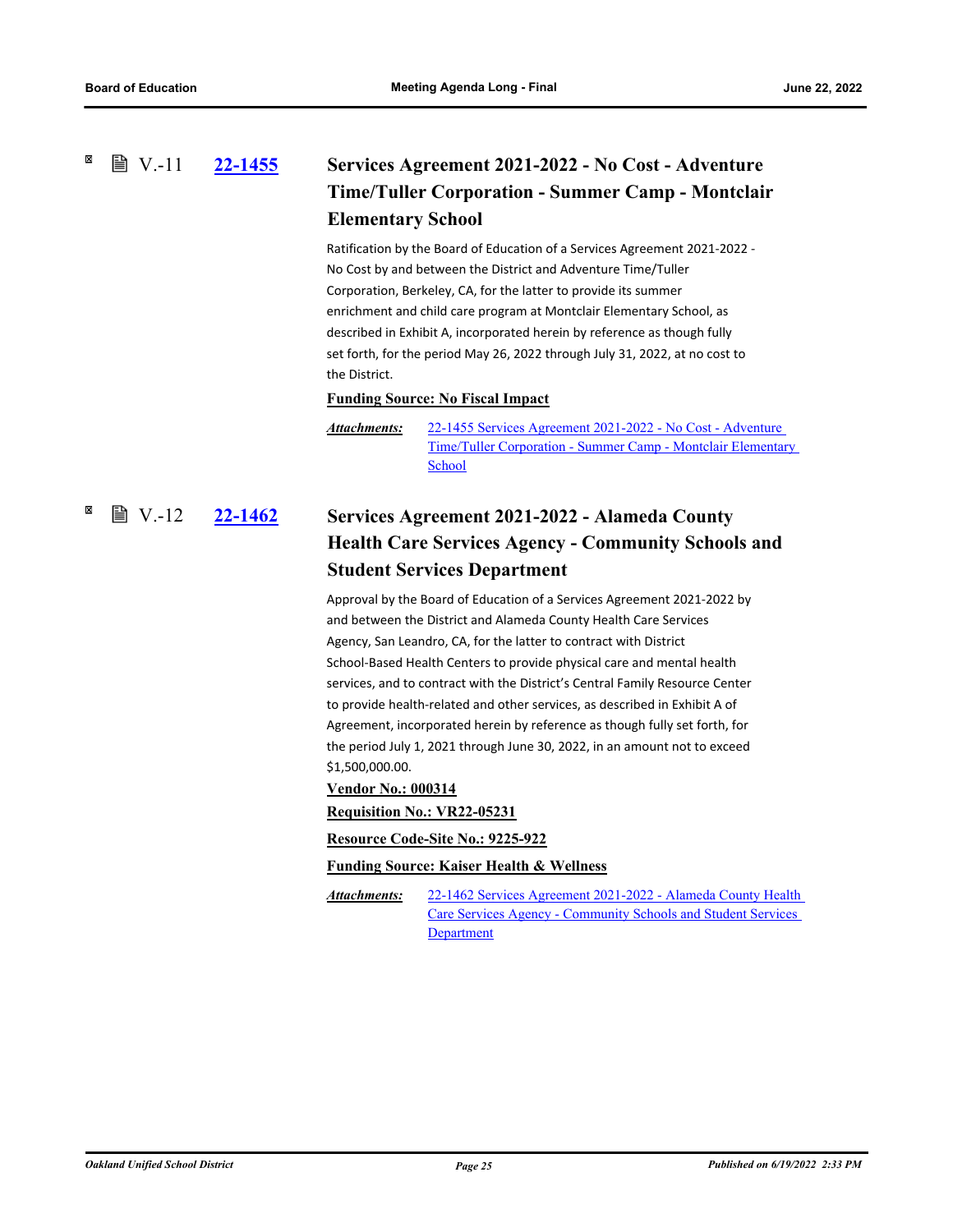<span id="page-29-1"></span><span id="page-29-0"></span>×

### **[22-1455](http://ousd.legistar.com/gateway.aspx?m=l&id=/matter.aspx?key=55749) Services Agreement 2021-2022 - No Cost - Adventure Time/Tuller Corporation - Summer Camp - Montclair Elementary School ■ V.-11**

Ratification by the Board of Education of a Services Agreement 2021-2022 - No Cost by and between the District and Adventure Time/Tuller Corporation, Berkeley, CA, for the latter to provide its summer enrichment and child care program at Montclair Elementary School, as described in Exhibit A, incorporated herein by reference as though fully set forth, for the period May 26, 2022 through July 31, 2022, at no cost to the District.

#### **Funding Source: No Fiscal Impact**

22-1455 Services Agreement 2021-2022 - No Cost - Adventure [Time/Tuller Corporation - Summer Camp - Montclair Elementary](http://ousd.legistar.com/gateway.aspx?M=F&ID=104717.pdf)  School *Attachments:*

### **[22-1462](http://ousd.legistar.com/gateway.aspx?m=l&id=/matter.aspx?key=55756) Services Agreement 2021-2022 - Alameda County Health Care Services Agency - Community Schools and Student Services Department ■ V.-12**

Approval by the Board of Education of a Services Agreement 2021-2022 by and between the District and Alameda County Health Care Services Agency, San Leandro, CA, for the latter to contract with District School-Based Health Centers to provide physical care and mental health services, and to contract with the District's Central Family Resource Center to provide health-related and other services, as described in Exhibit A of Agreement, incorporated herein by reference as though fully set forth, for the period July 1, 2021 through June 30, 2022, in an amount not to exceed \$1,500,000.00.

#### **Vendor No.: 000314**

**Requisition No.: VR22-05231**

**Resource Code-Site No.: 9225-922**

**Funding Source: Kaiser Health & Wellness**

[22-1462 Services Agreement 2021-2022 - Alameda County Health](http://ousd.legistar.com/gateway.aspx?M=F&ID=104718.pdf)  Care Services Agency - Community Schools and Student Services Department *Attachments:*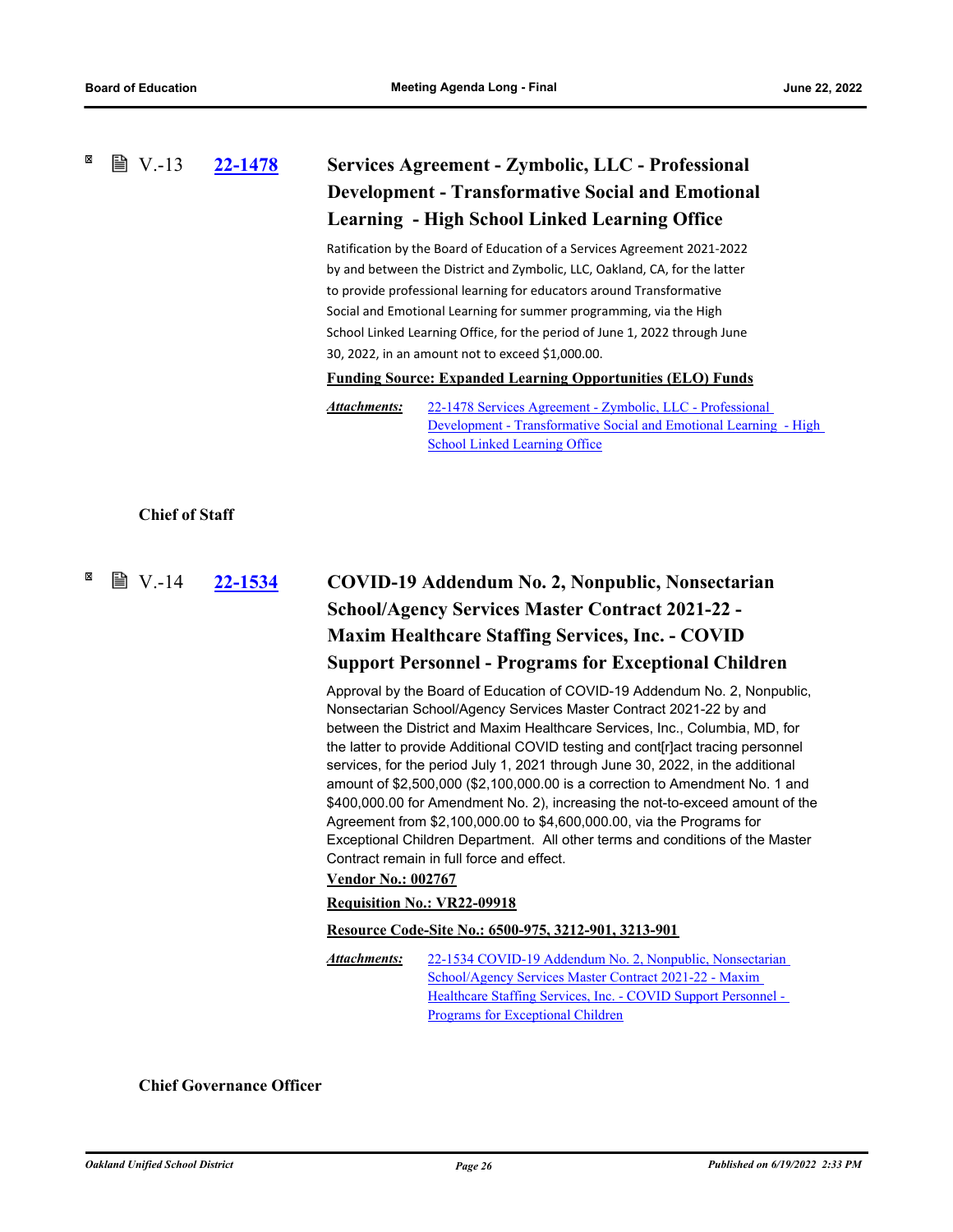### <span id="page-30-0"></span>**[22-1478](http://ousd.legistar.com/gateway.aspx?m=l&id=/matter.aspx?key=55772) Services Agreement - Zymbolic, LLC - Professional Development - Transformative Social and Emotional Learning - High School Linked Learning Office**  $\mathbb{B}$  V.-13

Ratification by the Board of Education of a Services Agreement 2021-2022 by and between the District and Zymbolic, LLC, Oakland, CA, for the latter to provide professional learning for educators around Transformative Social and Emotional Learning for summer programming, via the High School Linked Learning Office, for the period of June 1, 2022 through June 30, 2022, in an amount not to exceed \$1,000.00.

**Funding Source: Expanded Learning Opportunities (ELO) Funds**

22-1478 Services Agreement - Zymbolic, LLC - Professional [Development - Transformative Social and Emotional Learning - High](http://ousd.legistar.com/gateway.aspx?M=F&ID=104719.pdf)  School Linked Learning Office *Attachments:*

### <span id="page-30-1"></span>**Chief of Staff**

### <span id="page-30-2"></span>**[22-1534](http://ousd.legistar.com/gateway.aspx?m=l&id=/matter.aspx?key=55828) COVID-19 Addendum No. 2, Nonpublic, Nonsectarian School/Agency Services Master Contract 2021-22 - Maxim Healthcare Staffing Services, Inc. - COVID Support Personnel - Programs for Exceptional Children ■ V.-14**

Approval by the Board of Education of COVID-19 Addendum No. 2, Nonpublic, Nonsectarian School/Agency Services Master Contract 2021-22 by and between the District and Maxim Healthcare Services, Inc., Columbia, MD, for the latter to provide Additional COVID testing and cont[r]act tracing personnel services, for the period July 1, 2021 through June 30, 2022, in the additional amount of \$2,500,000 (\$2,100,000.00 is a correction to Amendment No. 1 and \$400,000.00 for Amendment No. 2), increasing the not-to-exceed amount of the Agreement from \$2,100,000.00 to \$4,600,000.00, via the Programs for Exceptional Children Department. All other terms and conditions of the Master Contract remain in full force and effect.

#### **Vendor No.: 002767**

#### **Requisition No.: VR22-09918**

#### **Resource Code-Site No.: 6500-975, 3212-901, 3213-901**

[22-1534 COVID-19 Addendum No. 2, Nonpublic, Nonsectarian](http://ousd.legistar.com/gateway.aspx?M=F&ID=104721.pdf)  School/Agency Services Master Contract 2021-22 - Maxim Healthcare Staffing Services, Inc. - COVID Support Personnel - Programs for Exceptional Children *Attachments:*

**Chief Governance Officer**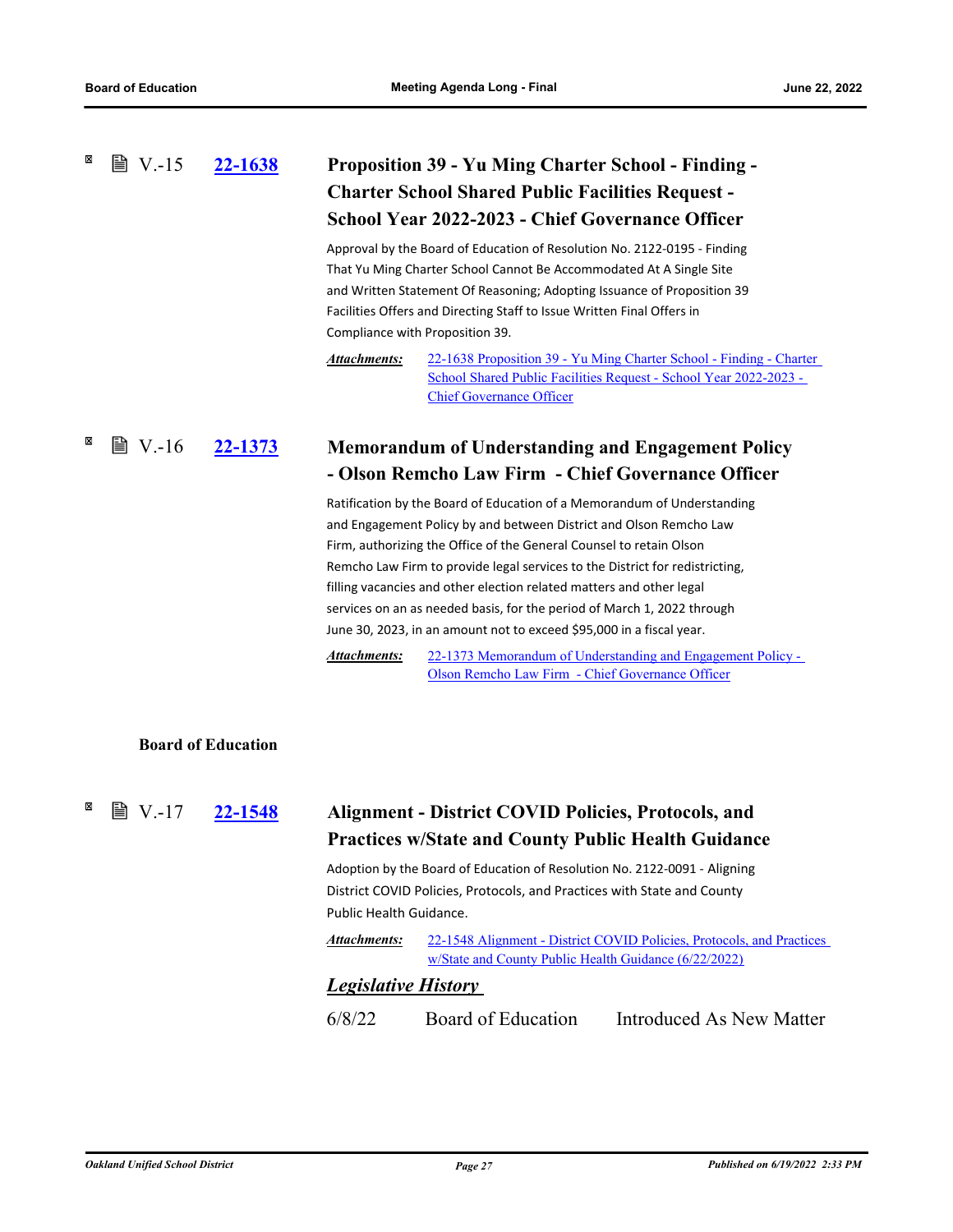### <span id="page-31-0"></span>**[22-1638](http://ousd.legistar.com/gateway.aspx?m=l&id=/matter.aspx?key=55930) Proposition 39 - Yu Ming Charter School - Finding - Charter School Shared Public Facilities Request - School Year 2022-2023 - Chief Governance Officer ■ V.-15**

Approval by the Board of Education of Resolution No. 2122-0195 - Finding That Yu Ming Charter School Cannot Be Accommodated At A Single Site and Written Statement Of Reasoning; Adopting Issuance of Proposition 39 Facilities Offers and Directing Staff to Issue Written Final Offers in Compliance with Proposition 39.

[22-1638 Proposition 39 - Yu Ming Charter School - Finding - Charter](http://ousd.legistar.com/gateway.aspx?M=F&ID=104824.pdf)  School Shared Public Facilities Request - School Year 2022-2023 - Chief Governance Officer *Attachments:*

#### <span id="page-31-1"></span>× **■ V.-16 [22-1373](http://ousd.legistar.com/gateway.aspx?m=l&id=/matter.aspx?key=55667) Memorandum of Understanding and Engagement Policy - Olson Remcho Law Firm - Chief Governance Officer**

Ratification by the Board of Education of a Memorandum of Understanding and Engagement Policy by and between District and Olson Remcho Law Firm, authorizing the Office of the General Counsel to retain Olson Remcho Law Firm to provide legal services to the District for redistricting, filling vacancies and other election related matters and other legal services on an as needed basis, for the period of March 1, 2022 through June 30, 2023, in an amount not to exceed \$95,000 in a fiscal year.

[22-1373 Memorandum of Understanding and Engagement Policy -](http://ousd.legistar.com/gateway.aspx?M=F&ID=104830.pdf)  Olson Remcho Law Firm - Chief Governance Officer *Attachments:*

### **Board of Education**

**■ V.-17** 

# **[22-1548](http://ousd.legistar.com/gateway.aspx?m=l&id=/matter.aspx?key=55842) Alignment - District COVID Policies, Protocols, and Practices w/State and County Public Health Guidance**

Adoption by the Board of Education of Resolution No. 2122-0091 - Aligning District COVID Policies, Protocols, and Practices with State and County Public Health Guidance.

[22-1548 Alignment - District COVID Policies, Protocols, and Practices](http://ousd.legistar.com/gateway.aspx?M=F&ID=104828.pdf)  w/State and County Public Health Guidance (6/22/2022) *Attachments:*

### *Legislative History*

6/8/22 Board of Education Introduced As New Matter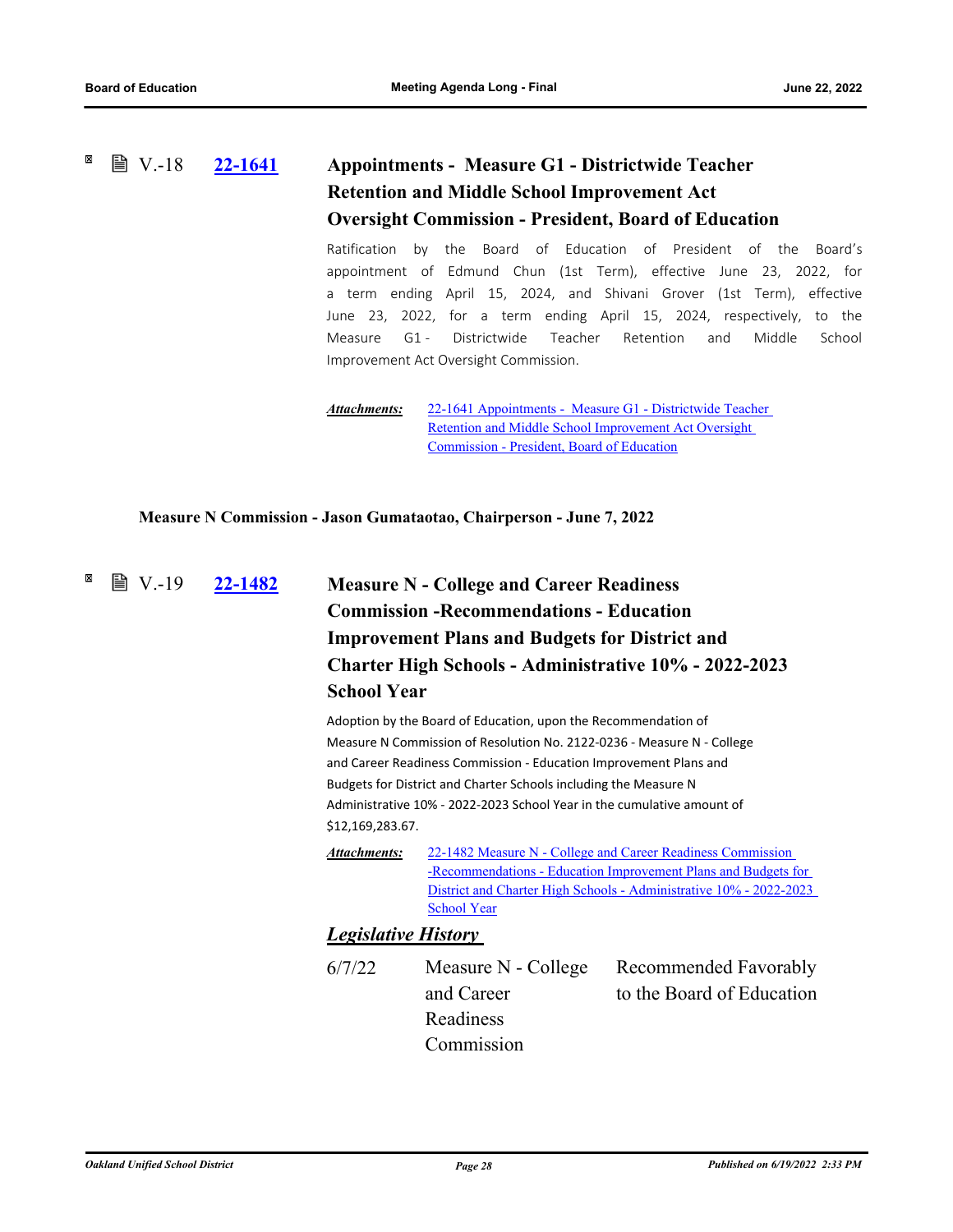### <span id="page-32-0"></span>**[22-1641](http://ousd.legistar.com/gateway.aspx?m=l&id=/matter.aspx?key=55933) Appointments - Measure G1 - Districtwide Teacher Retention and Middle School Improvement Act Oversight Commission - President, Board of Education**  $\mathbb{B}$  V.-18

Ratification by the Board of Education of President of the Board's appointment of Edmund Chun (1st Term), effective June 23, 2022, for a term ending April 15, 2024, and Shivani Grover (1st Term), effective June 23, 2022, for a term ending April 15, 2024, respectively, to the Measure G1 - Districtwide Teacher Retention and Middle School Improvement Act Oversight Commission.

[22-1641 Appointments - Measure G1 - Districtwide Teacher](http://ousd.legistar.com/gateway.aspx?M=F&ID=104851.pdf)  Retention and Middle School Improvement Act Oversight Commission - President, Board of Education *Attachments:*

<span id="page-32-1"></span>**Measure N Commission - Jason Gumataotao, Chairperson - June 7, 2022**

### **[22-1482](http://ousd.legistar.com/gateway.aspx?m=l&id=/matter.aspx?key=55776) Measure N - College and Career Readiness Commission -Recommendations - Education Improvement Plans and Budgets for District and Charter High Schools - Administrative 10% - 2022-2023 School Year ■ V.-19**

Adoption by the Board of Education, upon the Recommendation of Measure N Commission of Resolution No. 2122-0236 - Measure N - College and Career Readiness Commission - Education Improvement Plans and Budgets for District and Charter Schools including the Measure N Administrative 10% - 2022-2023 School Year in the cumulative amount of \$12,169,283.67.

22-1482 Measure N - College and Career Readiness Commission -Recommendations - Education Improvement Plans and Budgets for [District and Charter High Schools - Administrative 10% - 2022-2023](http://ousd.legistar.com/gateway.aspx?M=F&ID=104677.pdf)  School Year *Attachments:*

### *Legislative History*

6/7/22 Measure N - College and Career Readiness Commission

Recommended Favorably to the Board of Education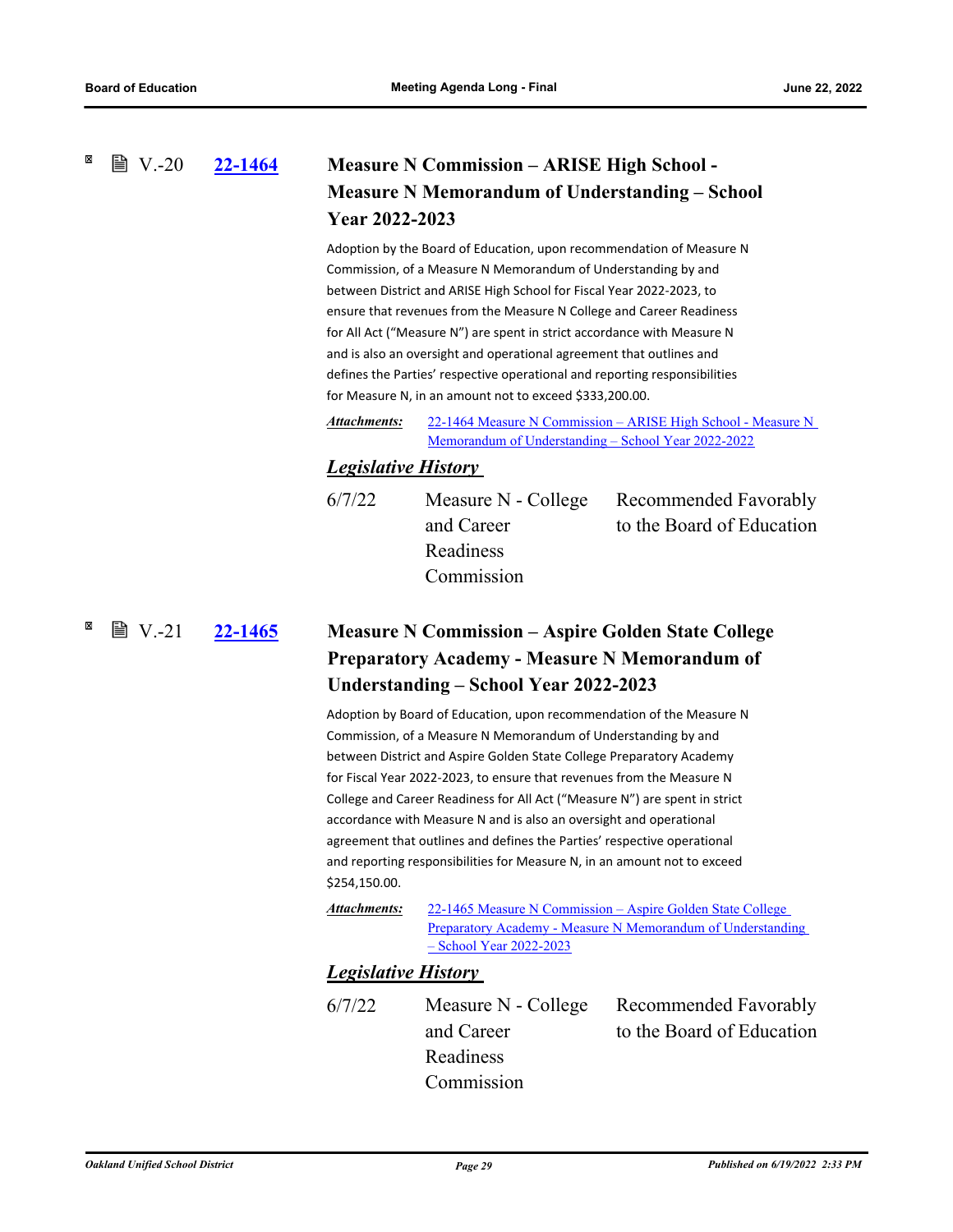<span id="page-33-0"></span> $\mathbb{B}$  V.-20

# **[22-1464](http://ousd.legistar.com/gateway.aspx?m=l&id=/matter.aspx?key=55758) Measure N Commission – ARISE High School - Measure N Memorandum of Understanding – School Year 2022-2023**

Adoption by the Board of Education, upon recommendation of Measure N Commission, of a Measure N Memorandum of Understanding by and between District and ARISE High School for Fiscal Year 2022-2023, to ensure that revenues from the Measure N College and Career Readiness for All Act ("Measure N") are spent in strict accordance with Measure N and is also an oversight and operational agreement that outlines and defines the Parties' respective operational and reporting responsibilities for Measure N, in an amount not to exceed \$333,200.00.

[22-1464 Measure N Commission – ARISE High School - Measure N](http://ousd.legistar.com/gateway.aspx?M=F&ID=104686.pdf)  Memorandum of Understanding – School Year 2022-2022 *Attachments:*

### *Legislative History*

| 6/7/22 |            | Measure N - College Recommended Favorably |
|--------|------------|-------------------------------------------|
|        | and Career | to the Board of Education                 |
|        | Readiness  |                                           |
|        | Commission |                                           |
|        |            |                                           |

<span id="page-33-1"></span>**[22-1465](http://ousd.legistar.com/gateway.aspx?m=l&id=/matter.aspx?key=55759) Measure N Commission – Aspire Golden State College Preparatory Academy - Measure N Memorandum of Understanding – School Year 2022-2023**  $\mathbb{B}$  V.-21

> Adoption by Board of Education, upon recommendation of the Measure N Commission, of a Measure N Memorandum of Understanding by and between District and Aspire Golden State College Preparatory Academy for Fiscal Year 2022-2023, to ensure that revenues from the Measure N College and Career Readiness for All Act ("Measure N") are spent in strict accordance with Measure N and is also an oversight and operational agreement that outlines and defines the Parties' respective operational and reporting responsibilities for Measure N, in an amount not to exceed \$254,150.00.

*Attachments:*

22-1465 Measure N Commission – Aspire Golden State College [Preparatory Academy - Measure N Memorandum of Understanding](http://ousd.legistar.com/gateway.aspx?M=F&ID=104687.pdf)  – School Year 2022-2023

### *Legislative History*

6/7/22 Measure N - College and Career **Readiness** Commission

Recommended Favorably to the Board of Education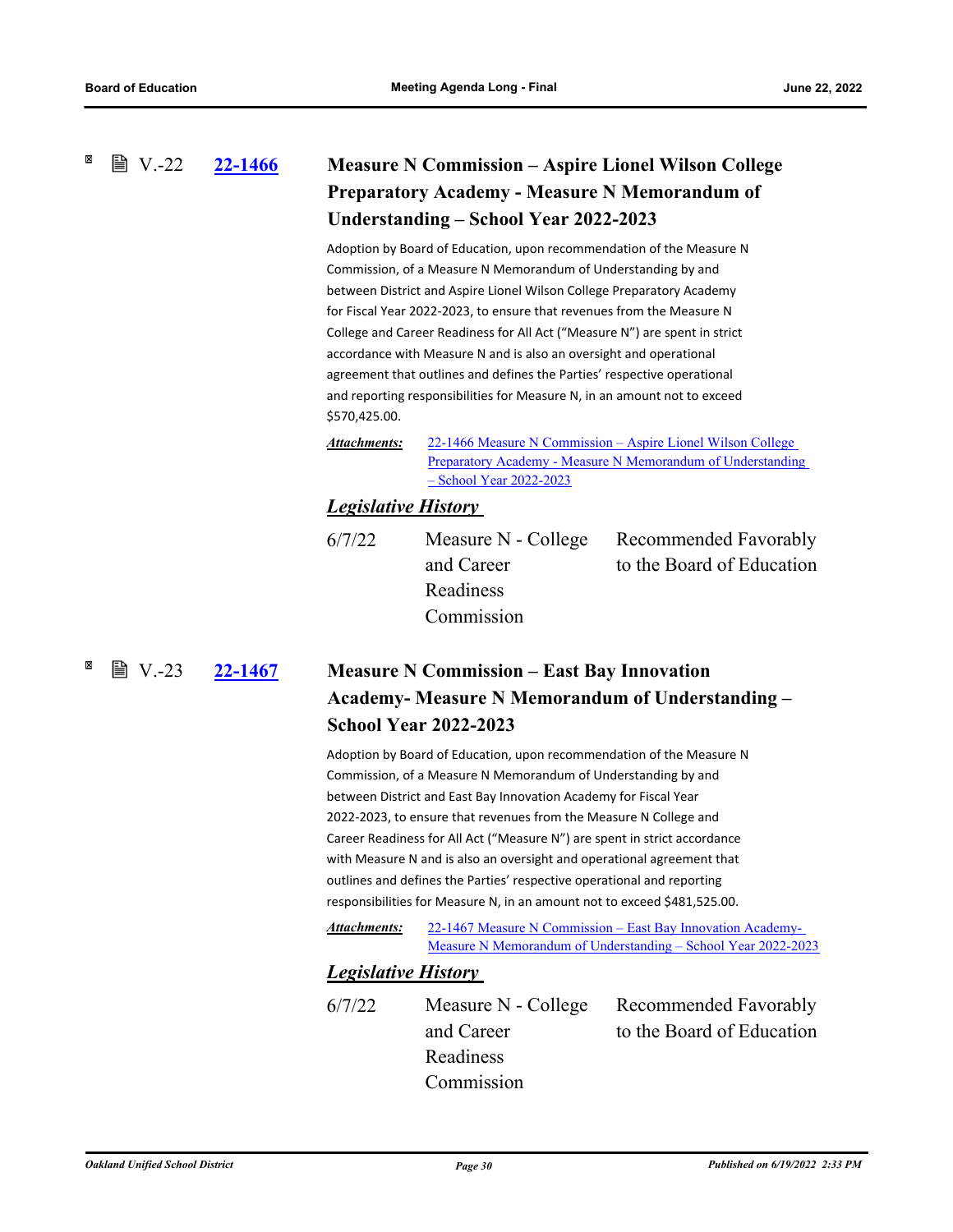### <span id="page-34-0"></span>**■ V.-22**

# **[22-1466](http://ousd.legistar.com/gateway.aspx?m=l&id=/matter.aspx?key=55760) Measure N Commission – Aspire Lionel Wilson College Preparatory Academy - Measure N Memorandum of Understanding – School Year 2022-2023**

Adoption by Board of Education, upon recommendation of the Measure N Commission, of a Measure N Memorandum of Understanding by and between District and Aspire Lionel Wilson College Preparatory Academy for Fiscal Year 2022-2023, to ensure that revenues from the Measure N College and Career Readiness for All Act ("Measure N") are spent in strict accordance with Measure N and is also an oversight and operational agreement that outlines and defines the Parties' respective operational and reporting responsibilities for Measure N, in an amount not to exceed \$570,425.00.

22-1466 Measure N Commission – Aspire Lionel Wilson College [Preparatory Academy - Measure N Memorandum of Understanding](http://ousd.legistar.com/gateway.aspx?M=F&ID=104688.pdf)  – School Year 2022-2023 *Attachments:*

### *Legislative History*

and Career Readiness Commission

6/7/22 Measure N - College

Recommended Favorably to the Board of Education

<span id="page-34-1"></span> $\mathbb{B}$  V.-23

# **[22-1467](http://ousd.legistar.com/gateway.aspx?m=l&id=/matter.aspx?key=55761) Measure N Commission – East Bay Innovation Academy- Measure N Memorandum of Understanding – School Year 2022-2023**

Adoption by Board of Education, upon recommendation of the Measure N Commission, of a Measure N Memorandum of Understanding by and between District and East Bay Innovation Academy for Fiscal Year 2022-2023, to ensure that revenues from the Measure N College and Career Readiness for All Act ("Measure N") are spent in strict accordance with Measure N and is also an oversight and operational agreement that outlines and defines the Parties' respective operational and reporting responsibilities for Measure N, in an amount not to exceed \$481,525.00.

22-1467 Measure N Commission – East Bay Innovation Academy-[Measure N Memorandum of Understanding – School Year 2022-2023](http://ousd.legistar.com/gateway.aspx?M=F&ID=104689.pdf) *Attachments:*

### *Legislative History*

6/7/22 Measure N - College and Career Readiness Commission Recommended Favorably to the Board of Education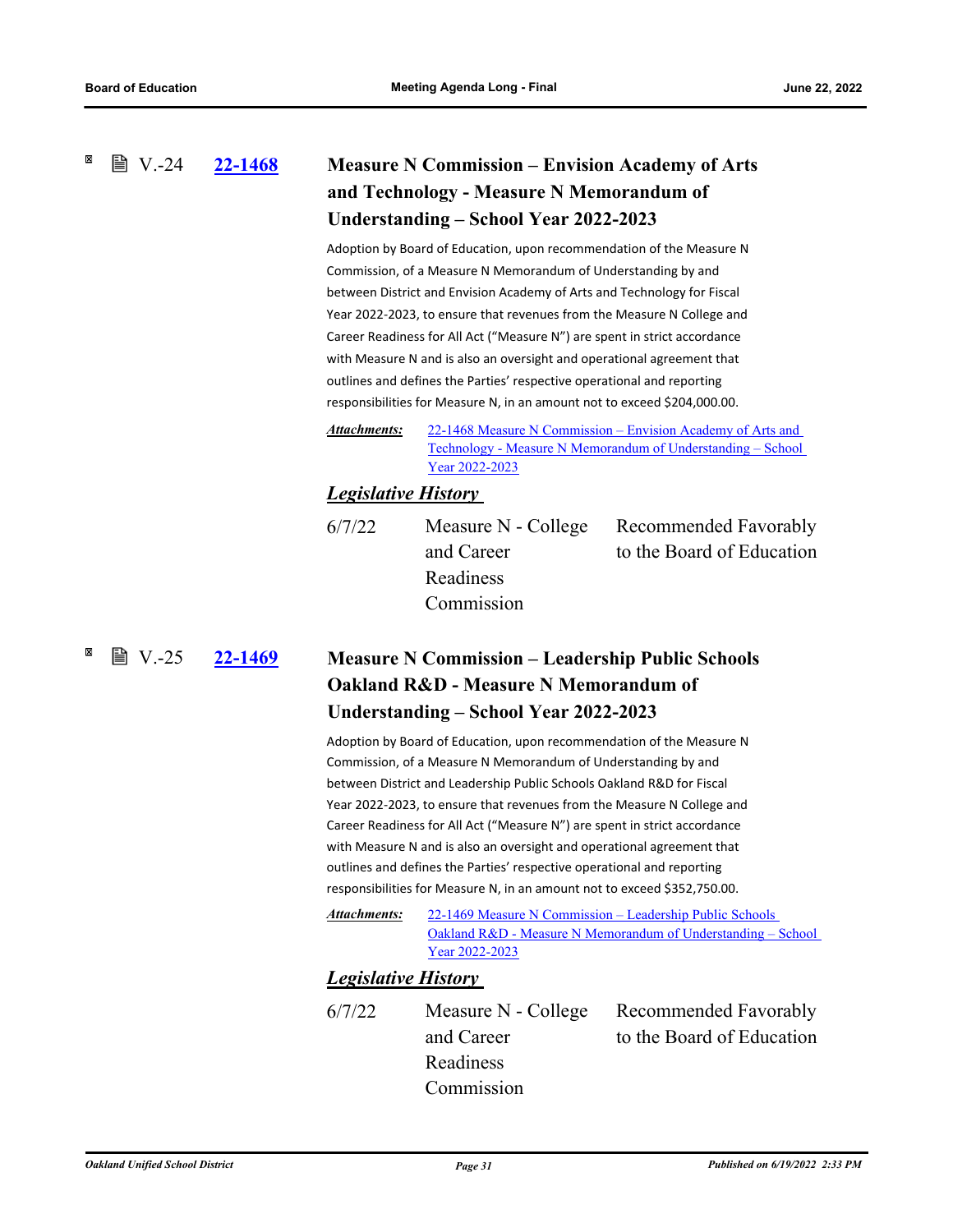### <span id="page-35-0"></span> $\mathbb{B}$  V.-24

# **[22-1468](http://ousd.legistar.com/gateway.aspx?m=l&id=/matter.aspx?key=55762) Measure N Commission – Envision Academy of Arts and Technology - Measure N Memorandum of Understanding – School Year 2022-2023**

Adoption by Board of Education, upon recommendation of the Measure N Commission, of a Measure N Memorandum of Understanding by and between District and Envision Academy of Arts and Technology for Fiscal Year 2022-2023, to ensure that revenues from the Measure N College and Career Readiness for All Act ("Measure N") are spent in strict accordance with Measure N and is also an oversight and operational agreement that outlines and defines the Parties' respective operational and reporting responsibilities for Measure N, in an amount not to exceed \$204,000.00.

22-1468 Measure N Commission – Envision Academy of Arts and [Technology - Measure N Memorandum of Understanding – School](http://ousd.legistar.com/gateway.aspx?M=F&ID=104690.pdf)  Year 2022-2023 *Attachments:*

### *Legislative History*

6/7/22 Measure N - College and Career Readiness Commission

Recommended Favorably to the Board of Education

<span id="page-35-1"></span> $\mathbb{B}$  V.-25

# **[22-1469](http://ousd.legistar.com/gateway.aspx?m=l&id=/matter.aspx?key=55763) Measure N Commission – Leadership Public Schools Oakland R&D - Measure N Memorandum of Understanding – School Year 2022-2023**

Adoption by Board of Education, upon recommendation of the Measure N Commission, of a Measure N Memorandum of Understanding by and between District and Leadership Public Schools Oakland R&D for Fiscal Year 2022-2023, to ensure that revenues from the Measure N College and Career Readiness for All Act ("Measure N") are spent in strict accordance with Measure N and is also an oversight and operational agreement that outlines and defines the Parties' respective operational and reporting responsibilities for Measure N, in an amount not to exceed \$352,750.00.

22-1469 Measure N Commission – Leadership Public Schools [Oakland R&D - Measure N Memorandum of Understanding – School](http://ousd.legistar.com/gateway.aspx?M=F&ID=104700.pdf)  Year 2022-2023 *Attachments:*

### *Legislative History*

6/7/22 Measure N - College and Career Readiness Commission Recommended Favorably to the Board of Education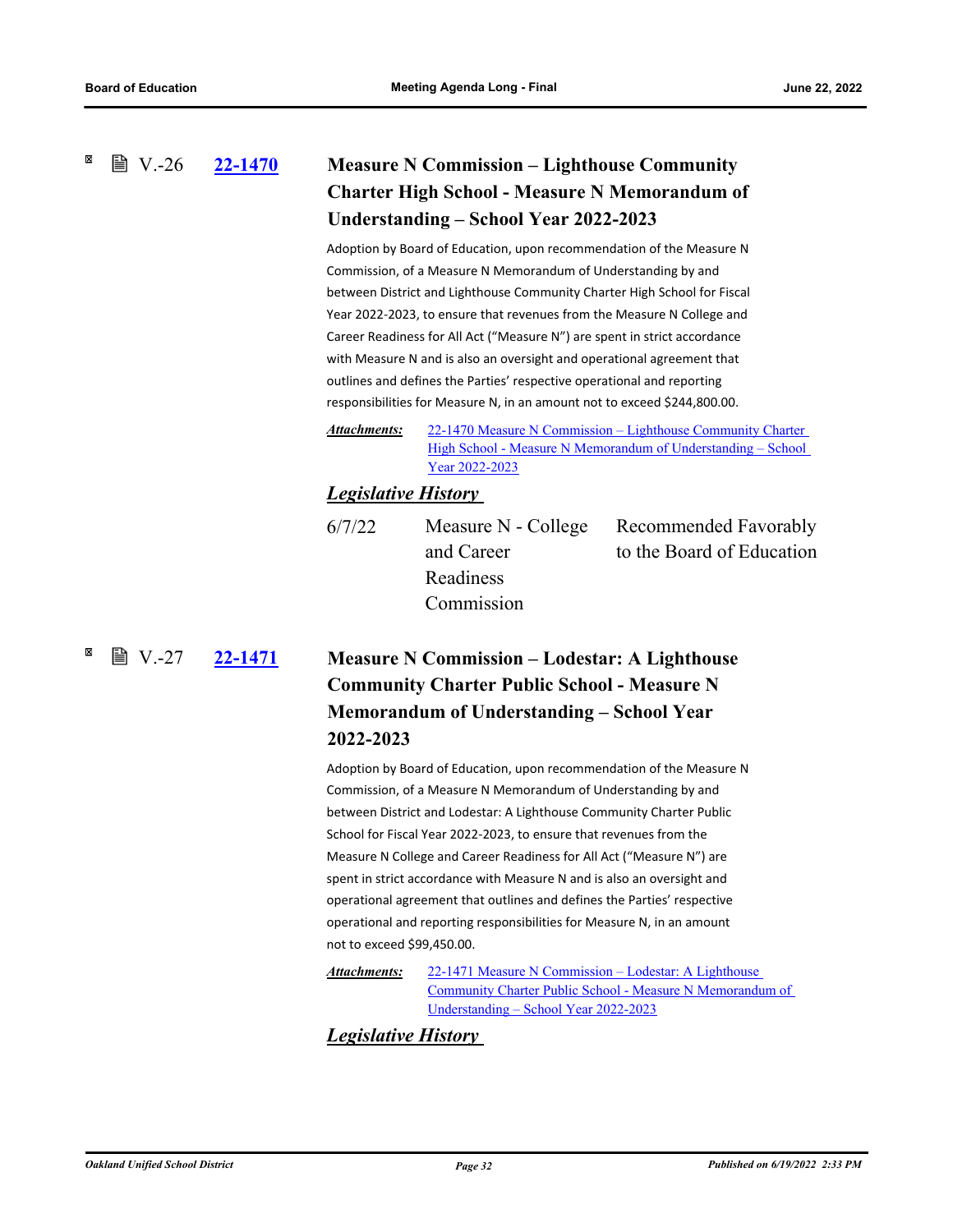### <span id="page-36-0"></span>**[22-1470](http://ousd.legistar.com/gateway.aspx?m=l&id=/matter.aspx?key=55764) Measure N Commission – Lighthouse Community Charter High School - Measure N Memorandum of Understanding – School Year 2022-2023 ■ V.-26**

Adoption by Board of Education, upon recommendation of the Measure N Commission, of a Measure N Memorandum of Understanding by and between District and Lighthouse Community Charter High School for Fiscal Year 2022-2023, to ensure that revenues from the Measure N College and Career Readiness for All Act ("Measure N") are spent in strict accordance with Measure N and is also an oversight and operational agreement that outlines and defines the Parties' respective operational and reporting responsibilities for Measure N, in an amount not to exceed \$244,800.00.

22-1470 Measure N Commission – Lighthouse Community Charter High School - Measure N Memorandum of Understanding - School Year 2022-2023 *Attachments:*

### *Legislative History*

6/7/22 Measure N - College and Career Readiness Commission

Recommended Favorably to the Board of Education

<span id="page-36-1"></span>**[22-1471](http://ousd.legistar.com/gateway.aspx?m=l&id=/matter.aspx?key=55765) Measure N Commission – Lodestar: A Lighthouse Community Charter Public School - Measure N Memorandum of Understanding – School Year 2022-2023** 圖  $V-27$ 

> Adoption by Board of Education, upon recommendation of the Measure N Commission, of a Measure N Memorandum of Understanding by and between District and Lodestar: A Lighthouse Community Charter Public School for Fiscal Year 2022-2023, to ensure that revenues from the Measure N College and Career Readiness for All Act ("Measure N") are spent in strict accordance with Measure N and is also an oversight and operational agreement that outlines and defines the Parties' respective operational and reporting responsibilities for Measure N, in an amount not to exceed \$99,450.00.

22-1471 Measure N Commission – Lodestar: A Lighthouse [Community Charter Public School - Measure N Memorandum of](http://ousd.legistar.com/gateway.aspx?M=F&ID=104692.pdf)  Understanding – School Year 2022-2023 *Attachments:*

### *Legislative History*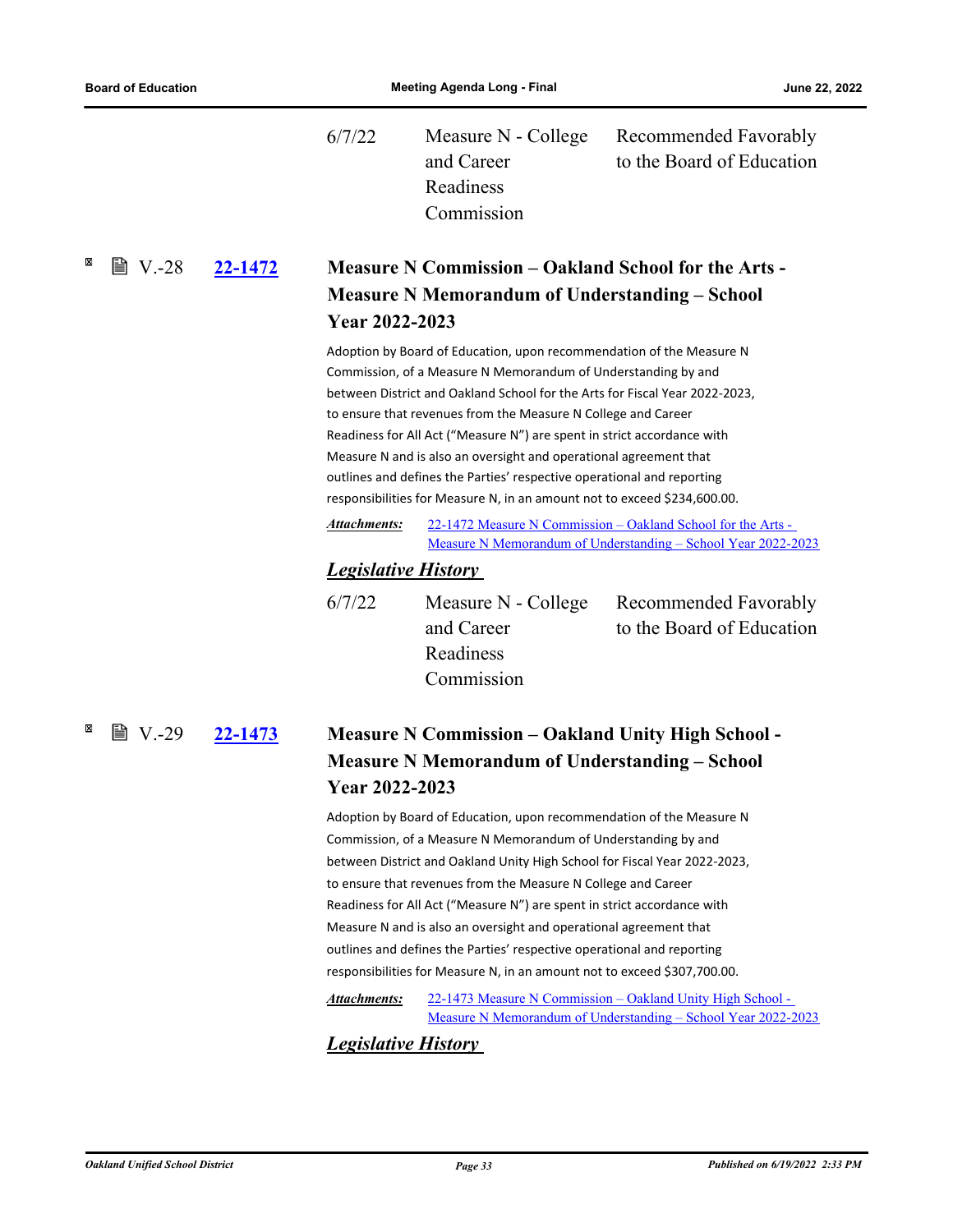$\boxtimes$ 

<span id="page-37-1"></span> $\boxtimes$ 

<span id="page-37-0"></span>

|                    |         | 6/7/22                                                                                                                                                                                                                                                                                                                                                                                                                                                                                                                                                                                                                                                                                                                                   | Measure N - College<br>and Career<br>Readiness<br>Commission                                                                                | Recommended Favorably<br>to the Board of Education                                                                            |  |  |
|--------------------|---------|------------------------------------------------------------------------------------------------------------------------------------------------------------------------------------------------------------------------------------------------------------------------------------------------------------------------------------------------------------------------------------------------------------------------------------------------------------------------------------------------------------------------------------------------------------------------------------------------------------------------------------------------------------------------------------------------------------------------------------------|---------------------------------------------------------------------------------------------------------------------------------------------|-------------------------------------------------------------------------------------------------------------------------------|--|--|
| 圖 V.-28            | 22-1472 | <b>Measure N Commission – Oakland School for the Arts -</b>                                                                                                                                                                                                                                                                                                                                                                                                                                                                                                                                                                                                                                                                              |                                                                                                                                             |                                                                                                                               |  |  |
|                    |         |                                                                                                                                                                                                                                                                                                                                                                                                                                                                                                                                                                                                                                                                                                                                          | <b>Measure N Memorandum of Understanding – School</b>                                                                                       |                                                                                                                               |  |  |
|                    |         |                                                                                                                                                                                                                                                                                                                                                                                                                                                                                                                                                                                                                                                                                                                                          | Year 2022-2023                                                                                                                              |                                                                                                                               |  |  |
|                    |         | Adoption by Board of Education, upon recommendation of the Measure N<br>Commission, of a Measure N Memorandum of Understanding by and<br>between District and Oakland School for the Arts for Fiscal Year 2022-2023,<br>to ensure that revenues from the Measure N College and Career<br>Readiness for All Act ("Measure N") are spent in strict accordance with<br>Measure N and is also an oversight and operational agreement that<br>outlines and defines the Parties' respective operational and reporting<br>responsibilities for Measure N, in an amount not to exceed \$234,600.00.                                                                                                                                              |                                                                                                                                             |                                                                                                                               |  |  |
|                    |         | <b>Attachments:</b>                                                                                                                                                                                                                                                                                                                                                                                                                                                                                                                                                                                                                                                                                                                      |                                                                                                                                             | 22-1472 Measure N Commission - Oakland School for the Arts -<br>Measure N Memorandum of Understanding - School Year 2022-2023 |  |  |
|                    |         | <b>Legislative History</b>                                                                                                                                                                                                                                                                                                                                                                                                                                                                                                                                                                                                                                                                                                               |                                                                                                                                             |                                                                                                                               |  |  |
|                    |         | 6/7/22                                                                                                                                                                                                                                                                                                                                                                                                                                                                                                                                                                                                                                                                                                                                   | Measure N - College<br>and Career<br>Readiness<br>Commission                                                                                | Recommended Favorably<br>to the Board of Education                                                                            |  |  |
| ■ V.-29<br>22-1473 |         |                                                                                                                                                                                                                                                                                                                                                                                                                                                                                                                                                                                                                                                                                                                                          | <b>Measure N Commission – Oakland Unity High School -</b><br><b>Measure N Memorandum of Understanding – School</b><br><b>Year 2022-2023</b> |                                                                                                                               |  |  |
|                    |         | Adoption by Board of Education, upon recommendation of the Measure N<br>Commission, of a Measure N Memorandum of Understanding by and<br>between District and Oakland Unity High School for Fiscal Year 2022-2023,<br>to ensure that revenues from the Measure N College and Career<br>Readiness for All Act ("Measure N") are spent in strict accordance with<br>Measure N and is also an oversight and operational agreement that<br>outlines and defines the Parties' respective operational and reporting<br>responsibilities for Measure N, in an amount not to exceed \$307,700.00.<br>22-1473 Measure N Commission - Oakland Unity High School -<br>Attachments:<br>Measure N Memorandum of Understanding - School Year 2022-2023 |                                                                                                                                             |                                                                                                                               |  |  |

# *Legislative History*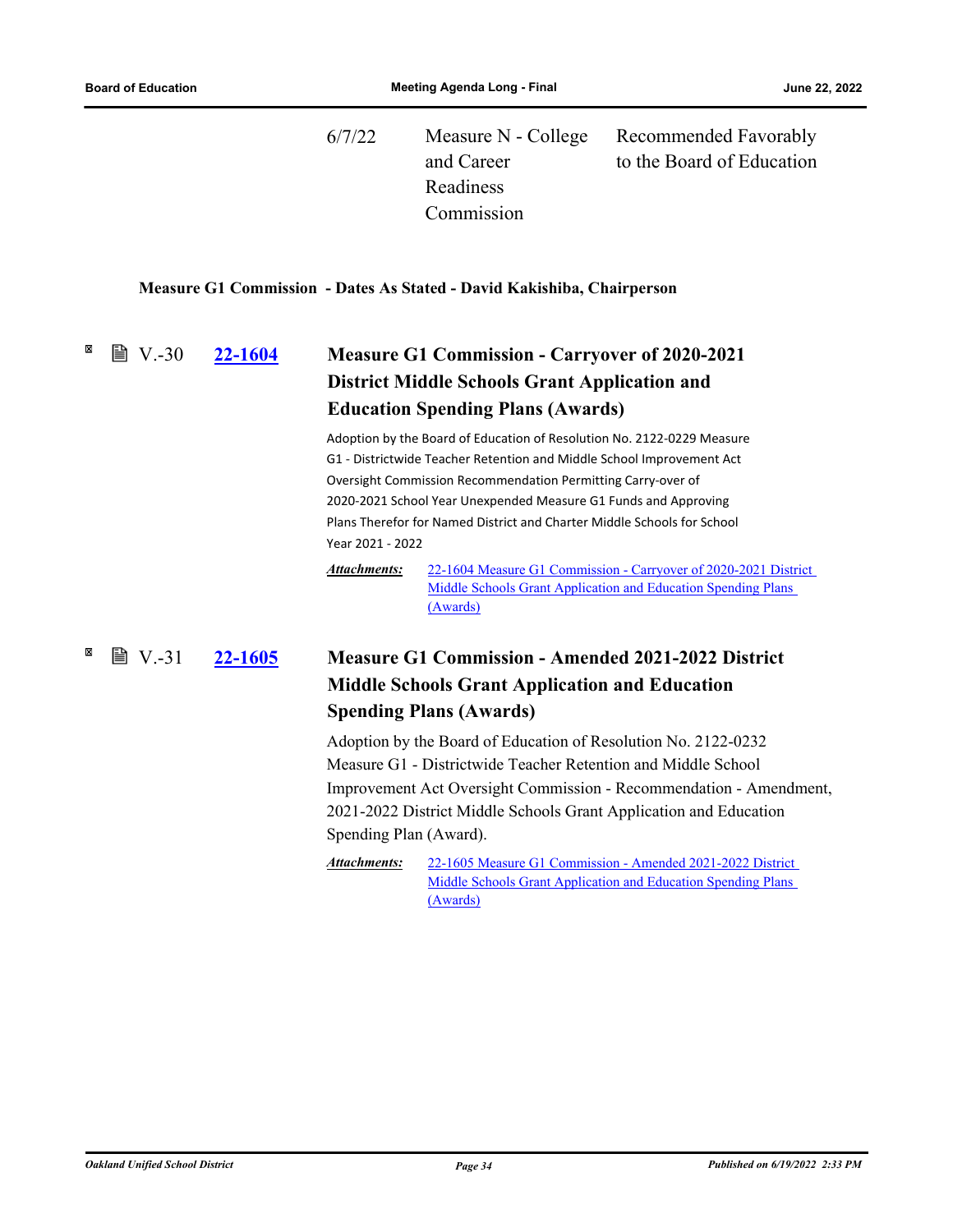<span id="page-38-0"></span>

| 6/7/22 |            | Measure N - College Recommended Favorably |
|--------|------------|-------------------------------------------|
|        | and Career | to the Board of Education                 |
|        | Readiness  |                                           |
|        | Commission |                                           |

### **Measure G1 Commission - Dates As Stated - David Kakishiba, Chairperson**

### <span id="page-38-1"></span>**[22-1604](http://ousd.legistar.com/gateway.aspx?m=l&id=/matter.aspx?key=55896) Measure G1 Commission - Carryover of 2020-2021 District Middle Schools Grant Application and Education Spending Plans (Awards)**  $\mathbb{B}$  V.-30

Adoption by the Board of Education of Resolution No. 2122-0229 Measure G1 - Districtwide Teacher Retention and Middle School Improvement Act Oversight Commission Recommendation Permitting Carry-over of 2020-2021 School Year Unexpended Measure G1 Funds and Approving Plans Therefor for Named District and Charter Middle Schools for School Year 2021 - 2022

[22-1604 Measure G1 Commission - Carryover of 2020-2021 District](http://ousd.legistar.com/gateway.aspx?M=F&ID=104817.pdf) Middle Schools Grant Application and Education Spending Plans (Awards) *Attachments:*

### **[22-1605](http://ousd.legistar.com/gateway.aspx?m=l&id=/matter.aspx?key=55897) Measure G1 Commission - Amended 2021-2022 District Middle Schools Grant Application and Education Spending Plans (Awards) ■ V.-31**

Adoption by the Board of Education of Resolution No. 2122-0232 Measure G1 - Districtwide Teacher Retention and Middle School Improvement Act Oversight Commission - Recommendation - Amendment, 2021-2022 District Middle Schools Grant Application and Education Spending Plan (Award).

22-1605 Measure G1 Commission - Amended 2021-2022 District Middle Schools Grant Application and Education Spending Plans (Awards) *Attachments:*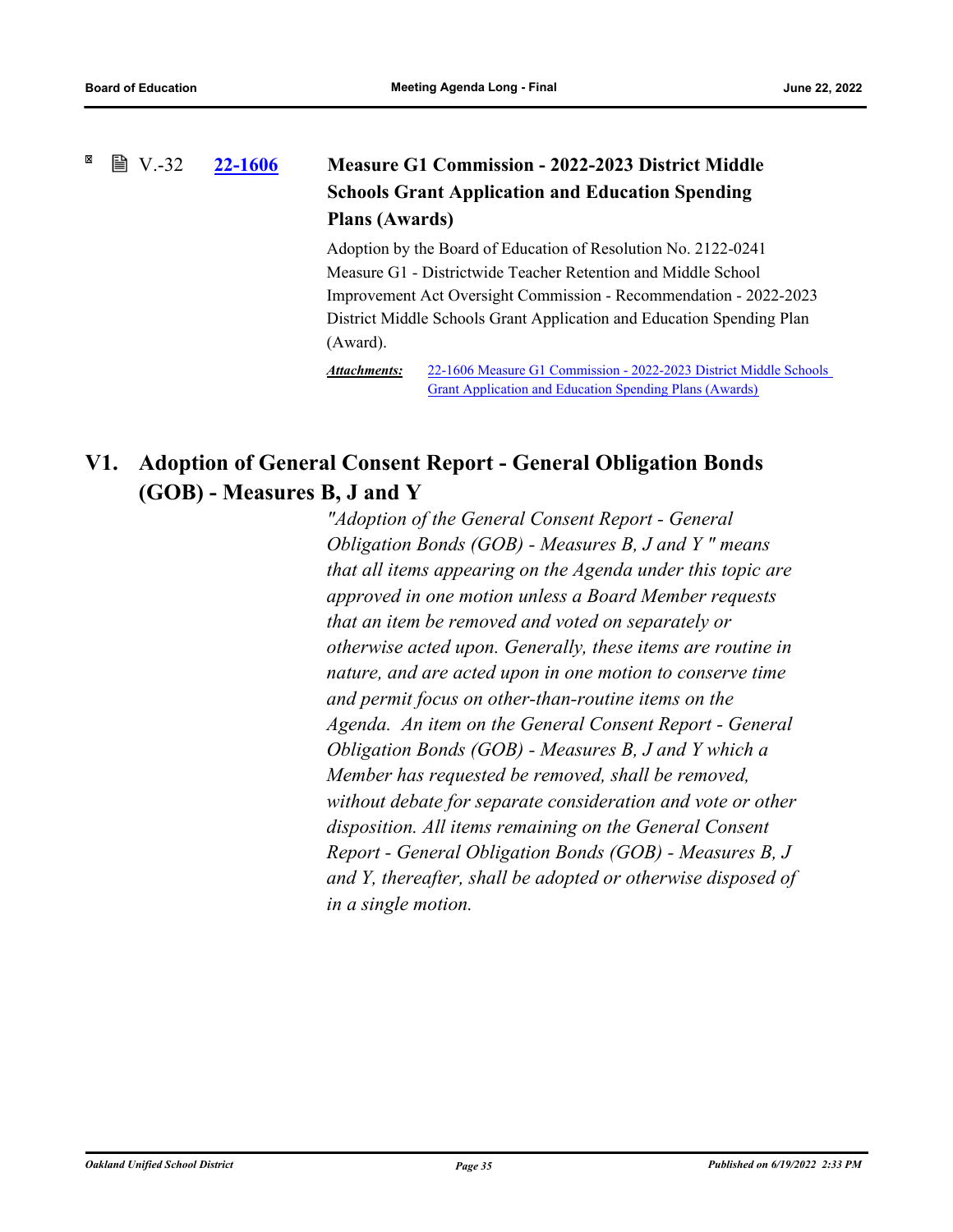### <span id="page-39-0"></span>**[22-1606](http://ousd.legistar.com/gateway.aspx?m=l&id=/matter.aspx?key=55898) Measure G1 Commission - 2022-2023 District Middle Schools Grant Application and Education Spending Plans (Awards)**  $\mathbb{B}$  V.-32

Adoption by the Board of Education of Resolution No. 2122-0241 Measure G1 - Districtwide Teacher Retention and Middle School Improvement Act Oversight Commission - Recommendation - 2022-2023 District Middle Schools Grant Application and Education Spending Plan (Award).

[22-1606 Measure G1 Commission - 2022-2023 District Middle Schools](http://ousd.legistar.com/gateway.aspx?M=F&ID=104819.pdf)  Grant Application and Education Spending Plans (Awards) *Attachments:*

# **V1. Adoption of General Consent Report - General Obligation Bonds (GOB) - Measures B, J and Y**

*"Adoption of the General Consent Report - General Obligation Bonds (GOB) - Measures B, J and Y " means that all items appearing on the Agenda under this topic are approved in one motion unless a Board Member requests that an item be removed and voted on separately or otherwise acted upon. Generally, these items are routine in nature, and are acted upon in one motion to conserve time and permit focus on other‑than‑routine items on the Agenda. An item on the General Consent Report - General Obligation Bonds (GOB) - Measures B, J and Y which a Member has requested be removed, shall be removed, without debate for separate consideration and vote or other disposition. All items remaining on the General Consent Report - General Obligation Bonds (GOB) - Measures B, J and Y, thereafter, shall be adopted or otherwise disposed of in a single motion.*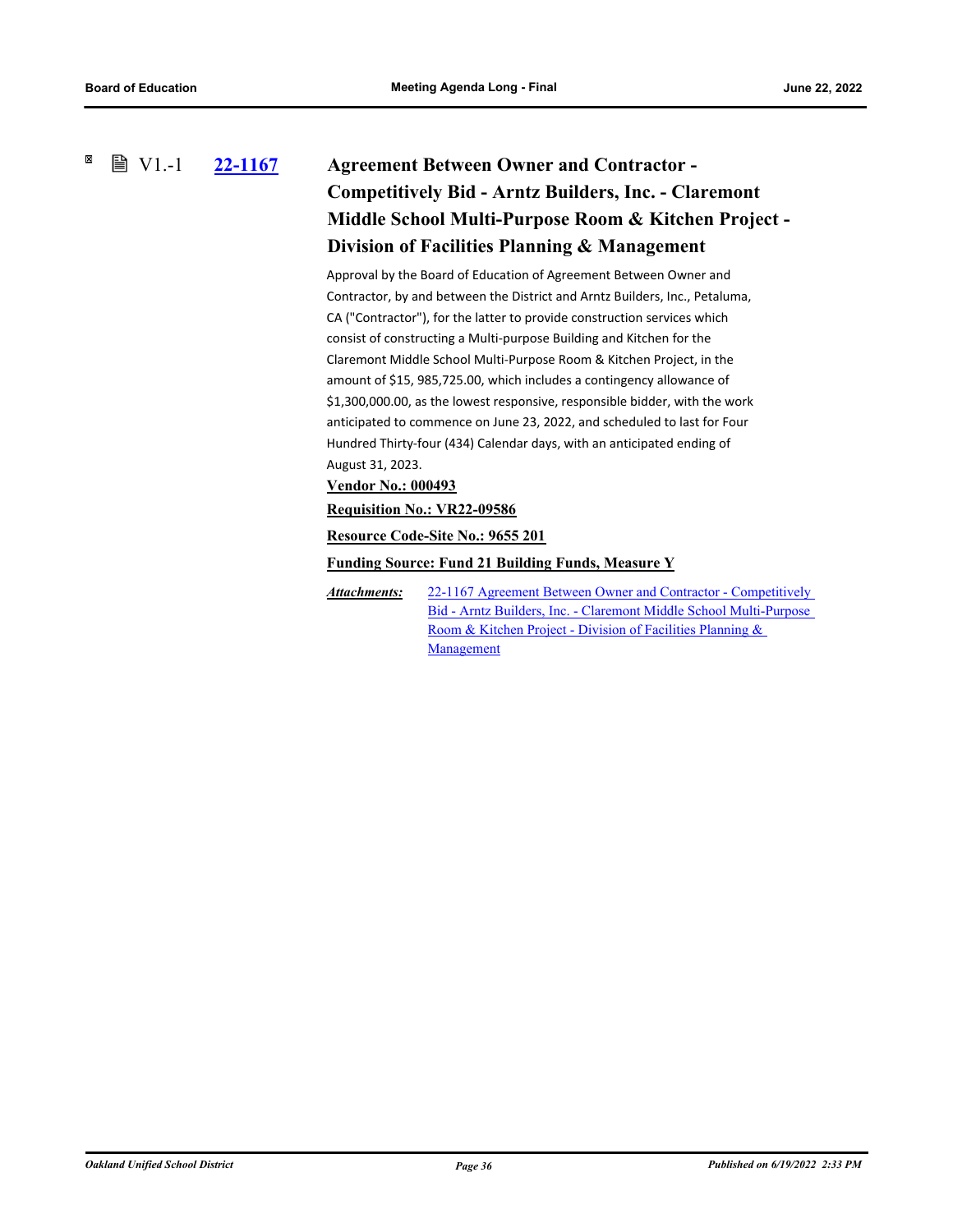#### <span id="page-40-0"></span>× **■ V1.-1 [22-1167](http://ousd.legistar.com/gateway.aspx?m=l&id=/matter.aspx?key=55461) Agreement Between Owner and Contractor - Competitively Bid - Arntz Builders, Inc. - Claremont Middle School Multi-Purpose Room & Kitchen Project - Division of Facilities Planning & Management**

Approval by the Board of Education of Agreement Between Owner and Contractor, by and between the District and Arntz Builders, Inc., Petaluma, CA ("Contractor"), for the latter to provide construction services which consist of constructing a Multi-purpose Building and Kitchen for the Claremont Middle School Multi-Purpose Room & Kitchen Project, in the amount of \$15, 985,725.00, which includes a contingency allowance of \$1,300,000.00, as the lowest responsive, responsible bidder, with the work anticipated to commence on June 23, 2022, and scheduled to last for Four Hundred Thirty-four (434) Calendar days, with an anticipated ending of August 31, 2023.

**Vendor No.: 000493**

**Requisition No.: VR22-09586**

**Resource Code-Site No.: 9655 201**

**Funding Source: Fund 21 Building Funds, Measure Y**

[22-1167 Agreement Between Owner and Contractor - Competitively](http://ousd.legistar.com/gateway.aspx?M=F&ID=104807.pdf)  Bid - Arntz Builders, Inc. - Claremont Middle School Multi-Purpose Room & Kitchen Project - Division of Facilities Planning & Management *Attachments:*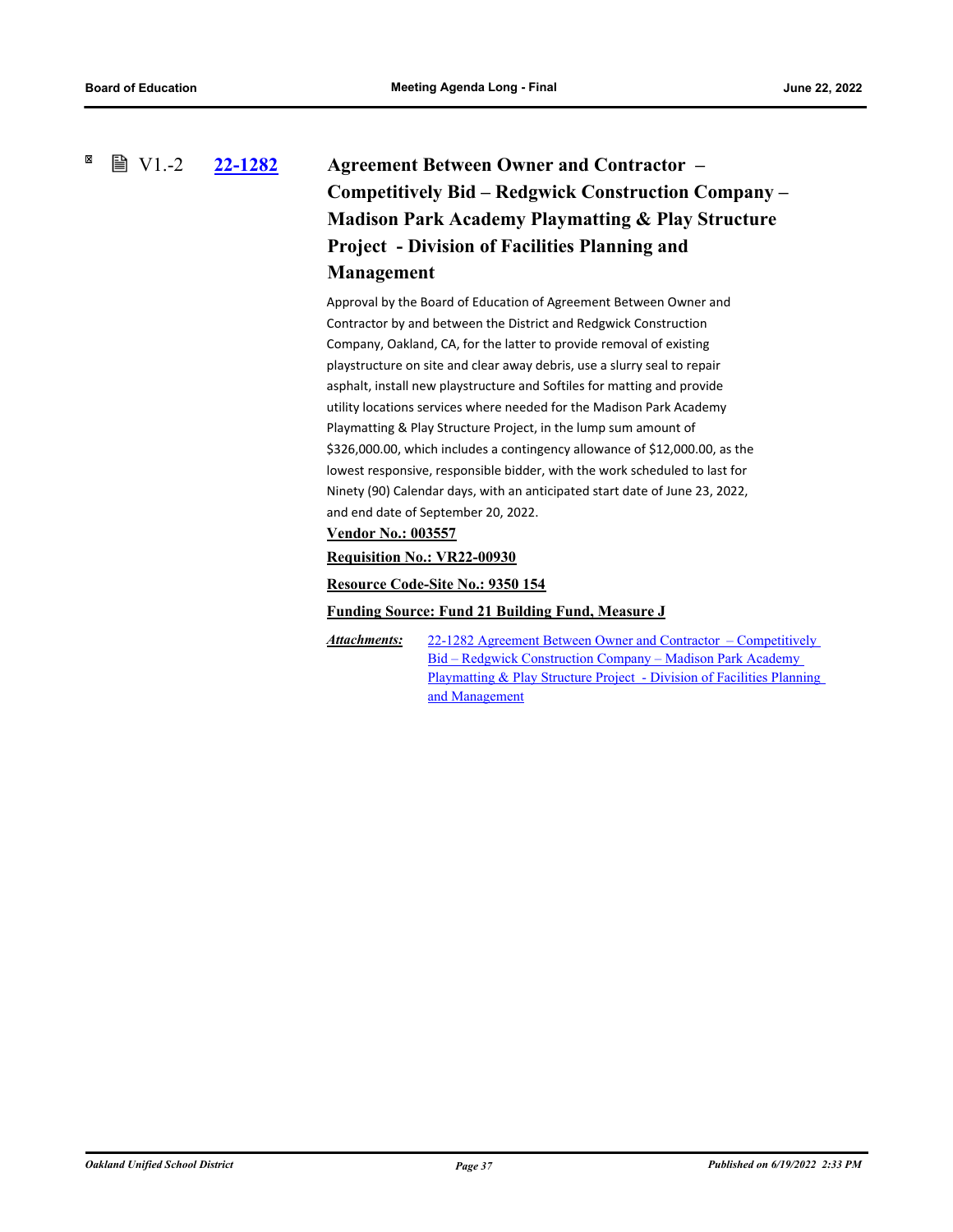### <span id="page-41-0"></span>図  $\mathbb{B}$  V1.-2 **[22-1282](http://ousd.legistar.com/gateway.aspx?m=l&id=/matter.aspx?key=55576) Agreement Between Owner and Contractor – Competitively Bid – Redgwick Construction Company – Madison Park Academy Playmatting & Play Structure Project - Division of Facilities Planning and Management**

Approval by the Board of Education of Agreement Between Owner and Contractor by and between the District and Redgwick Construction Company, Oakland, CA, for the latter to provide removal of existing playstructure on site and clear away debris, use a slurry seal to repair asphalt, install new playstructure and Softiles for matting and provide utility locations services where needed for the Madison Park Academy Playmatting & Play Structure Project, in the lump sum amount of \$326,000.00, which includes a contingency allowance of \$12,000.00, as the lowest responsive, responsible bidder, with the work scheduled to last for Ninety (90) Calendar days, with an anticipated start date of June 23, 2022, and end date of September 20, 2022.

### **Vendor No.: 003557**

**Requisition No.: VR22-00930**

**Resource Code-Site No.: 9350 154**

#### **Funding Source: Fund 21 Building Fund, Measure J**

22-1282 Agreement Between Owner and Contractor – Competitively Bid – Redgwick Construction Company – Madison Park Academy Playmatting & Play Structure Project - Division of Facilities Planning and Management *Attachments:*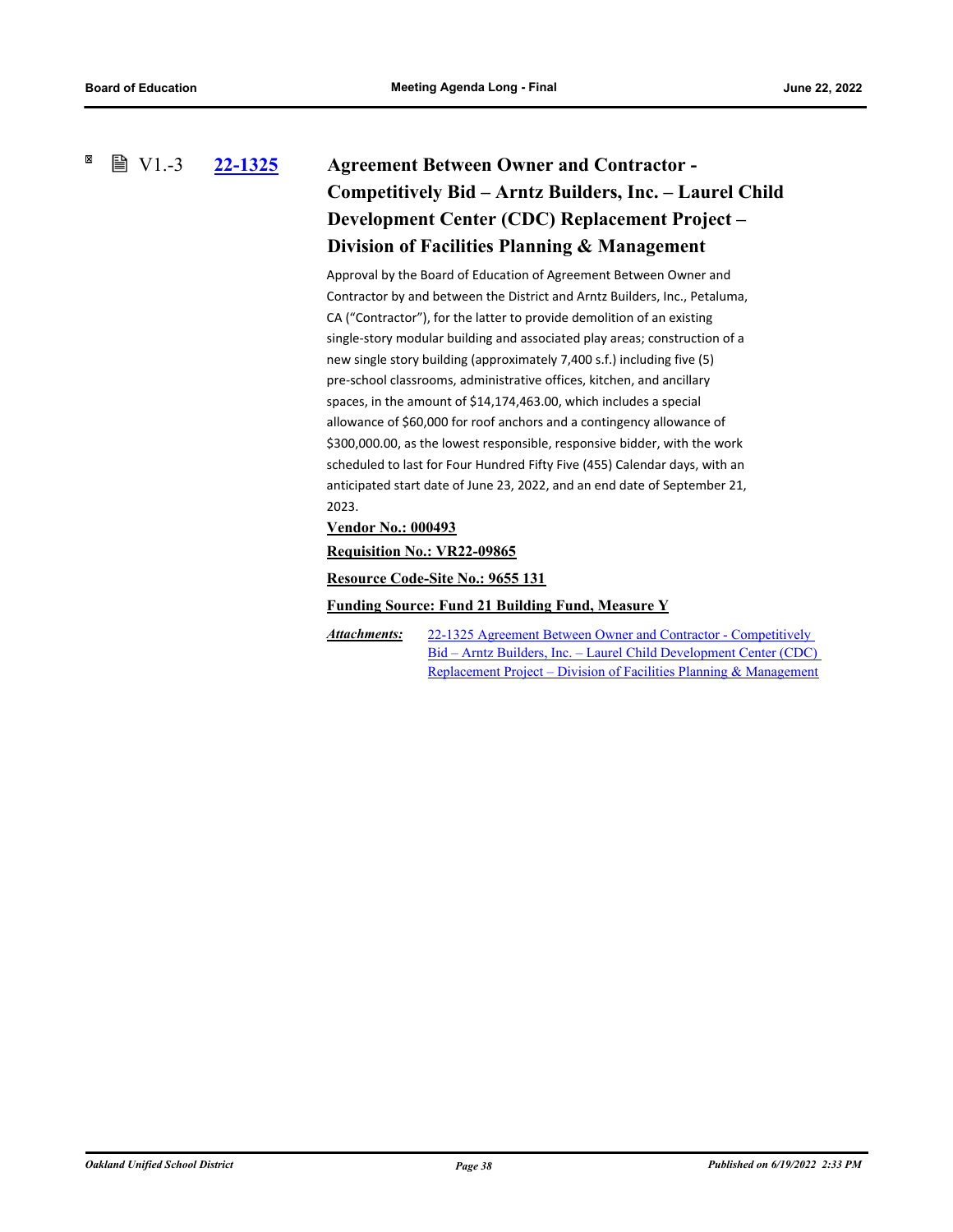#### <span id="page-42-0"></span>× **■ V1.-3 [22-1325](http://ousd.legistar.com/gateway.aspx?m=l&id=/matter.aspx?key=55619) Agreement Between Owner and Contractor - Competitively Bid – Arntz Builders, Inc. – Laurel Child Development Center (CDC) Replacement Project – Division of Facilities Planning & Management**

Approval by the Board of Education of Agreement Between Owner and Contractor by and between the District and Arntz Builders, Inc., Petaluma, CA ("Contractor"), for the latter to provide demolition of an existing single-story modular building and associated play areas; construction of a new single story building (approximately 7,400 s.f.) including five (5) pre-school classrooms, administrative offices, kitchen, and ancillary spaces, in the amount of \$14,174,463.00, which includes a special allowance of \$60,000 for roof anchors and a contingency allowance of \$300,000.00, as the lowest responsible, responsive bidder, with the work scheduled to last for Four Hundred Fifty Five (455) Calendar days, with an anticipated start date of June 23, 2022, and an end date of September 21, 2023.

### **Vendor No.: 000493**

**Requisition No.: VR22-09865**

**Resource Code-Site No.: 9655 131**

#### **Funding Source: Fund 21 Building Fund, Measure Y**

22-1325 Agreement Between Owner and Contractor - Competitively [Bid – Arntz Builders, Inc. – Laurel Child Development Center \(CDC\)](http://ousd.legistar.com/gateway.aspx?M=F&ID=104805.pdf)  Replacement Project – Division of Facilities Planning & Management *Attachments:*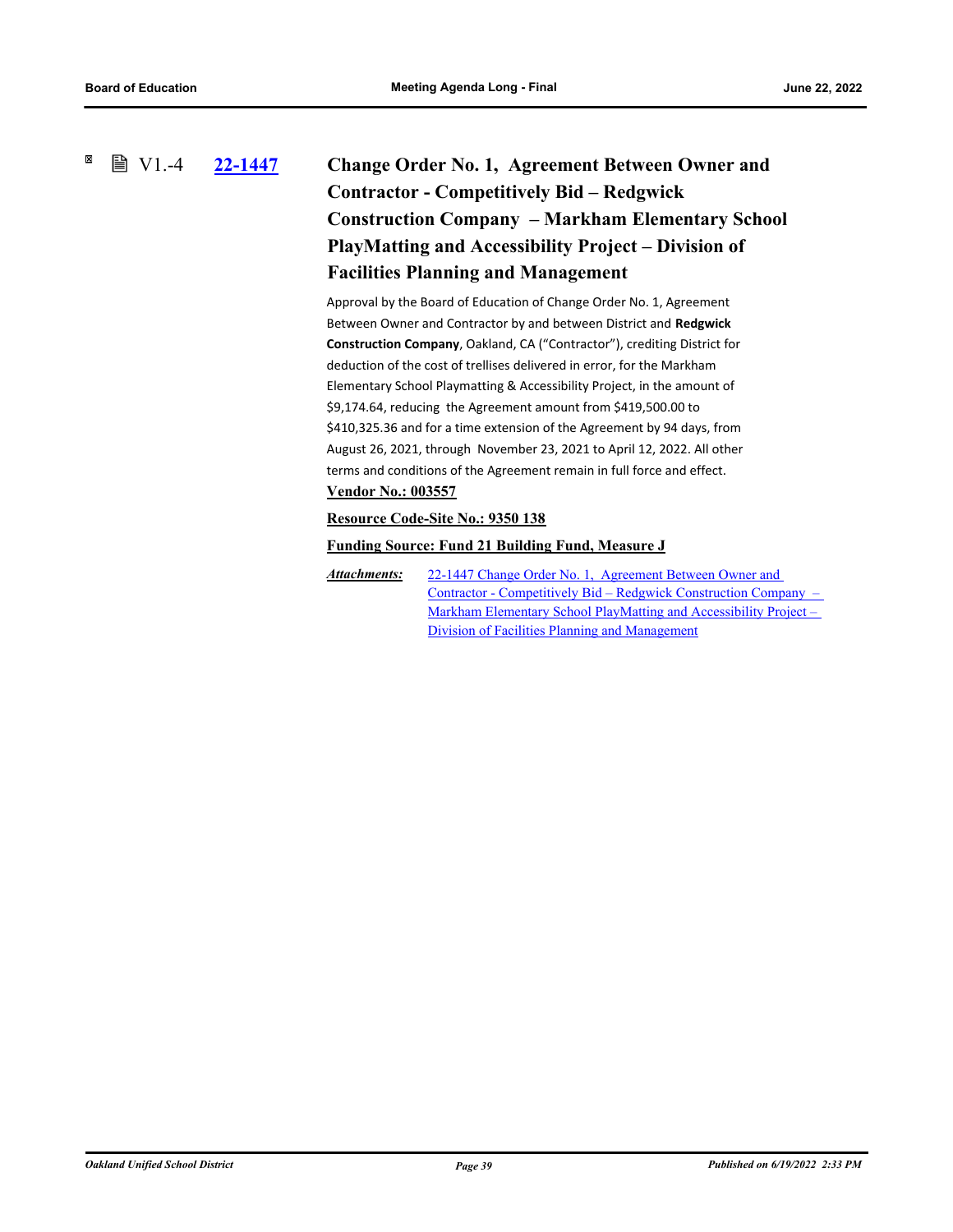### <span id="page-43-0"></span>× **■ V1.-4 [22-1447](http://ousd.legistar.com/gateway.aspx?m=l&id=/matter.aspx?key=55741) Change Order No. 1, Agreement Between Owner and Contractor - Competitively Bid – Redgwick Construction Company – Markham Elementary School PlayMatting and Accessibility Project – Division of Facilities Planning and Management**

Approval by the Board of Education of Change Order No. 1, Agreement Between Owner and Contractor by and between District and **Redgwick Construction Company**, Oakland, CA ("Contractor"), crediting District for deduction of the cost of trellises delivered in error, for the Markham Elementary School Playmatting & Accessibility Project, in the amount of \$9,174.64, reducing the Agreement amount from \$419,500.00 to \$410,325.36 and for a time extension of the Agreement by 94 days, from August 26, 2021, through November 23, 2021 to April 12, 2022. All other terms and conditions of the Agreement remain in full force and effect. **Vendor No.: 003557**

### **Resource Code-Site No.: 9350 138**

### **Funding Source: Fund 21 Building Fund, Measure J**

22-1447 Change Order No. 1, Agreement Between Owner and [Contractor - Competitively Bid – Redgwick Construction Company –](http://ousd.legistar.com/gateway.aspx?M=F&ID=104728.pdf)  Markham Elementary School PlayMatting and Accessibility Project – Division of Facilities Planning and Management *Attachments:*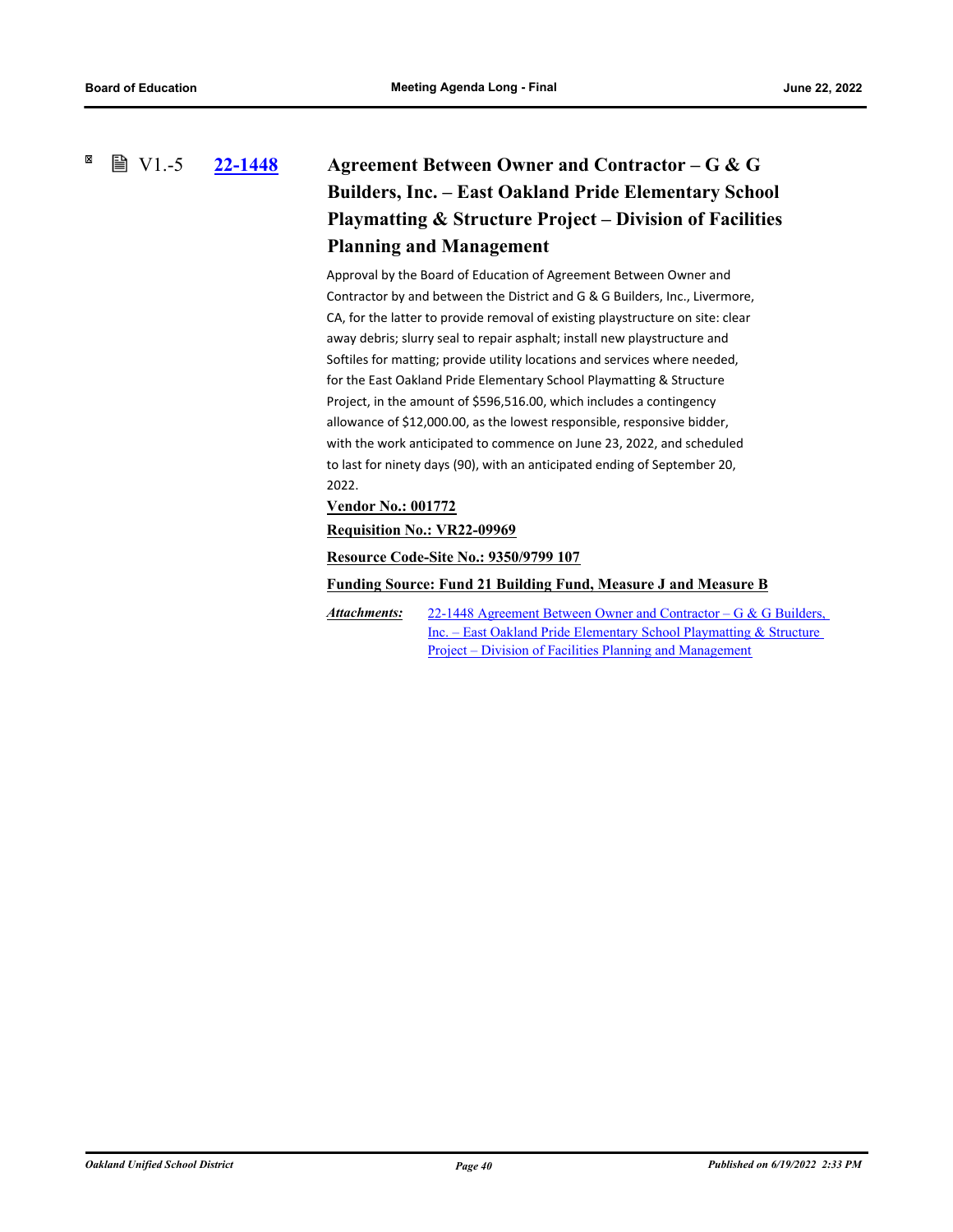### <span id="page-44-0"></span>×  $\mathbb{B}$  V1.-5

# **[22-1448](http://ousd.legistar.com/gateway.aspx?m=l&id=/matter.aspx?key=55742) Agreement Between Owner and Contractor – G & G Builders, Inc. – East Oakland Pride Elementary School Playmatting & Structure Project – Division of Facilities Planning and Management**

Approval by the Board of Education of Agreement Between Owner and Contractor by and between the District and G & G Builders, Inc., Livermore, CA, for the latter to provide removal of existing playstructure on site: clear away debris; slurry seal to repair asphalt; install new playstructure and Softiles for matting; provide utility locations and services where needed, for the East Oakland Pride Elementary School Playmatting & Structure Project, in the amount of \$596,516.00, which includes a contingency allowance of \$12,000.00, as the lowest responsible, responsive bidder, with the work anticipated to commence on June 23, 2022, and scheduled to last for ninety days (90), with an anticipated ending of September 20, 2022.

### **Vendor No.: 001772**

### **Requisition No.: VR22-09969**

**Resource Code-Site No.: 9350/9799 107**

**Funding Source: Fund 21 Building Fund, Measure J and Measure B**

[22-1448 Agreement Between Owner and Contractor – G & G Builders,](http://ousd.legistar.com/gateway.aspx?M=F&ID=104729.pdf)  Inc. – East Oakland Pride Elementary School Playmatting & Structure Project – Division of Facilities Planning and Management *Attachments:*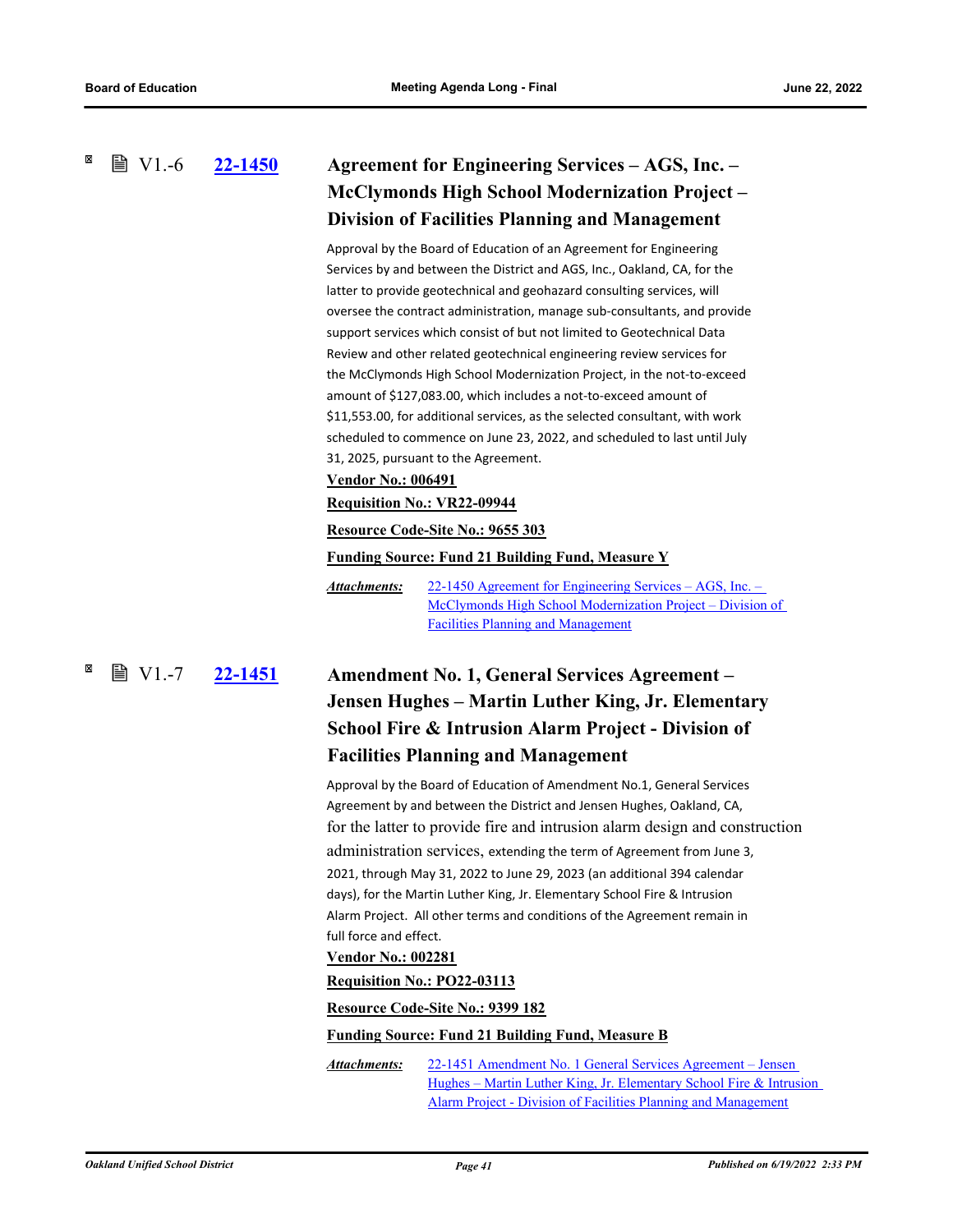<span id="page-45-0"></span> $\mathbb{B}$  V1.-6

# **[22-1450](http://ousd.legistar.com/gateway.aspx?m=l&id=/matter.aspx?key=55744) Agreement for Engineering Services – AGS, Inc. – McClymonds High School Modernization Project – Division of Facilities Planning and Management**

Approval by the Board of Education of an Agreement for Engineering Services by and between the District and AGS, Inc., Oakland, CA, for the latter to provide geotechnical and geohazard consulting services, will oversee the contract administration, manage sub-consultants, and provide support services which consist of but not limited to Geotechnical Data Review and other related geotechnical engineering review services for the McClymonds High School Modernization Project, in the not-to-exceed amount of \$127,083.00, which includes a not-to-exceed amount of \$11,553.00, for additional services, as the selected consultant, with work scheduled to commence on June 23, 2022, and scheduled to last until July 31, 2025, pursuant to the Agreement.

#### **Vendor No.: 006491**

#### **Requisition No.: VR22-09944**

#### **Resource Code-Site No.: 9655 303**

#### **Funding Source: Fund 21 Building Fund, Measure Y**

22-1450 Agreement for Engineering Services – AGS, Inc. – [McClymonds High School Modernization Project – Division of](http://ousd.legistar.com/gateway.aspx?M=F&ID=104730.pdf)  Facilities Planning and Management *Attachments:*

### <span id="page-45-1"></span>**[22-1451](http://ousd.legistar.com/gateway.aspx?m=l&id=/matter.aspx?key=55745) Amendment No. 1, General Services Agreement – Jensen Hughes – Martin Luther King, Jr. Elementary School Fire & Intrusion Alarm Project - Division of ■ V1.-7**

### **Facilities Planning and Management**

Approval by the Board of Education of Amendment No.1, General Services Agreement by and between the District and Jensen Hughes, Oakland, CA, for the latter to provide fire and intrusion alarm design and construction administration services, extending the term of Agreement from June 3, 2021, through May 31, 2022 to June 29, 2023 (an additional 394 calendar days), for the Martin Luther King, Jr. Elementary School Fire & Intrusion Alarm Project. All other terms and conditions of the Agreement remain in full force and effect.

#### **Vendor No.: 002281**

#### **Requisition No.: PO22-03113**

### **Resource Code-Site No.: 9399 182**

#### **Funding Source: Fund 21 Building Fund, Measure B**

22-1451 Amendment No. 1 General Services Agreement – Jensen [Hughes – Martin Luther King, Jr. Elementary School Fire & Intrusion](http://ousd.legistar.com/gateway.aspx?M=F&ID=104731.pdf)  Alarm Project - Division of Facilities Planning and Management *Attachments:*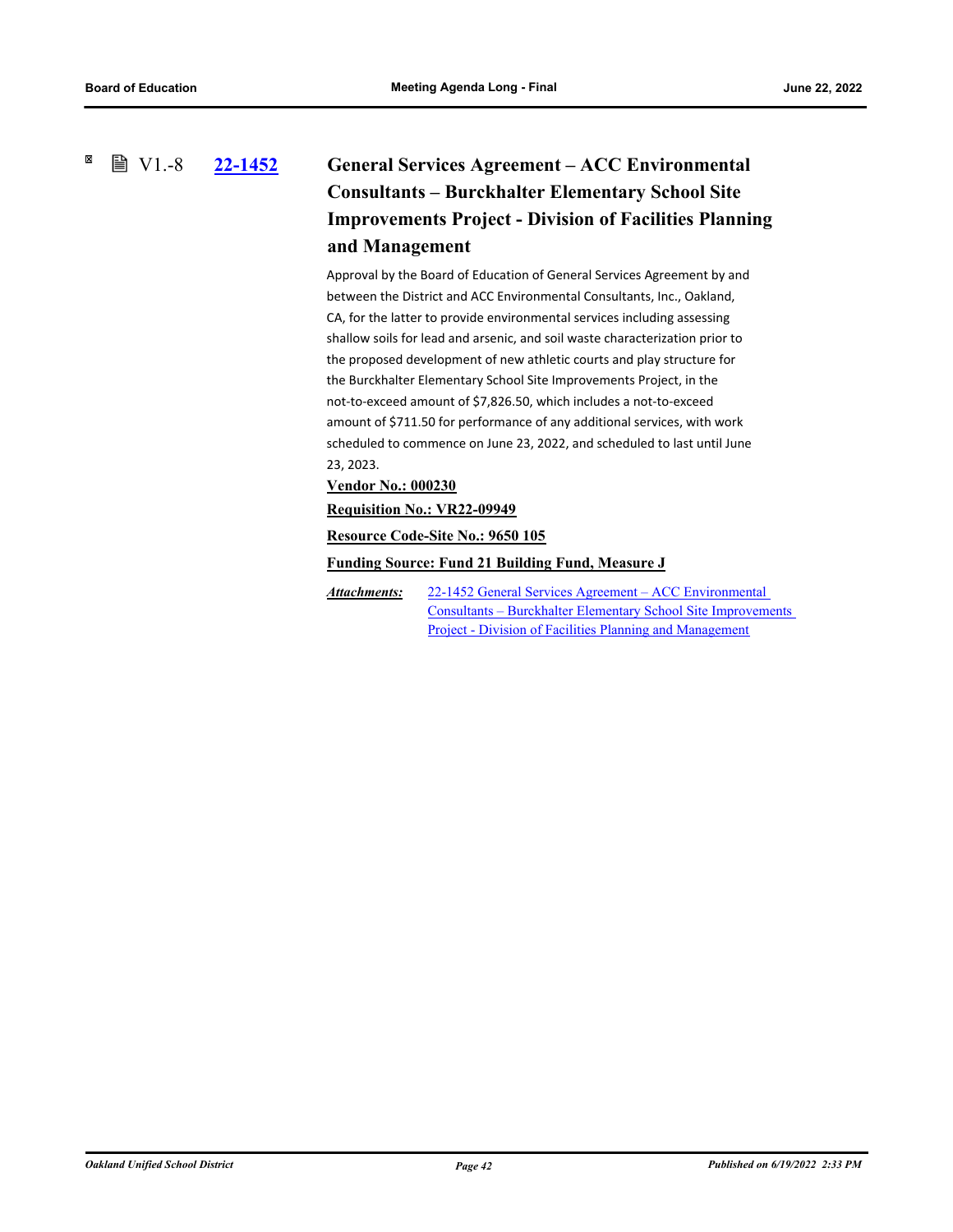#### <span id="page-46-0"></span>×  $\mathbb{B}$  V1.-8

# **[22-1452](http://ousd.legistar.com/gateway.aspx?m=l&id=/matter.aspx?key=55746) General Services Agreement – ACC Environmental Consultants – Burckhalter Elementary School Site Improvements Project - Division of Facilities Planning and Management**

Approval by the Board of Education of General Services Agreement by and between the District and ACC Environmental Consultants, Inc., Oakland, CA, for the latter to provide environmental services including assessing shallow soils for lead and arsenic, and soil waste characterization prior to the proposed development of new athletic courts and play structure for the Burckhalter Elementary School Site Improvements Project, in the not-to-exceed amount of \$7,826.50, which includes a not-to-exceed amount of \$711.50 for performance of any additional services, with work scheduled to commence on June 23, 2022, and scheduled to last until June 23, 2023.

**Vendor No.: 000230**

**Requisition No.: VR22-09949**

**Resource Code-Site No.: 9650 105**

**Funding Source: Fund 21 Building Fund, Measure J**

22-1452 General Services Agreement – ACC Environmental [Consultants – Burckhalter Elementary School Site Improvements](http://ousd.legistar.com/gateway.aspx?M=F&ID=104732.pdf)  Project - Division of Facilities Planning and Management *Attachments:*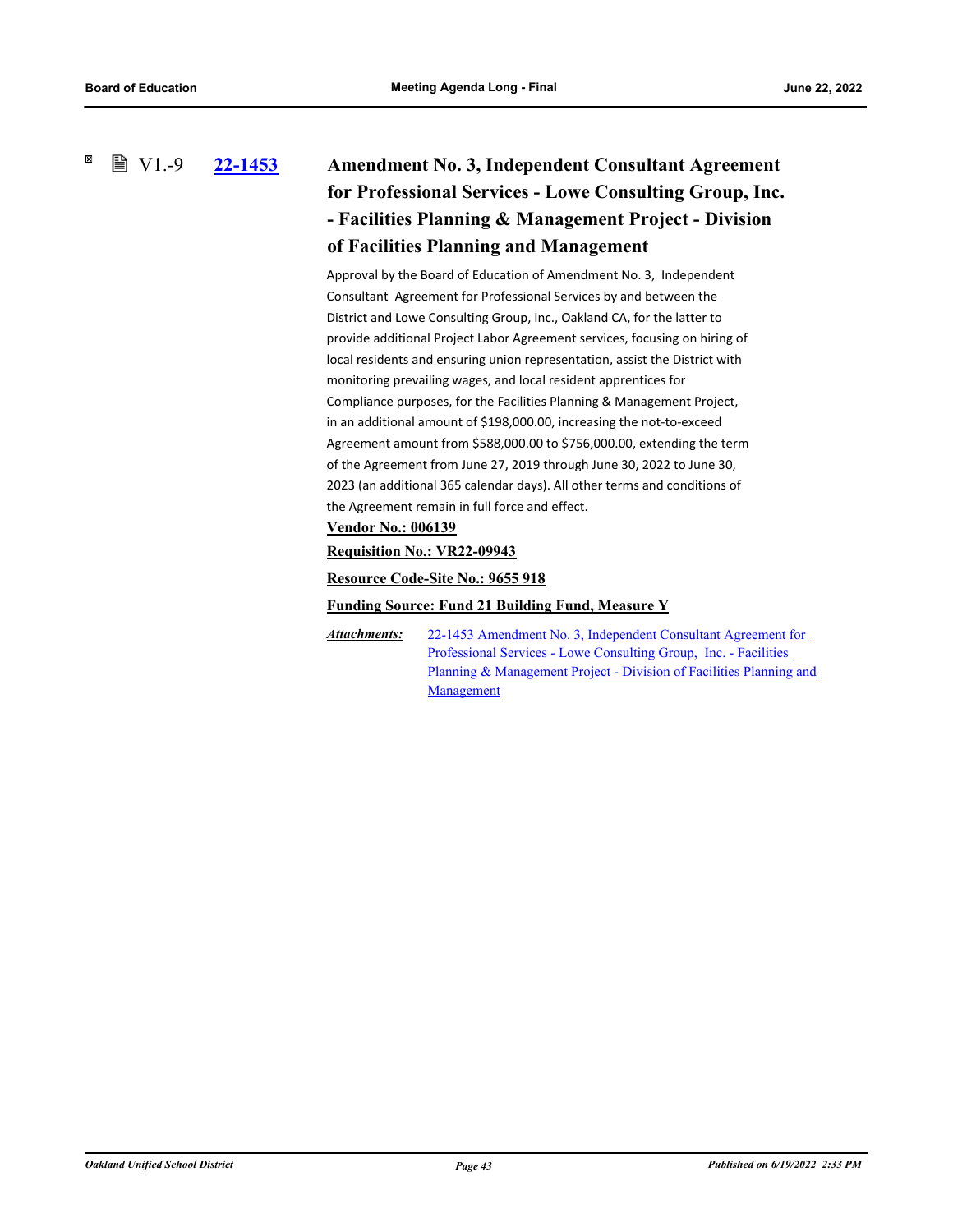<span id="page-47-0"></span>×  $\mathbb{B}$  V1.-9

# **[22-1453](http://ousd.legistar.com/gateway.aspx?m=l&id=/matter.aspx?key=55747) Amendment No. 3, Independent Consultant Agreement for Professional Services - Lowe Consulting Group, Inc. - Facilities Planning & Management Project - Division of Facilities Planning and Management**

Approval by the Board of Education of Amendment No. 3, Independent Consultant Agreement for Professional Services by and between the District and Lowe Consulting Group, Inc., Oakland CA, for the latter to provide additional Project Labor Agreement services, focusing on hiring of local residents and ensuring union representation, assist the District with monitoring prevailing wages, and local resident apprentices for Compliance purposes, for the Facilities Planning & Management Project, in an additional amount of \$198,000.00, increasing the not-to-exceed Agreement amount from \$588,000.00 to \$756,000.00, extending the term of the Agreement from June 27, 2019 through June 30, 2022 to June 30, 2023 (an additional 365 calendar days). All other terms and conditions of the Agreement remain in full force and effect.

### **Vendor No.: 006139**

**Requisition No.: VR22-09943**

### **Resource Code-Site No.: 9655 918**

### **Funding Source: Fund 21 Building Fund, Measure Y**

22-1453 Amendment No. 3, Independent Consultant Agreement for Professional Services - Lowe Consulting Group, Inc. - Facilities Planning & Management Project - Division of Facilities Planning and **Management** *Attachments:*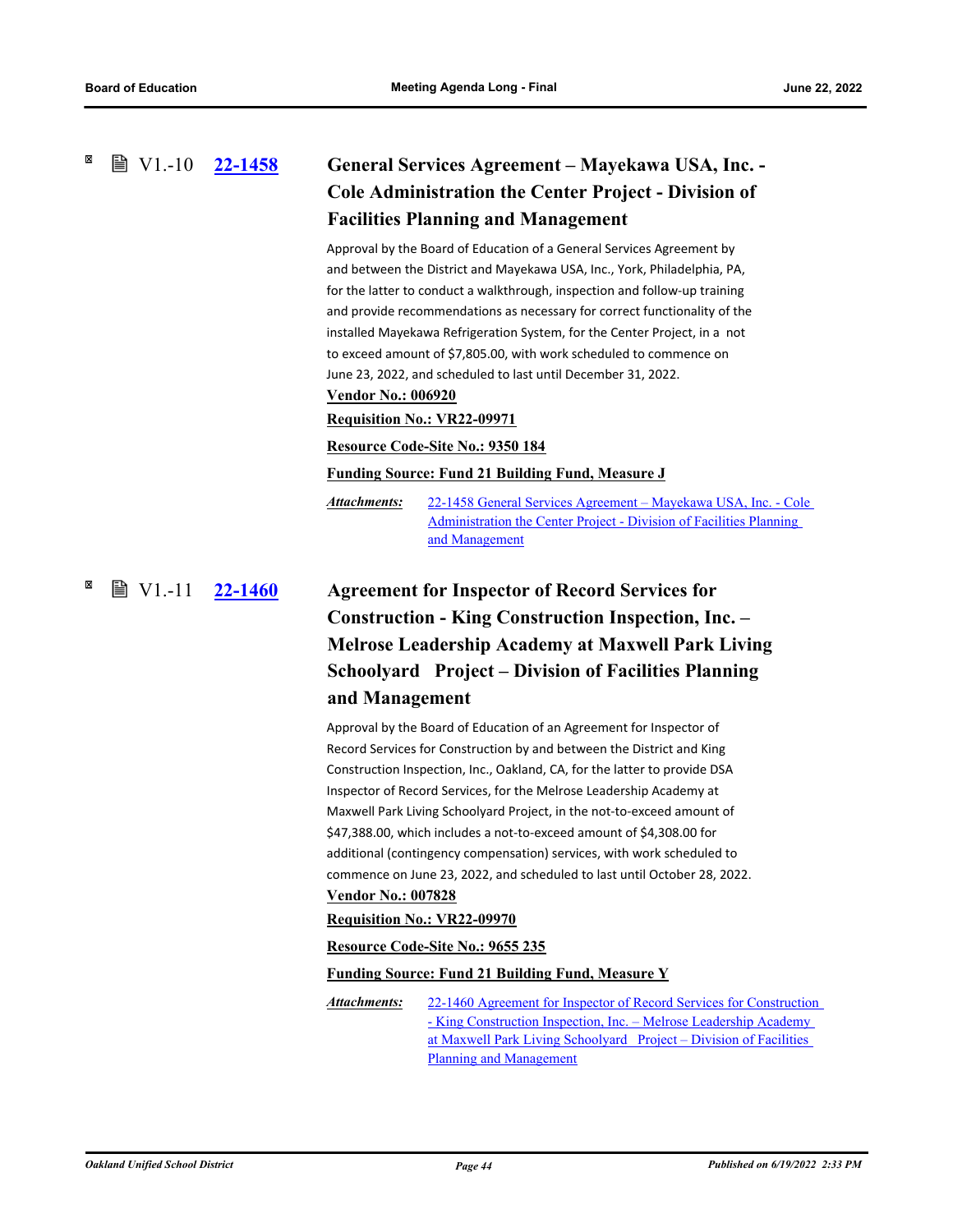### <span id="page-48-0"></span>**[22-1458](http://ousd.legistar.com/gateway.aspx?m=l&id=/matter.aspx?key=55752) General Services Agreement – Mayekawa USA, Inc. - Cole Administration the Center Project - Division of Facilities Planning and Management ■ V1.-10 22-1458**

Approval by the Board of Education of a General Services Agreement by and between the District and Mayekawa USA, Inc., York, Philadelphia, PA, for the latter to conduct a walkthrough, inspection and follow-up training and provide recommendations as necessary for correct functionality of the installed Mayekawa Refrigeration System, for the Center Project, in a not to exceed amount of \$7,805.00, with work scheduled to commence on June 23, 2022, and scheduled to last until December 31, 2022.

#### **Vendor No.: 006920**

### **Requisition No.: VR22-09971**

#### **Resource Code-Site No.: 9350 184**

**Funding Source: Fund 21 Building Fund, Measure J**

[22-1458 General Services Agreement – Mayekawa USA, Inc. - Cole](http://ousd.legistar.com/gateway.aspx?M=F&ID=104802.pdf)  Administration the Center Project - Division of Facilities Planning and Management *Attachments:*

## <span id="page-48-1"></span>**[22-1460](http://ousd.legistar.com/gateway.aspx?m=l&id=/matter.aspx?key=55754) Agreement for Inspector of Record Services for Construction - King Construction Inspection, Inc. – Melrose Leadership Academy at Maxwell Park Living Schoolyard Project – Division of Facilities Planning and Management** ■ V1.-11 22-1460

Approval by the Board of Education of an Agreement for Inspector of Record Services for Construction by and between the District and King Construction Inspection, Inc., Oakland, CA, for the latter to provide DSA Inspector of Record Services, for the Melrose Leadership Academy at Maxwell Park Living Schoolyard Project, in the not-to-exceed amount of \$47,388.00, which includes a not-to-exceed amount of \$4,308.00 for additional (contingency compensation) services, with work scheduled to commence on June 23, 2022, and scheduled to last until October 28, 2022. **Vendor No.: 007828**

### **Requisition No.: VR22-09970**

### **Resource Code-Site No.: 9655 235**

### **Funding Source: Fund 21 Building Fund, Measure Y**

[22-1460 Agreement for Inspector of Record Services for Construction](http://ousd.legistar.com/gateway.aspx?M=F&ID=104808.pdf)  - King Construction Inspection, Inc. – Melrose Leadership Academy at Maxwell Park Living Schoolyard Project – Division of Facilities Planning and Management *Attachments:*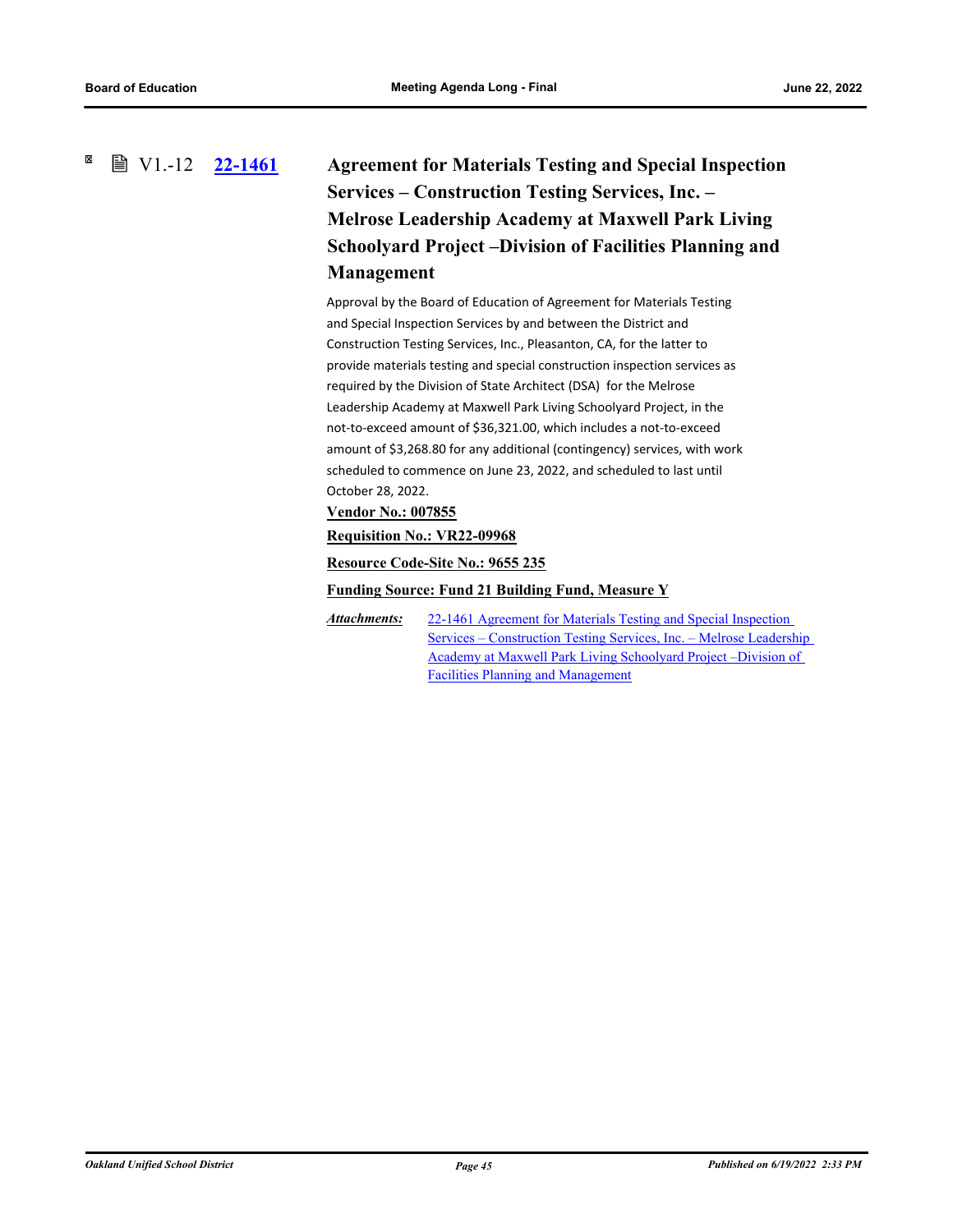#### <span id="page-49-0"></span>⊠ ■ V1.-12 22-1461

# **[22-1461](http://ousd.legistar.com/gateway.aspx?m=l&id=/matter.aspx?key=55755) Agreement for Materials Testing and Special Inspection Services – Construction Testing Services, Inc. – Melrose Leadership Academy at Maxwell Park Living Schoolyard Project –Division of Facilities Planning and Management**

Approval by the Board of Education of Agreement for Materials Testing and Special Inspection Services by and between the District and Construction Testing Services, Inc., Pleasanton, CA, for the latter to provide materials testing and special construction inspection services as required by the Division of State Architect (DSA) for the Melrose Leadership Academy at Maxwell Park Living Schoolyard Project, in the not-to-exceed amount of \$36,321.00, which includes a not-to-exceed amount of \$3,268.80 for any additional (contingency) services, with work scheduled to commence on June 23, 2022, and scheduled to last until October 28, 2022.

**Vendor No.: 007855**

### **Requisition No.: VR22-09968**

**Resource Code-Site No.: 9655 235**

**Funding Source: Fund 21 Building Fund, Measure Y**

22-1461 Agreement for Materials Testing and Special Inspection [Services – Construction Testing Services, Inc. – Melrose Leadership](http://ousd.legistar.com/gateway.aspx?M=F&ID=104804.pdf)  Academy at Maxwell Park Living Schoolyard Project –Division of Facilities Planning and Management *Attachments:*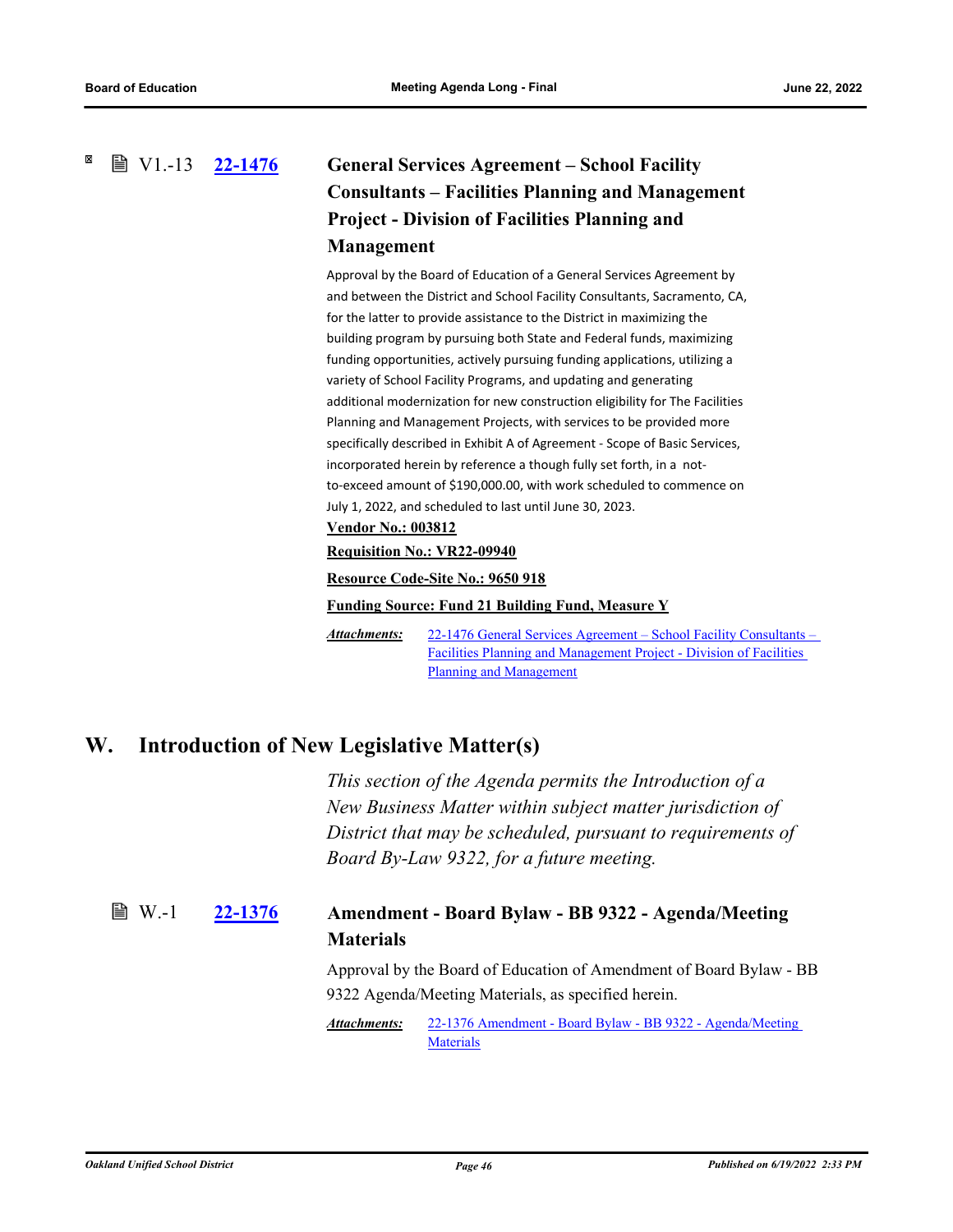### <span id="page-50-1"></span><span id="page-50-0"></span>**[22-1476](http://ousd.legistar.com/gateway.aspx?m=l&id=/matter.aspx?key=55770) General Services Agreement – School Facility Consultants – Facilities Planning and Management Project - Division of Facilities Planning and Management ■ V1.-13 22-1476**

Approval by the Board of Education of a General Services Agreement by and between the District and School Facility Consultants, Sacramento, CA, for the latter to provide assistance to the District in maximizing the building program by pursuing both State and Federal funds, maximizing funding opportunities, actively pursuing funding applications, utilizing a variety of School Facility Programs, and updating and generating additional modernization for new construction eligibility for The Facilities Planning and Management Projects, with services to be provided more specifically described in Exhibit A of Agreement - Scope of Basic Services, incorporated herein by reference a though fully set forth, in a notto-exceed amount of \$190,000.00, with work scheduled to commence on July 1, 2022, and scheduled to last until June 30, 2023.

### **Vendor No.: 003812**

#### **Requisition No.: VR22-09940**

### **Resource Code-Site No.: 9650 918**

### **Funding Source: Fund 21 Building Fund, Measure Y**

[22-1476 General Services Agreement – School Facility Consultants –](http://ousd.legistar.com/gateway.aspx?M=F&ID=104735.pdf)  Facilities Planning and Management Project - Division of Facilities Planning and Management *Attachments:*

## <span id="page-50-2"></span>**W. Introduction of New Legislative Matter(s)**

*This section of the Agenda permits the Introduction of a New Business Matter within subject matter jurisdiction of District that may be scheduled, pursuant to requirements of Board By-Law 9322, for a future meeting.*

#### **[22-1376](http://ousd.legistar.com/gateway.aspx?m=l&id=/matter.aspx?key=55670) Amendment - Board Bylaw - BB 9322 - Agenda/Meeting Materials ■ W.-1**

Approval by the Board of Education of Amendment of Board Bylaw - BB 9322 Agenda/Meeting Materials, as specified herein.

[22-1376 Amendment - Board Bylaw - BB 9322 - Agenda/Meeting](http://ousd.legistar.com/gateway.aspx?M=F&ID=104854.pdf)  **Materials** *Attachments:*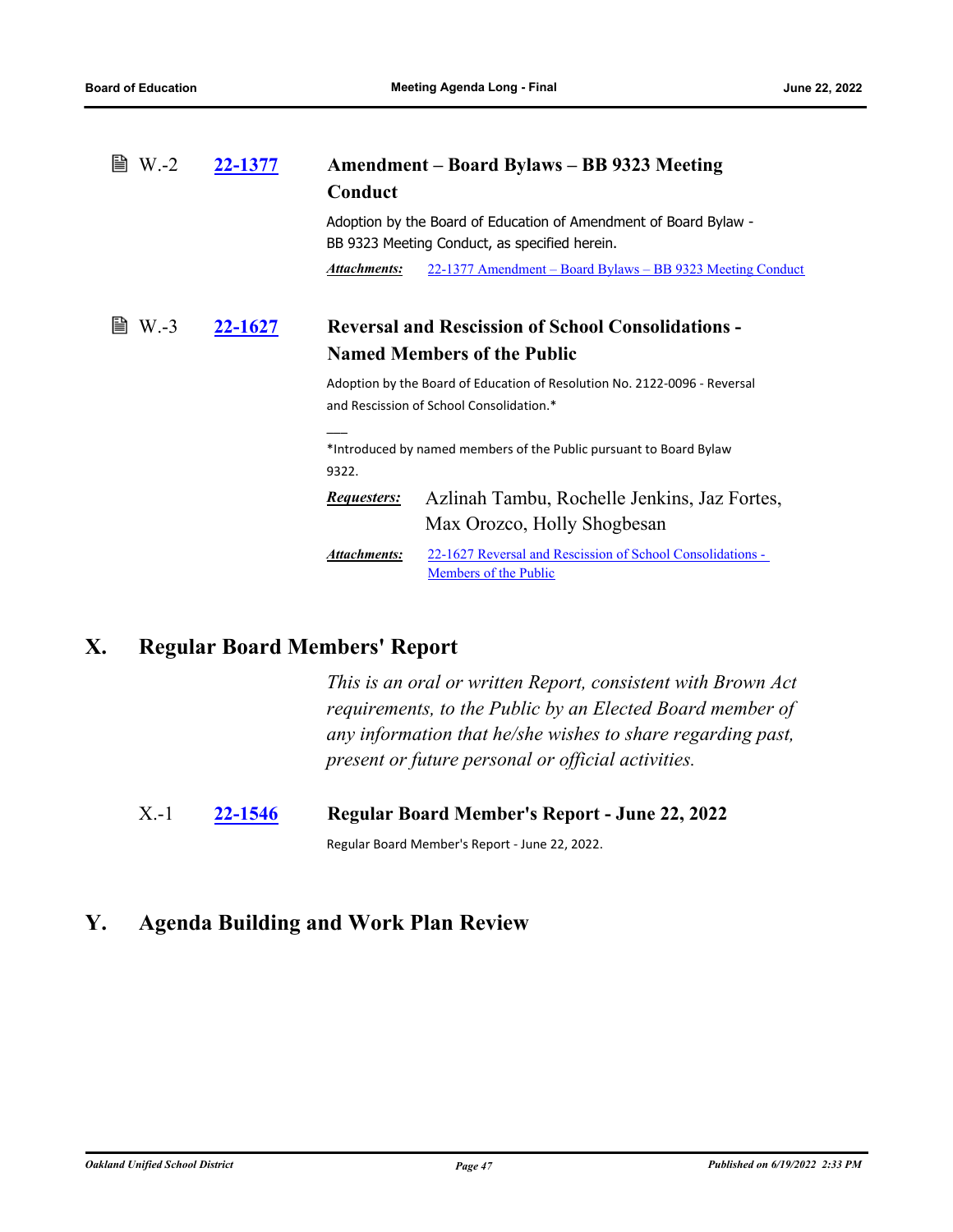<span id="page-51-2"></span><span id="page-51-1"></span><span id="page-51-0"></span>

| $W - 2$<br>22-1377 |         | Amendment – Board Bylaws – BB 9323 Meeting<br>Conduct                                                                 |                                                                                     |  |
|--------------------|---------|-----------------------------------------------------------------------------------------------------------------------|-------------------------------------------------------------------------------------|--|
|                    |         | Adoption by the Board of Education of Amendment of Board Bylaw -<br>BB 9323 Meeting Conduct, as specified herein.     |                                                                                     |  |
|                    |         | Attachments:                                                                                                          | 22-1377 Amendment – Board Bylaws – BB 9323 Meeting Conduct                          |  |
| $W.-3$             | 22-1627 | <b>Reversal and Rescission of School Consolidations -</b><br><b>Named Members of the Public</b>                       |                                                                                     |  |
|                    |         | Adoption by the Board of Education of Resolution No. 2122-0096 - Reversal<br>and Rescission of School Consolidation.* |                                                                                     |  |
|                    |         | *Introduced by named members of the Public pursuant to Board Bylaw<br>9322.                                           |                                                                                     |  |
|                    |         | <i>Requesters:</i>                                                                                                    | Azlinah Tambu, Rochelle Jenkins, Jaz Fortes,<br>Max Orozco, Holly Shogbesan         |  |
|                    |         | Attachments:                                                                                                          | 22-1627 Reversal and Rescission of School Consolidations -<br>Members of the Public |  |

# **X. Regular Board Members' Report**

*This is an oral or written Report, consistent with Brown Act requirements, to the Public by an Elected Board member of any information that he/she wishes to share regarding past, present or future personal or official activities.*

X.-1 **[22-1546](http://ousd.legistar.com/gateway.aspx?m=l&id=/matter.aspx?key=55840) Regular Board Member's Report - June 22, 2022**

Regular Board Member's Report - June 22, 2022.

# **Y. Agenda Building and Work Plan Review**